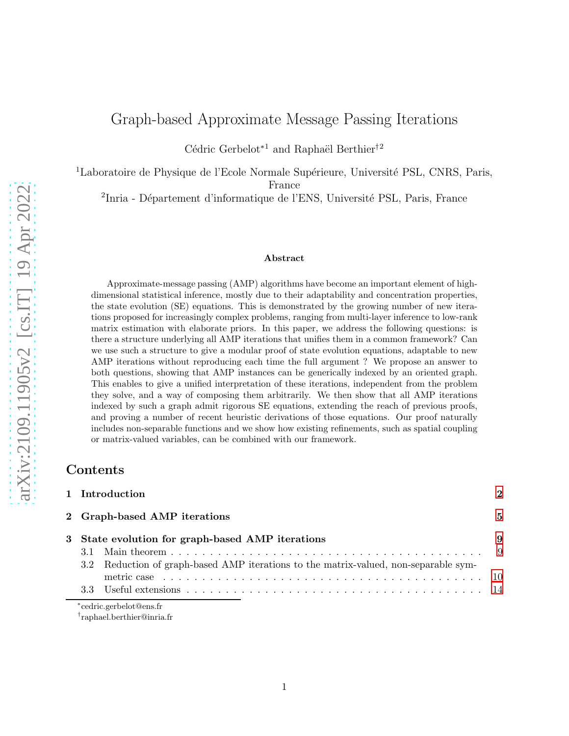# Graph-based Approximate Message Passing Iterations

Cédric Gerbelot<br/>∗1 and Raphaël Berthier $^\dagger{}^2$ 

<sup>1</sup>Laboratoire de Physique de l'Ecole Normale Supérieure, Université PSL, CNRS, Paris,

France

<sup>2</sup>Inria - Département d'informatique de l'ENS, Université PSL, Paris, France

### Abstract

Approximate-message passing (AMP) algorithms have become an important element of highdimensional statistical inference, mostly due to their adaptability and concentration properties, the state evolution (SE) equations. This is demonstrated by the growing number of new iterations proposed for increasingly complex problems, ranging from multi-layer inference to low-rank matrix estimation with elaborate priors. In this paper, we address the following questions: is there a structure underlying all AMP iterations that unifies them in a common framework? Can we use such a structure to give a modular proof of state evolution equations, adaptable to new AMP iterations without reproducing each time the full argument ? We propose an answer to both questions, showing that AMP instances can be generically indexed by an oriented graph. This enables to give a unified interpretation of these iterations, independent from the problem they solve, and a way of composing them arbitrarily. We then show that all AMP iterations indexed by such a graph admit rigorous SE equations, extending the reach of previous proofs, and proving a number of recent heuristic derivations of those equations. Our proof naturally includes non-separable functions and we show how existing refinements, such as spatial coupling or matrix-valued variables, can be combined with our framework.

## Contents

|  | 1 Introduction                                                                       |    |
|--|--------------------------------------------------------------------------------------|----|
|  | 2 Graph-based AMP iterations                                                         | 5  |
|  | 3 State evolution for graph-based AMP iterations                                     | -9 |
|  |                                                                                      |    |
|  | 3.2 Reduction of graph-based AMP iterations to the matrix-valued, non-separable sym- |    |
|  |                                                                                      |    |
|  |                                                                                      |    |

∗ cedric.gerbelot@ens.fr

† raphael.berthier@inria.fr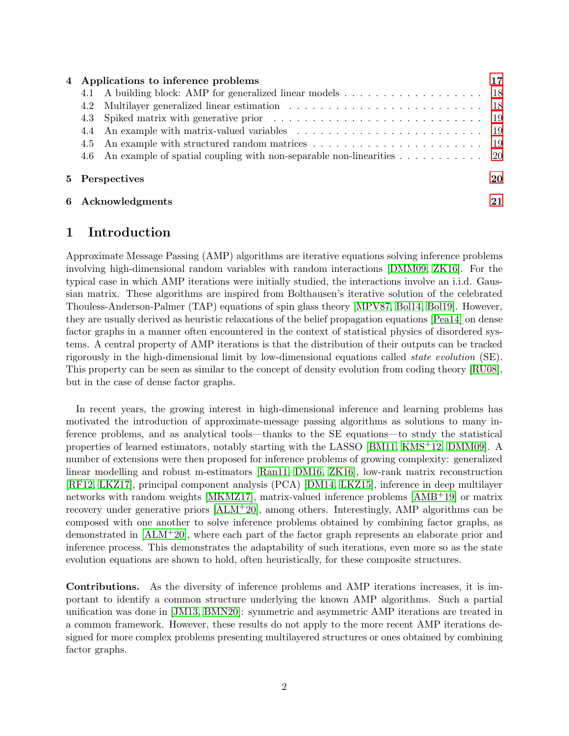|     | 4 Applications to inference problems                                                                                         |    |
|-----|------------------------------------------------------------------------------------------------------------------------------|----|
| 4.1 | A building block: AMP for generalized linear models 18                                                                       |    |
| 4.2 |                                                                                                                              |    |
|     | 4.3 Spiked matrix with generative prior enters in the set of spiked matrix with generative prior enters in the set of $\sim$ |    |
|     |                                                                                                                              |    |
| 4.5 |                                                                                                                              |    |
|     | 4.6 An example of spatial coupling with non-separable non-linearities 20                                                     |    |
|     | 5 Perspectives                                                                                                               | 20 |
|     | 6 Acknowledgments                                                                                                            | 21 |

## <span id="page-1-0"></span>1 Introduction

Approximate Message Passing (AMP) algorithms are iterative equations solving inference problems involving high-dimensional random variables with random interactions [\[DMM09,](#page-21-0) [ZK16\]](#page-23-0). For the typical case in which AMP iterations were initially studied, the interactions involve an i.i.d. Gaussian matrix. These algorithms are inspired from Bolthausen's iterative solution of the celebrated Thouless-Anderson-Palmer (TAP) equations of spin glass theory [\[MPV87,](#page-22-0) [Bol14,](#page-21-1) [Bol19\]](#page-21-2). However, they are usually derived as heuristic relaxations of the belief propagation equations [\[Pea14\]](#page-22-1) on dense factor graphs in a manner often encountered in the context of statistical physics of disordered systems. A central property of AMP iterations is that the distribution of their outputs can be tracked rigorously in the high-dimensional limit by low-dimensional equations called state evolution (SE). This property can be seen as similar to the concept of density evolution from coding theory [\[RU08\]](#page-23-1), but in the case of dense factor graphs.

In recent years, the growing interest in high-dimensional inference and learning problems has motivated the introduction of approximate-message passing algorithms as solutions to many inference problems, and as analytical tools—thanks to the SE equations—to study the statistical properties of learned estimators, notably starting with the LASSO [\[BM11,](#page-20-1) [KMS](#page-22-2)+12, [DMM09\]](#page-21-0). A number of extensions were then proposed for inference problems of growing complexity: generalized linear modelling and robust m-estimators [\[Ran11,](#page-22-3) [DM16,](#page-21-3) [ZK16\]](#page-23-0), low-rank matrix reconstruction [\[RF12,](#page-23-2) [LKZ17\]](#page-22-4), principal component analysis (PCA) [\[DM14,](#page-21-4) [LKZ15\]](#page-22-5), inference in deep multilayer networks with random weights [\[MKMZ17\]](#page-22-6), matrix-valued inference problems [\[AMB](#page-20-2)+19] or matrix recovery under generative priors [\[ALM](#page-20-3)+20], among others. Interestingly, AMP algorithms can be composed with one another to solve inference problems obtained by combining factor graphs, as demonstrated in [\[ALM](#page-20-3)+20], where each part of the factor graph represents an elaborate prior and inference process. This demonstrates the adaptability of such iterations, even more so as the state evolution equations are shown to hold, often heuristically, for these composite structures.

Contributions. As the diversity of inference problems and AMP iterations increases, it is important to identify a common structure underlying the known AMP algorithms. Such a partial unification was done in [\[JM13,](#page-21-5) [BMN20\]](#page-21-6): symmetric and asymmetric AMP iterations are treated in a common framework. However, these results do not apply to the more recent AMP iterations designed for more complex problems presenting multilayered structures or ones obtained by combining factor graphs.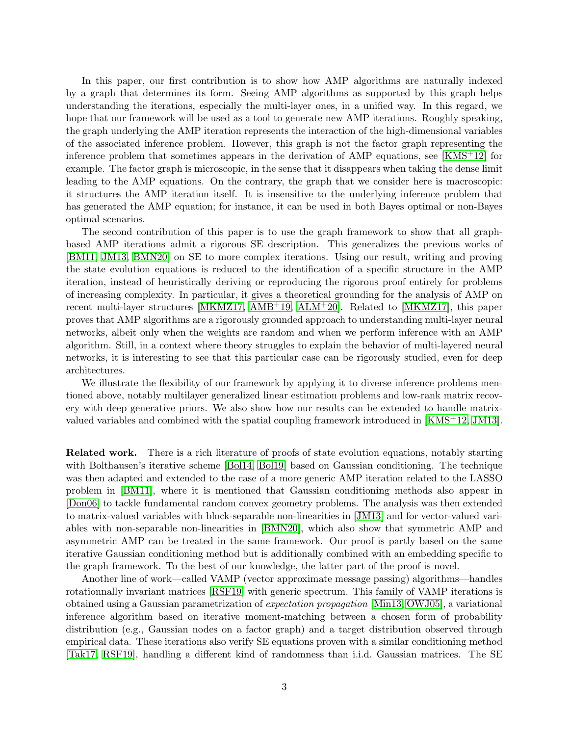In this paper, our first contribution is to show how AMP algorithms are naturally indexed by a graph that determines its form. Seeing AMP algorithms as supported by this graph helps understanding the iterations, especially the multi-layer ones, in a unified way. In this regard, we hope that our framework will be used as a tool to generate new AMP iterations. Roughly speaking, the graph underlying the AMP iteration represents the interaction of the high-dimensional variables of the associated inference problem. However, this graph is not the factor graph representing the inference problem that sometimes appears in the derivation of AMP equations, see [\[KMS](#page-22-2)+12] for example. The factor graph is microscopic, in the sense that it disappears when taking the dense limit leading to the AMP equations. On the contrary, the graph that we consider here is macroscopic: it structures the AMP iteration itself. It is insensitive to the underlying inference problem that has generated the AMP equation; for instance, it can be used in both Bayes optimal or non-Bayes optimal scenarios.

The second contribution of this paper is to use the graph framework to show that all graphbased AMP iterations admit a rigorous SE description. This generalizes the previous works of [\[BM11,](#page-20-1) [JM13,](#page-21-5) [BMN20\]](#page-21-6) on SE to more complex iterations. Using our result, writing and proving the state evolution equations is reduced to the identification of a specific structure in the AMP iteration, instead of heuristically deriving or reproducing the rigorous proof entirely for problems of increasing complexity. In particular, it gives a theoretical grounding for the analysis of AMP on recent multi-layer structures [\[MKMZ17,](#page-22-6) [AMB](#page-20-2)+19, [ALM](#page-20-3)+20]. Related to [\[MKMZ17\]](#page-22-6), this paper proves that AMP algorithms are a rigorously grounded approach to understanding multi-layer neural networks, albeit only when the weights are random and when we perform inference with an AMP algorithm. Still, in a context where theory struggles to explain the behavior of multi-layered neural networks, it is interesting to see that this particular case can be rigorously studied, even for deep architectures.

We illustrate the flexibility of our framework by applying it to diverse inference problems mentioned above, notably multilayer generalized linear estimation problems and low-rank matrix recovery with deep generative priors. We also show how our results can be extended to handle matrixvalued variables and combined with the spatial coupling framework introduced in [\[KMS](#page-22-2)+12, [JM13\]](#page-21-5).

Related work. There is a rich literature of proofs of state evolution equations, notably starting with Bolthausen's iterative scheme [\[Bol14,](#page-21-1) [Bol19\]](#page-21-2) based on Gaussian conditioning. The technique was then adapted and extended to the case of a more generic AMP iteration related to the LASSO problem in [\[BM11\]](#page-20-1), where it is mentioned that Gaussian conditioning methods also appear in [\[Don06\]](#page-21-7) to tackle fundamental random convex geometry problems. The analysis was then extended to matrix-valued variables with block-separable non-linearities in [\[JM13\]](#page-21-5) and for vector-valued variables with non-separable non-linearities in [\[BMN20\]](#page-21-6), which also show that symmetric AMP and asymmetric AMP can be treated in the same framework. Our proof is partly based on the same iterative Gaussian conditioning method but is additionally combined with an embedding specific to the graph framework. To the best of our knowledge, the latter part of the proof is novel.

Another line of work—called VAMP (vector approximate message passing) algorithms—handles rotationnally invariant matrices [\[RSF19\]](#page-23-3) with generic spectrum. This family of VAMP iterations is obtained using a Gaussian parametrization of expectation propagation [\[Min13,](#page-22-7) [OWJ05\]](#page-22-8), a variational inference algorithm based on iterative moment-matching between a chosen form of probability distribution (e.g., Gaussian nodes on a factor graph) and a target distribution observed through empirical data. These iterations also verify SE equations proven with a similar conditioning method [\[Tak17,](#page-23-4) [RSF19\]](#page-23-3), handling a different kind of randomness than i.i.d. Gaussian matrices. The SE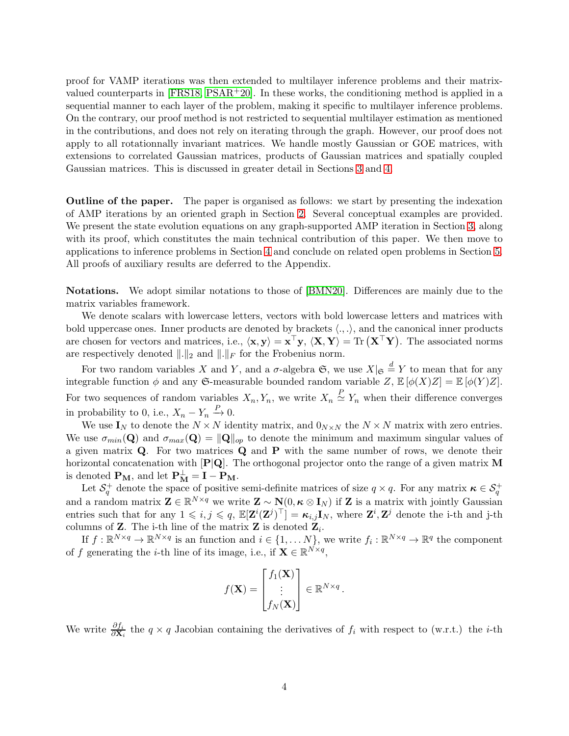proof for VAMP iterations was then extended to multilayer inference problems and their matrixvalued counterparts in  $[FRS18, PSAR+20]$  $[FRS18, PSAR+20]$  $[FRS18, PSAR+20]$ . In these works, the conditioning method is applied in a sequential manner to each layer of the problem, making it specific to multilayer inference problems. On the contrary, our proof method is not restricted to sequential multilayer estimation as mentioned in the contributions, and does not rely on iterating through the graph. However, our proof does not apply to all rotationnally invariant matrices. We handle mostly Gaussian or GOE matrices, with extensions to correlated Gaussian matrices, products of Gaussian matrices and spatially coupled Gaussian matrices. This is discussed in greater detail in Sections [3](#page-8-0) and [4.](#page-16-0)

Outline of the paper. The paper is organised as follows: we start by presenting the indexation of AMP iterations by an oriented graph in Section [2.](#page-4-0) Several conceptual examples are provided. We present the state evolution equations on any graph-supported AMP iteration in Section [3,](#page-8-0) along with its proof, which constitutes the main technical contribution of this paper. We then move to applications to inference problems in Section [4](#page-16-0) and conclude on related open problems in Section [5.](#page-19-1) All proofs of auxiliary results are deferred to the Appendix.

Notations. We adopt similar notations to those of [\[BMN20\]](#page-21-6). Differences are mainly due to the matrix variables framework.

We denote scalars with lowercase letters, vectors with bold lowercase letters and matrices with bold uppercase ones. Inner products are denoted by brackets  $\langle ., . \rangle$ , and the canonical inner products are chosen for vectors and matrices, i.e.,  $\langle x, y \rangle = x^{\top}y$ ,  $\langle X, Y \rangle = \text{Tr} (X^{\top}Y)$ . The associated norms are respectively denoted  $\|.\|_2$  and  $\|.\|_F$  for the Frobenius norm.

For two random variables X and Y, and a  $\sigma$ -algebra  $\mathfrak{S}$ , we use  $X|_{\mathfrak{S}} \stackrel{d}{=} Y$  to mean that for any integrable function  $\phi$  and any G-measurable bounded random variable Z,  $\mathbb{E}[\phi(X)Z] = \mathbb{E}[\phi(Y)Z]$ . For two sequences of random variables  $X_n, Y_n$ , we write  $X_n \overset{P}{\simeq} Y_n$  when their difference converges in probability to 0, i.e.,  $X_n - Y_n \xrightarrow{P} 0$ .

We use  $I_N$  to denote the  $N \times N$  identity matrix, and  $0_{N \times N}$  the  $N \times N$  matrix with zero entries. We use  $\sigma_{min}(\mathbf{Q})$  and  $\sigma_{max}(\mathbf{Q}) = ||\mathbf{Q}||_{op}$  to denote the minimum and maximum singular values of a given matrix  $Q$ . For two matrices  $Q$  and  $P$  with the same number of rows, we denote their horizontal concatenation with  $[P|Q]$ . The orthogonal projector onto the range of a given matrix M is denoted  $\mathbf{P}_{\mathbf{M}}$ , and let  $\mathbf{P}_{\mathbf{M}}^{\perp} = \mathbf{I} - \mathbf{P}_{\mathbf{M}}$ .

Let  $\mathcal{S}_q^+$  denote the space of positive semi-definite matrices of size  $q \times q$ . For any matrix  $\kappa \in \mathcal{S}_q^+$ and a random matrix  $\mathbf{Z} \in \mathbb{R}^{N \times q}$  we write  $\mathbf{Z} \sim \mathbf{N}(0, \kappa \otimes \mathbf{I}_N)$  if  $\mathbf{Z}$  is a matrix with jointly Gaussian entries such that for any  $1 \leqslant i, j \leqslant q$ ,  $\mathbb{E}[\mathbf{Z}^i(\mathbf{Z}^j)^{\top}] = \kappa_{i,j} \mathbf{I}_N$ , where  $\mathbf{Z}^i, \mathbf{Z}^j$  denote the i-th and j-th columns of **Z**. The i-th line of the matrix **Z** is denoted  $\mathbf{Z}_i$ .

If  $f: \mathbb{R}^{N \times q} \to \mathbb{R}^{N \times q}$  is an function and  $i \in \{1, ..., N\}$ , we write  $f_i: \mathbb{R}^{N \times q} \to \mathbb{R}^q$  the component of f generating the *i*-th line of its image, i.e., if  $\mathbf{X} \in \mathbb{R}^{N \times q}$ ,

$$
f(\mathbf{X}) = \begin{bmatrix} f_1(\mathbf{X}) \\ \vdots \\ f_N(\mathbf{X}) \end{bmatrix} \in \mathbb{R}^{N \times q}.
$$

We write  $\frac{\partial f_i}{\partial \mathbf{X}_i}$  the  $q \times q$  Jacobian containing the derivatives of  $f_i$  with respect to (w.r.t.) the *i*-th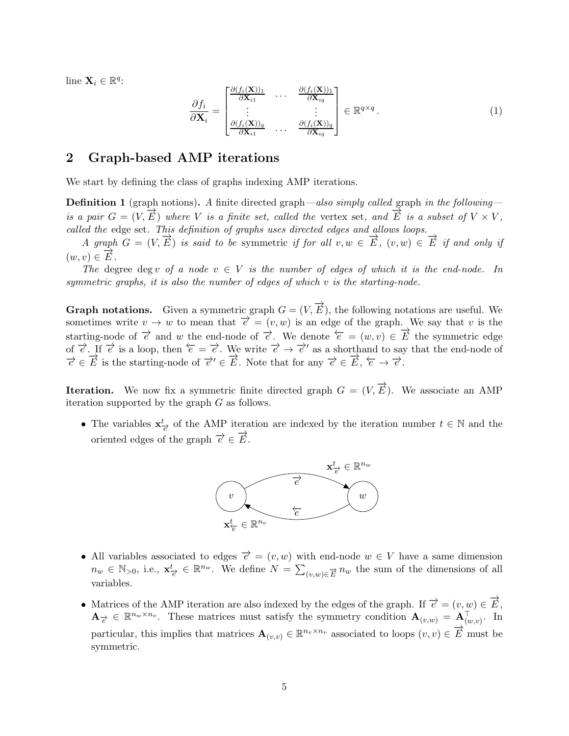line  $\mathbf{X}_i \in \mathbb{R}^q$ :

<span id="page-4-1"></span>
$$
\frac{\partial f_i}{\partial \mathbf{X}_i} = \begin{bmatrix} \frac{\partial (f_i(\mathbf{X}))_1}{\partial \mathbf{X}_{i1}} & \cdots & \frac{\partial (f_i(\mathbf{X}))_1}{\partial \mathbf{X}_{iq}} \\ \vdots & \vdots & \vdots \\ \frac{\partial (f_i(\mathbf{X}))_q}{\partial \mathbf{X}_{i1}} & \cdots & \frac{\partial (f_i(\mathbf{X}))_q}{\partial \mathbf{X}_{iq}} \end{bmatrix} \in \mathbb{R}^{q \times q}.
$$
 (1)

## <span id="page-4-0"></span>2 Graph-based AMP iterations

We start by defining the class of graphs indexing AMP iterations.

**Definition 1** (graph notions). A finite directed graph—also simply called graph in the following is a pair  $G = (V, \vec{E})$  where V is a finite set, called the vertex set, and  $\vec{E}$  is a subset of  $V \times V$ , called the edge set. This definition of graphs uses directed edges and allows loops.

A graph  $G = (V, \overrightarrow{E})$  is said to be symmetric if for all  $v, w \in \overrightarrow{E}$ ,  $(v, w) \in \overrightarrow{E}$  if and only if  $(w, v) \in \overrightarrow{E}$ .

The degree deg v of a node  $v \in V$  is the number of edges of which it is the end-node. In symmetric graphs, it is also the number of edges of which v is the starting-node.

**Graph notations.** Given a symmetric graph  $G = (V, \vec{E})$ , the following notations are useful. We sometimes write  $v \to w$  to mean that  $\overrightarrow{e} = (v, w)$  is an edge of the graph. We say that v is the starting-node of  $\vec{e}$  and w the end-node of  $\vec{e}$ . We denote  $\vec{e} = (w, v) \in \vec{E}$  the symmetric edge of  $\overrightarrow{e}$ . If  $\overrightarrow{e}$  is a loop, then  $\overleftarrow{e} = \overrightarrow{e}$ . We write  $\overrightarrow{e} \to \overrightarrow{e}'$  as a shorthand to say that the end-node of  $\vec{e} \in \vec{E}$  is the starting-node of  $\vec{e}' \in \vec{E}$ . Note that for any  $\vec{e} \in \vec{E}$ ,  $\vec{e} \to \vec{e}$ .

**Iteration.** We now fix a symmetric finite directed graph  $G = (V, \vec{E})$ . We associate an AMP iteration supported by the graph G as follows.

• The variables  $\mathbf{x}^t_{\neq}$  of the AMP iteration are indexed by the iteration number  $t \in \mathbb{N}$  and the oriented edges of the graph  $\overrightarrow{e} \in \overrightarrow{E}$ .



- All variables associated to edges  $\vec{e} = (v, w)$  with end-node  $w \in V$  have a same dimension  $n_w \in \mathbb{N}_{>0}$ , i.e.,  $\mathbf{x}_{\overrightarrow{e}}^t \in \mathbb{R}^{n_w}$ . We define  $N = \sum_{(v,w)\in \overrightarrow{E}} n_w$  the sum of the dimensions of all variables.
- Matrices of the AMP iteration are also indexed by the edges of the graph. If  $\vec{e} = (v, \psi) \in \vec{E}$ ,  $\mathbf{A}_{\vec{e}} \in \mathbb{R}^{n_w \times n_v}$ . These matrices must satisfy the symmetry condition  $\mathbf{A}_{(v,w)} = \mathbf{A}_{(w,v)}^{\top}$ . In particular, this implies that matrices  $\mathbf{A}_{(v,v)} \in \mathbb{R}^{n_v \times n_v}$  associated to loops  $(v, v) \in \overrightarrow{E}$  must be symmetric.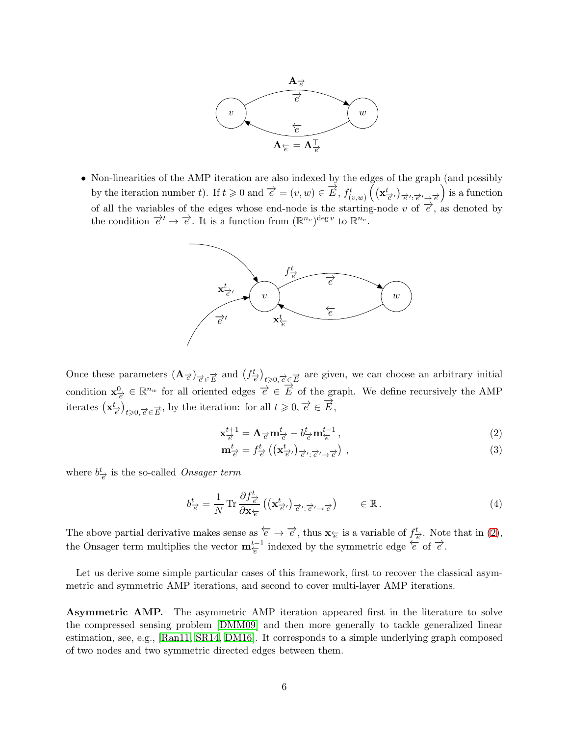

• Non-linearities of the AMP iteration are also indexed by the edges of the graph (and possibly by the iteration number t). If  $t \ge 0$  and  $\overrightarrow{e} = (v, w) \in \overrightarrow{E}$ ,  $f_{(v,w)}^t \left( (\mathbf{x}_{\overrightarrow{e'}}^t)_{\overrightarrow{e'};\overrightarrow{e'} \rightarrow \overrightarrow{e'}} \right)$  is a function of all the variables of the edges whose end-node is the starting-node v of  $\overrightarrow{e}$ , as denoted by the condition  $\overrightarrow{e}' \to \overrightarrow{e}$ . It is a function from  $(\mathbb{R}^{n_v})^{\deg v}$  to  $\mathbb{R}^{n_v}$ .



Once these parameters  $(\mathbf{A}_{\vec{\epsilon}})_{\vec{\epsilon} \in \vec{E}}$  and  $(f^t_{\vec{\epsilon}})_{t \geqslant 0, \vec{\epsilon} \in \vec{E}}$  are given, we can choose an arbitrary initial condition  $\mathbf{x}_{\overrightarrow{e}}^0 \in \mathbb{R}^{n_w}$  for all oriented edges  $\overrightarrow{e} \in \overrightarrow{E}$  of the graph. We define recursively the AMP iterates  $(\mathbf{x}_{\overrightarrow{e}}^t)_{t\geqslant0, \overrightarrow{e} \in \overrightarrow{E}}$ , by the iteration: for all  $t \geqslant 0, \overrightarrow{e} \in \overrightarrow{E}$ ,

$$
\mathbf{x}_{\overrightarrow{e}}^{t+1} = \mathbf{A}_{\overrightarrow{e}} \mathbf{m}_{\overrightarrow{e}}^t - b_{\overrightarrow{e}}^t \mathbf{m}_{\overleftarrow{e}}^{t-1},\tag{2}
$$

<span id="page-5-1"></span><span id="page-5-0"></span>
$$
\mathbf{m}_{\vec{e}}^t = f_{\vec{e}}^t \left( \left( \mathbf{x}_{\vec{e}}^t \right)_{\vec{e}} \right)_{\vec{e}} \left( \mathbf{x}_{\vec{e}}^t \right), \tag{3}
$$

where  $b_{\vec{e}}^t$  is the so-called *Onsager term* 

<span id="page-5-2"></span>
$$
b_{\vec{e}}^t = \frac{1}{N} \operatorname{Tr} \frac{\partial f_{\vec{e}}^t}{\partial \mathbf{x}_{\vec{e}}} \left( (\mathbf{x}_{\vec{e}}^t)_{\vec{e}^t : \vec{e}^t \to \vec{e}} \right) \qquad \in \mathbb{R} \,.
$$

The above partial derivative makes sense as  $\overleftarrow{e} \to \overrightarrow{e}$ , thus  $\mathbf{x}_{\overleftarrow{e}}$  is a variable of  $f_{\overrightarrow{e}}^t$ . Note that in [\(2\)](#page-5-0), the Onsager term multiplies the vector  $\mathbf{m}_{\varepsilon}^{t-1}$  indexed by the symmetric edge  $\overleftarrow{e}$  of  $\overrightarrow{e}$ .

Let us derive some simple particular cases of this framework, first to recover the classical asymmetric and symmetric AMP iterations, and second to cover multi-layer AMP iterations.

Asymmetric AMP. The asymmetric AMP iteration appeared first in the literature to solve the compressed sensing problem [\[DMM09\]](#page-21-0) and then more generally to tackle generalized linear estimation, see, e.g., [\[Ran11,](#page-22-3) [SR14,](#page-23-5) [DM16\]](#page-21-3). It corresponds to a simple underlying graph composed of two nodes and two symmetric directed edges between them.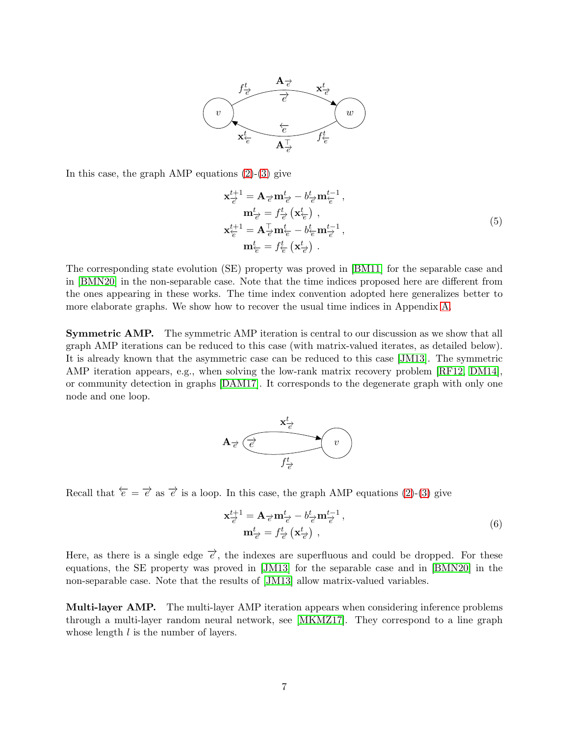

In this case, the graph  $\text{AMP}$  equations  $(2)-(3)$  $(2)-(3)$  give

<span id="page-6-0"></span>
$$
\mathbf{x}_{\overrightarrow{e}}^{t+1} = \mathbf{A}_{\overrightarrow{e}} \mathbf{m}_{\overrightarrow{e}}^{t} - b_{\overrightarrow{e}}^{t} \mathbf{m}_{\overleftarrow{e}}^{t-1}, \n\mathbf{m}_{\overrightarrow{e}}^{t} = f_{\overrightarrow{e}}^{t} (\mathbf{x}_{\overleftarrow{e}}^{t}), \n\mathbf{x}_{\overleftarrow{e}}^{t+1} = \mathbf{A}_{\overrightarrow{e}}^{\top} \mathbf{m}_{\overleftarrow{e}}^{t} - b_{\overleftarrow{e}}^{t} \mathbf{m}_{\overrightarrow{e}}^{t-1}, \n\mathbf{m}_{\overleftarrow{e}}^{t} = f_{\overleftarrow{e}}^{t} (\mathbf{x}_{\overrightarrow{e}}^{t}).
$$
\n(5)

The corresponding state evolution (SE) property was proved in [\[BM11\]](#page-20-1) for the separable case and in [\[BMN20\]](#page-21-6) in the non-separable case. Note that the time indices proposed here are different from the ones appearing in these works. The time index convention adopted here generalizes better to more elaborate graphs. We show how to recover the usual time indices in Appendix [A.](#page-24-0)

Symmetric AMP. The symmetric AMP iteration is central to our discussion as we show that all graph AMP iterations can be reduced to this case (with matrix-valued iterates, as detailed below). It is already known that the asymmetric case can be reduced to this case [\[JM13\]](#page-21-5). The symmetric AMP iteration appears, e.g., when solving the low-rank matrix recovery problem [\[RF12,](#page-23-2) [DM14\]](#page-21-4), or community detection in graphs [\[DAM17\]](#page-21-9). It corresponds to the degenerate graph with only one node and one loop.



Recall that  $\overleftarrow{e} = \overrightarrow{e}$  as  $\overrightarrow{e}$  is a loop. In this case, the graph AMP equations [\(2\)](#page-5-0)-[\(3\)](#page-5-1) give

<span id="page-6-1"></span>
$$
\mathbf{x}_{\overrightarrow{e}}^{t+1} = \mathbf{A}_{\overrightarrow{e}} \mathbf{m}_{\overrightarrow{e}}^t - b_{\overrightarrow{e}}^t \mathbf{m}_{\overrightarrow{e}}^{t-1}, \mathbf{m}_{\overrightarrow{e}}^t = f_{\overrightarrow{e}}^t \left( \mathbf{x}_{\overrightarrow{e}}^t \right) ,
$$
\n(6)

Here, as there is a single edge  $\overrightarrow{e}$ , the indexes are superfluous and could be dropped. For these equations, the SE property was proved in [\[JM13\]](#page-21-5) for the separable case and in [\[BMN20\]](#page-21-6) in the non-separable case. Note that the results of [\[JM13\]](#page-21-5) allow matrix-valued variables.

Multi-layer AMP. The multi-layer AMP iteration appears when considering inference problems through a multi-layer random neural network, see [\[MKMZ17\]](#page-22-6). They correspond to a line graph whose length  $l$  is the number of layers.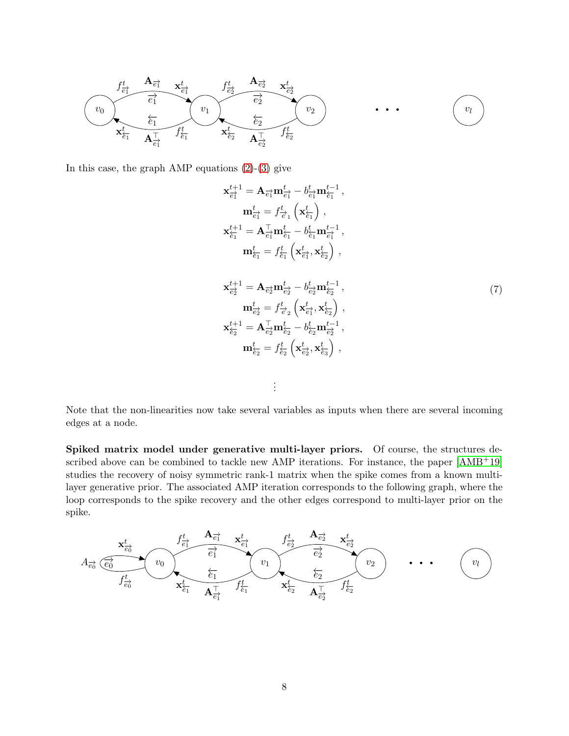

In this case, the graph AMP equations  $(2)-(3)$  $(2)-(3)$  give

$$
\mathbf{x}_{\overline{e}_{1}^{+}}^{t+1} = \mathbf{A}_{\overline{e}_{1}^{+}} \mathbf{m}_{\overline{e}_{1}^{+}}^{t} - b_{\overline{e}_{1}^{+}}^{t} \mathbf{m}_{\overline{e}_{1}^{+}}^{t-1}, \n\mathbf{m}_{\overline{e}_{1}^{+}}^{t} = f_{\overline{e}_{1}}^{t} \left( \mathbf{x}_{\overline{e}_{1}}^{t} \right), \n\mathbf{x}_{\overline{e}_{1}}^{t+1} = \mathbf{A}_{\overline{e}_{1}}^{\top} \mathbf{m}_{\overline{e}_{1}}^{t} - b_{\overline{e}_{1}}^{t} \mathbf{m}_{\overline{e}_{1}}^{t-1}, \n\mathbf{m}_{\overline{e}_{1}}^{t} = f_{\overline{e}_{1}}^{t} \left( \mathbf{x}_{\overline{e}_{1}}^{t}, \mathbf{x}_{\overline{e}_{2}}^{t} \right), \n\mathbf{x}_{\overline{e}_{2}}^{t+1} = \mathbf{A}_{\overline{e}_{2}} \mathbf{m}_{\overline{e}_{2}}^{t} - b_{\overline{e}_{2}}^{t} \mathbf{m}_{\overline{e}_{2}}^{t-1}, \n\mathbf{m}_{\overline{e}_{2}}^{t} = f_{\overline{e}_{2}}^{t} \left( \mathbf{x}_{\overline{e}_{1}}^{t}, \mathbf{x}_{\overline{e}_{2}}^{t} \right), \n\mathbf{x}_{\overline{e}_{2}}^{t+1} = \mathbf{A}_{\overline{e}_{2}}^{\top} \mathbf{m}_{\overline{e}_{2}}^{t} - b_{\overline{e}_{2}}^{t} \mathbf{m}_{\overline{e}_{2}}^{t-1}, \n\mathbf{m}_{\overline{e}_{2}}^{t} = f_{\overline{e}_{2}}^{t} \left( \mathbf{x}_{\overline{e}_{2}}^{t}, \mathbf{x}_{\overline{e}_{3}}^{t} \right), \n\vdots
$$
\n(7)

Note that the non-linearities now take several variables as inputs when there are several incoming edges at a node.

Spiked matrix model under generative multi-layer priors. Of course, the structures described above can be combined to tackle new AMP iterations. For instance, the paper [\[AMB](#page-20-2)+19] studies the recovery of noisy symmetric rank-1 matrix when the spike comes from a known multilayer generative prior. The associated AMP iteration corresponds to the following graph, where the loop corresponds to the spike recovery and the other edges correspond to multi-layer prior on the spike.

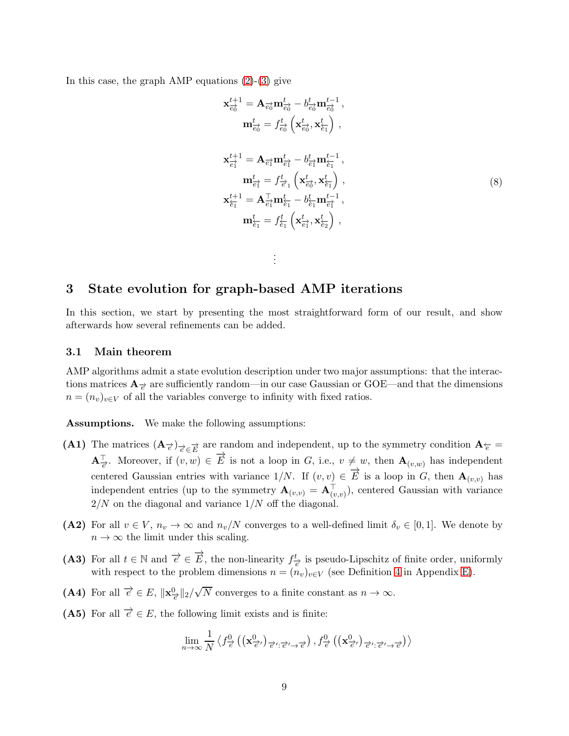In this case, the graph AMP equations  $(2)-(3)$  $(2)-(3)$  give

$$
\mathbf{x}_{\vec{e_0}}^{t+1} = \mathbf{A}_{\vec{e_0}} \mathbf{m}_{\vec{e_0}}^t - b_{\vec{e_0}}^t \mathbf{m}_{\vec{e_0}}^{t-1},
$$
\n
$$
\mathbf{m}_{\vec{e_0}}^t = f_{\vec{e_0}}^t \left( \mathbf{x}_{\vec{e_0}}^t, \mathbf{x}_{\vec{e_1}}^t \right),
$$
\n
$$
\mathbf{x}_{\vec{e_1}}^{t+1} = \mathbf{A}_{\vec{e_1}} \mathbf{m}_{\vec{e_1}}^t - b_{\vec{e_1}}^t \mathbf{m}_{\vec{e_1}}^{t-1},
$$
\n
$$
\mathbf{m}_{\vec{e_1}}^t = f_{\vec{e_1}}^t \left( \mathbf{x}_{\vec{e_0}}^t, \mathbf{x}_{\vec{e_1}}^t \right),
$$
\n
$$
\mathbf{x}_{\vec{e_1}}^{t+1} = \mathbf{A}_{\vec{e_1}}^\top \mathbf{m}_{\vec{e_1}}^t - b_{\vec{e_1}}^t \mathbf{m}_{\vec{e_1}}^{t-1},
$$
\n
$$
\mathbf{m}_{\vec{e_1}}^t = f_{\vec{e_1}}^t \left( \mathbf{x}_{\vec{e_1}}^t, \mathbf{x}_{\vec{e_2}}^t \right),
$$
\n(8)

## <span id="page-8-0"></span>3 State evolution for graph-based AMP iterations

In this section, we start by presenting the most straightforward form of our result, and show afterwards how several refinements can be added.

<span id="page-8-3"></span>. . .

### <span id="page-8-1"></span>3.1 Main theorem

AMP algorithms admit a state evolution description under two major assumptions: that the interactions matrices  $\mathbf{A}_{\neq}$  are sufficiently random—in our case Gaussian or GOE—and that the dimensions  $n = (n_v)_{v \in V}$  of all the variables converge to infinity with fixed ratios.

<span id="page-8-2"></span>Assumptions. We make the following assumptions:

- (A1) The matrices  $(A_{\vec{\epsilon}})_{\vec{\epsilon} \in \vec{E}}$  are random and independent, up to the symmetry condition  $A_{\vec{\epsilon}} =$  ${\bf A}_{\overrightarrow{e}}^{\top}$ . Moreover, if  $(v, w) \in \overrightarrow{E}$  is not a loop in G, i.e.,  $v \neq w$ , then  ${\bf A}_{(v,w)}$  has independent centered Gaussian entries with variance  $1/N$ . If  $(v, v) \in \overrightarrow{E}$  is a loop in G, then  $\mathbf{A}_{(v,v)}$  has independent entries (up to the symmetry  $\mathbf{A}_{(v,v)} = \mathbf{A}_{(v,v)}^{\perp}$ ), centered Gaussian with variance  $2/N$  on the diagonal and variance  $1/N$  off the diagonal.
- (A2) For all  $v \in V$ ,  $n_v \to \infty$  and  $n_v/N$  converges to a well-defined limit  $\delta_v \in [0,1]$ . We denote by  $n \to \infty$  the limit under this scaling.
- (A3) For all  $t \in \mathbb{N}$  and  $\overrightarrow{e} \in \overrightarrow{E}$ , the non-linearity  $f_{\overrightarrow{e}}^t$  is pseudo-Lipschitz of finite order, uniformly with respect to the problem dimensions  $n = (n_v)_{v \in V}$  (see Definition [4](#page-54-0) in Appendix [E\)](#page-53-0).
- (A4) For all  $\vec{e} \in E$ ,  $\|\mathbf{x}_{\vec{e}}^0\|_2 / \sqrt{N}$  converges to a finite constant as  $n \to \infty$ .
- (A5) For all  $\overrightarrow{e} \in E$ , the following limit exists and is finite:

$$
\lim_{n\to\infty}\frac{1}{N}\left\langle f^0_{\overrightarrow{e}}\left(\left(\mathbf{x}^0_{\overrightarrow{e}'}\right)_{\overrightarrow{e}':\overrightarrow{e}'\to\overrightarrow{e}}\right),f^0_{\overrightarrow{e}}\left(\left(\mathbf{x}^0_{\overrightarrow{e}'}\right)_{\overrightarrow{e}':\overrightarrow{e}'\to\overrightarrow{e}}\right)\right\rangle
$$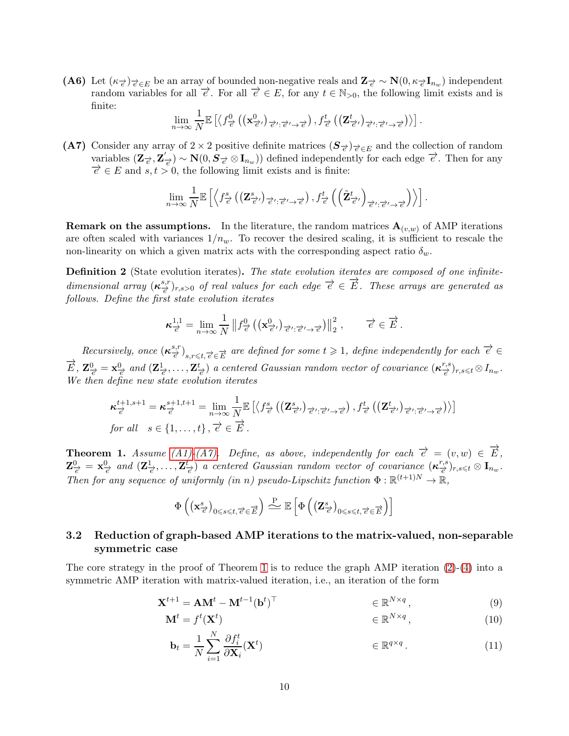(A6) Let  $(\kappa_{\vec{e}})_{\vec{e} \in E}$  be an array of bounded non-negative reals and  $\mathbf{Z}_{\vec{e}} \sim \mathbf{N}(0, \kappa_{\vec{e}} \mathbf{I}_{n_w})$  independent random variables for all  $\vec{e}$ . For all  $\vec{e} \in E$ , for any  $t \in \mathbb{N}_{>0}$ , the following limit exists and is finite:

$$
\lim_{n\to\infty}\frac{1}{N}\mathbb{E}\left[\left\langle f_{\overrightarrow{e}}^0\left(\left(\mathbf{x}^0_{\overrightarrow{e}'}\right)_{\overrightarrow{e}':\overrightarrow{e}'\rightarrow\overrightarrow{e}}\right),f_{\overrightarrow{e}}^t\left(\left(\mathbf{Z}^t_{\overrightarrow{e}'}\right)_{\overrightarrow{e}':\overrightarrow{e}'\rightarrow\overrightarrow{e}}\right)\right\rangle\right].
$$

<span id="page-9-1"></span>(A7) Consider any array of 2 × 2 positive definite matrices  $(S_{\vec{\epsilon}})_{\vec{\epsilon} \in E}$  and the collection of random variables  $(\mathbf{Z}_{\overrightarrow{e}}, \mathbf{Z}')$  $(\vec{e}) \sim \mathbf{N}(0, \mathbf{S}_{\vec{e}} \otimes \mathbf{I}_{n_w})$  defined independently for each edge  $\vec{e}$ . Then for any  $\overrightarrow{e} \in E$  and  $s, t > 0$ , the following limit exists and is finite:

$$
\lim_{n\to\infty}\frac{1}{N}\mathbb{E}\left[\left\langle f^s_{\overrightarrow{e}}\left(\left(\mathbf{Z}^s_{\overrightarrow{e}'}\right)_{\overrightarrow{e}':\overrightarrow{e}'\rightarrow\overrightarrow{e}}\right),f^t_{\overrightarrow{e}}\left(\left(\tilde{\mathbf{Z}}^t_{\overrightarrow{e}'}\right)_{\overrightarrow{e}':\overrightarrow{e}'\rightarrow\overrightarrow{e}}\right)\right\rangle\right].
$$

**Remark on the assumptions.** In the literature, the random matrices  $A_{(v,w)}$  of AMP iterations are often scaled with variances  $1/n_w$ . To recover the desired scaling, it is sufficient to rescale the non-linearity on which a given matrix acts with the corresponding aspect ratio  $\delta_w$ .

Definition 2 (State evolution iterates). The state evolution iterates are composed of one infinitedimensional array  $(\kappa_{\overrightarrow{e}}^{s,r})$  $(\frac{s,r}{e})_{r,s>0}$  of real values for each edge  $\vec{e} \in \vec{E}$ . These arrays are generated as follows. Define the first state evolution iterates

$$
\kappa_{\overrightarrow{e}}^{1,1} = \lim_{n \to \infty} \frac{1}{N} \| f_{\overrightarrow{e}}^0 \left( (\mathbf{x}_{\overrightarrow{e'}}^0)_{\overrightarrow{e'}:\overrightarrow{e'} \to \overrightarrow{e}} \right) \|^2_2, \qquad \overrightarrow{e} \in \overrightarrow{E}.
$$

Recursively, once  $(\kappa_{\overrightarrow{a}}^{s,r})$  $\left(\frac{s,r}{e}\right)_{s,r\leq t,\overrightarrow{e}\in\overrightarrow{E}}$  are defined for some  $t\geqslant 1$ , define independently for each  $\overrightarrow{e}\in\overrightarrow{E}$  $\overrightarrow{E}, \mathbf{Z}_{\overrightarrow{e}}^{0} = \mathbf{x}_{\overrightarrow{e}}^{0}$  and  $(\mathbf{Z}_{\overrightarrow{e}}^{1}, \ldots, \mathbf{Z}_{\overrightarrow{e}}^{t})$  a centered Gaussian random vector of covariance  $(\boldsymbol{\kappa}_{\overrightarrow{e}}^{r,s})$  $(\frac{r,s}{e})_{r,s\leqslant t}\otimes I_{n_w}$  . We then define new state evolution iterates

$$
\kappa_{\overrightarrow{e}}^{t+1,s+1} = \kappa_{\overrightarrow{e}}^{s+1,t+1} = \lim_{n \to \infty} \frac{1}{N} \mathbb{E} \left[ \left\langle f_{\overrightarrow{e}}^s \left( \left( \mathbf{Z}_{\overrightarrow{e}'}^s \right)_{\overrightarrow{e}':\overrightarrow{e}' \to \overrightarrow{e}} \right), f_{\overrightarrow{e}}^t \left( \left( \mathbf{Z}_{\overrightarrow{e}'}^t \right)_{\overrightarrow{e}':\overrightarrow{e}' \to \overrightarrow{e}} \right) \right\rangle \right]
$$
  
for all  $s \in \{1, ..., t\}, \overrightarrow{e} \in \overrightarrow{E}$ .

<span id="page-9-2"></span>**Theorem 1.** Assume [\(A1\)](#page-8-2)[-\(A7\).](#page-9-1) Define, as above, independently for each  $\vec{e} = (v, w) \in \vec{E}$ ,  $\mathbf{Z}_{\overrightarrow{e}}^{0} = \mathbf{x}_{\overrightarrow{e}}^{0}$  and  $(\mathbf{Z}_{\overrightarrow{e}}^{1}, \ldots, \mathbf{Z}_{\overrightarrow{e}}^{t})$  a centered Gaussian random vector of covariance  $(\boldsymbol{\kappa}_{\overrightarrow{e}}^{r,s})$  $(\frac{r,s}{e})_{r,s\leqslant t}\otimes \mathbf{I}_{n_{w}}$  . Then for any sequence of uniformly (in n) pseudo-Lipschitz function  $\Phi : \mathbb{R}^{(t+1)N} \to \mathbb{R}$ ,

$$
\Phi\left(\left(\mathbf{x}^s_{\overrightarrow{e}}\right)_{0\leqslant s\leqslant t,\overrightarrow{e}\in\overrightarrow{E}}\right)\overset{\mathbf{P}}{\rightleftharpoons}\mathbb{E}\left[\Phi\left(\left(\mathbf{Z}^s_{\overrightarrow{e}}\right)_{0\leqslant s\leqslant t,\overrightarrow{e}\in\overrightarrow{E}}\right)\right]
$$

## <span id="page-9-0"></span>3.2 Reduction of graph-based AMP iterations to the matrix-valued, non-separable symmetric case

The core strategy in the proof of Theorem [1](#page-9-2) is to reduce the graph AMP iteration  $(2)-(4)$  $(2)-(4)$  into a symmetric AMP iteration with matrix-valued iteration, i.e., an iteration of the form

$$
\mathbf{X}^{t+1} = \mathbf{A}\mathbf{M}^t - \mathbf{M}^{t-1}(\mathbf{b}^t)^\top \qquad \qquad \in \mathbb{R}^{N \times q}, \tag{9}
$$

$$
\mathbf{M}^t = f^t(\mathbf{X}^t) \qquad \qquad \in \mathbb{R}^{N \times q}, \tag{10}
$$

<span id="page-9-4"></span><span id="page-9-3"></span>
$$
\mathbf{b}_{t} = \frac{1}{N} \sum_{i=1}^{N} \frac{\partial f_{i}^{t}}{\partial \mathbf{X}_{i}} (\mathbf{X}^{t}) \qquad \in \mathbb{R}^{q \times q} \,.
$$
 (11)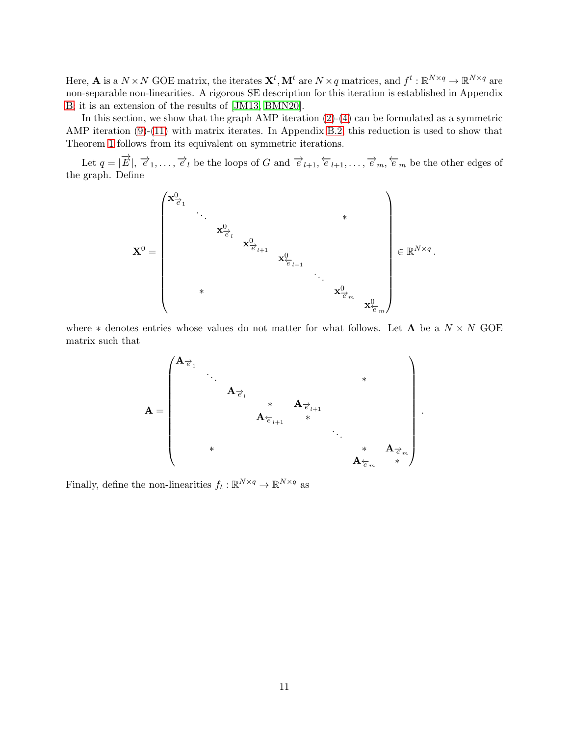Here, **A** is a  $N \times N$  GOE matrix, the iterates  $\mathbf{X}^t$ ,  $\mathbf{M}^t$  are  $N \times q$  matrices, and  $f^t : \mathbb{R}^{N \times q} \to \mathbb{R}^{N \times q}$  are non-separable non-linearities. A rigorous SE description for this iteration is established in Appendix [B;](#page-25-0) it is an extension of the results of [\[JM13,](#page-21-5) [BMN20\]](#page-21-6).

In this section, we show that the graph AMP iteration  $(2)-(4)$  $(2)-(4)$  can be formulated as a symmetric AMP iteration [\(9\)](#page-9-3)-[\(11\)](#page-9-4) with matrix iterates. In Appendix [B.2,](#page-26-0) this reduction is used to show that Theorem [1](#page-9-2) follows from its equivalent on symmetric iterations.

Let  $q = |\vec{E}|$ ,  $\vec{e}_1, \ldots, \vec{e}_l$  be the loops of G and  $\vec{e}_{l+1}, \vec{e}_{l+1}, \ldots, \vec{e}_m, \vec{e}_m$  be the other edges of the graph. Define



where  $*$  denotes entries whose values do not matter for what follows. Let **A** be a  $N \times N$  GOE matrix such that

$$
\mathbf{A} = \begin{pmatrix} \mathbf{A}_{\vec{e}_1} & & & & & & & \\ & \ddots & & & & & & \\ & & \mathbf{A}_{\vec{e}_l} & & & & \\ & & & \mathbf{A}_{\vec{e}_{l+1}} & & & \\ & & & & \mathbf{A}_{\vec{e}_{l+1}} & & \\ & & & & & \ddots & & \\ & & & & & & \mathbf{A}_{\vec{e}_m} & \\ & & & & & & \mathbf{A}_{\vec{e}_m} & & \\ & & & & & & & \mathbf{A}_{\vec{e}_m} & \\ & & & & & & & \mathbf{A}_{\vec{e}_m} & & \\ & & & & & & & \mathbf{A}_{\vec{e}_m} & & \\ & & & & & & & \mathbf{A}_{\vec{e}_m} & & \\ & & & & & & & \mathbf{A}_{\vec{e}_m} & & \\ & & & & & & & \mathbf{A}_{\vec{e}_m} & & \\ & & & & & & & \mathbf{A}_{\vec{e}_m} & & \\ & & & & & & & \mathbf{A}_{\vec{e}_m} & & \\ & & & & & & & & \mathbf{A}_{\vec{e}_m} & & \\ & & & & & & & & \mathbf{A}_{\vec{e}_m} & & \\ & & & & & & & & \mathbf{A}_{\vec{e}_m} & & \\ & & & & & & & & \mathbf{A}_{\vec{e}_m} & & \\ & & & & & & & & \mathbf{A}_{\vec{e}_m} & & \\ & & & & & & & & \mathbf{A}_{\vec{e}_m} & & \\ & & & & & & & & \mathbf{A}_{\vec{e}_m} & & \\ & & & & & & & & \mathbf{A}_{\vec{e}_m} & & \\ & & & & & & & & \mathbf{A}_{\vec{e}_m} & & \\ & & & & & & & & \mathbf{A}_{\vec{e}_m} & & \\ & & & & & & & & \mathbf{A}_{\vec{e}_m} & & \\ & & & & & & & & \mathbf{A}_{\vec{e}_m} & & \\ & & & & & & & & \mathbf{A}_{\vec{e}_m} & & \\ & & & & & & & & \mathbf{A}_{\vec{e}_m} & & \\ & & & & & & & & \mathbf{A}_{\vec{e}_m} & & \\ & & & & & & & & \mathbf{A}_{\vec{e}_m} & & \\ & & & & & & & & \mathbf{A}_{\vec{e}_m} & & \\ & & & & & &
$$

.

Finally, define the non-linearities  $f_t : \mathbb{R}^{N \times q} \to \mathbb{R}^{N \times q}$  as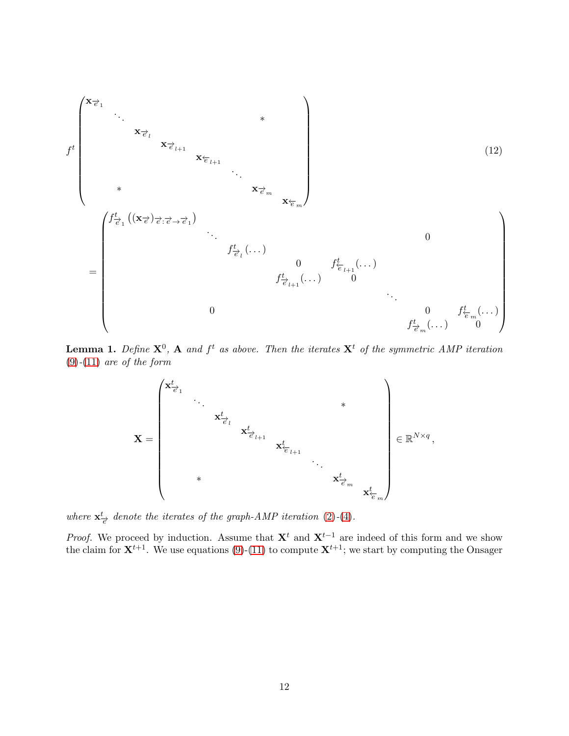

<span id="page-11-0"></span>**Lemma 1.** Define  $X^0$ , A and  $f^t$  as above. Then the iterates  $X^t$  of the symmetric AMP iteration  $(9)-(11)$  $(9)-(11)$  $(9)-(11)$  are of the form



where  $\mathbf{x}_{\vec{e}}^t$  denote the iterates of the graph-AMP iteration [\(2\)](#page-5-0)-[\(4\)](#page-5-2).

*Proof.* We proceed by induction. Assume that  $X<sup>t</sup>$  and  $X<sup>t-1</sup>$  are indeed of this form and we show the claim for  $X^{t+1}$ . We use equations [\(9\)](#page-9-3)-[\(11\)](#page-9-4) to compute  $X^{t+1}$ ; we start by computing the Onsager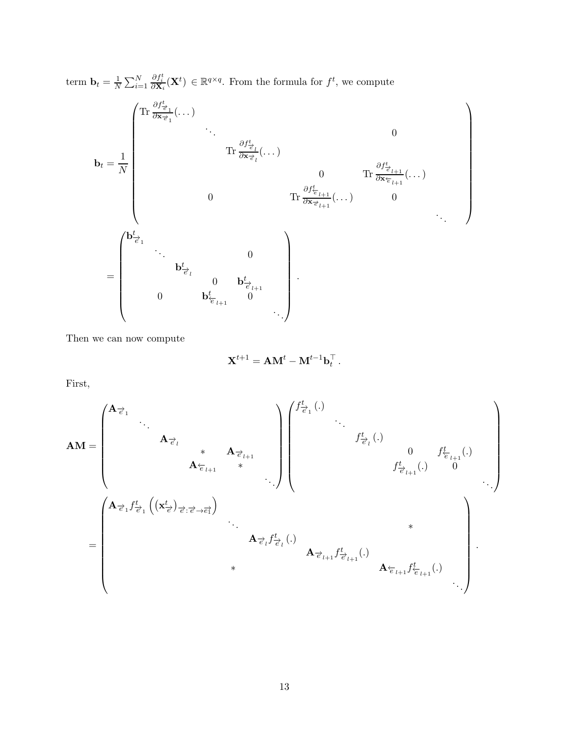term  $\mathbf{b}_t = \frac{1}{N}$  $\frac{1}{N} \sum_{i=1}^{N}$  $\frac{\partial f_i^t}{\partial \mathbf{X}_i}(\mathbf{X}^t) \in \mathbb{R}^{q \times q}$ . From the formula for  $f^t$ , we compute

b<sup>t</sup> = 1 N Tr ∂ft−→<sup>e</sup> <sup>1</sup> <sup>∂</sup>x−→<sup>e</sup> <sup>1</sup> (. . .) . . . 0 Tr ∂ft−→<sup>e</sup> <sup>l</sup> <sup>∂</sup>x−→<sup>e</sup> <sup>l</sup> (. . .) 0 Tr ∂ft−→<sup>e</sup> <sup>l</sup>+1 <sup>∂</sup>x←−<sup>e</sup> <sup>l</sup>+1 (. . .) 0 Tr ∂ft←−<sup>e</sup> <sup>l</sup>+1 <sup>∂</sup>x−→<sup>e</sup> <sup>l</sup>+1 (. . .) 0 . . . = b t−→e 1 . . . 0 b t−→e l 0 b <sup>t</sup>−→<sup>e</sup> <sup>l</sup>+1 0 b <sup>t</sup>←−<sup>e</sup> <sup>l</sup>+1 0 . . . .

Then we can now compute

$$
\mathbf{X}^{t+1} = \mathbf{A}\mathbf{M}^t - \mathbf{M}^{t-1}\mathbf{b}_t^\top.
$$

First,

$$
\mathbf{AM} = \begin{pmatrix}\n\mathbf{A}_{\overrightarrow{e}_1} & & & & \\
\mathbf{A}_{\overrightarrow{e}_l} & & & \\
& & & & \\
& & & & \\
& & & & \\
& & & & \\
& & & & \\
& & & & \\
& & & & \\
& & & & \\
& & & & \\
& & & & \\
& & & & \\
& & & & \\
& & & & \\
& & & & \\
& & & & \\
& & & & \\
& & & & \\
& & & & \\
& & & & \\
& & & & \\
& & & & \\
& & & & \\
& & & & \\
& & & & \\
& & & & \\
& & & & \\
& & & & \\
& & & & \\
& & & & \\
& & & & \\
& & & & \\
& & & & \\
& & & & \\
& & & & \\
& & & & \\
& & & & \\
& & & & \\
& & & & \\
& & & & \\
& & & & \\
& & & & \\
& & & & \\
& & & & \\
& & & & \\
& & & & \\
& & & & \\
& & & & \\
& & & & \\
& & & & \\
& & & & \\
& & & & \\
& & & & \\
& & & & \\
& &
$$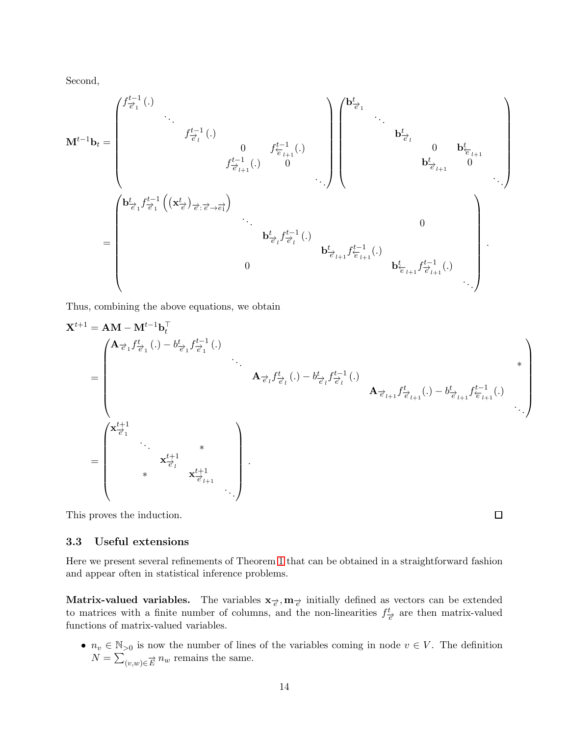Second,

$$
\mathbf{M}^{t-1}\mathbf{b}_{t} = \begin{pmatrix} f_{\overrightarrow{e}_{1}}^{t-1}(.) & & & & & \\ & f_{\overrightarrow{e}_{l}}^{t-1}(.) & & & & \\ & & f_{\overrightarrow{e}_{l}}^{t-1}(.) & & & \\ & & & f_{\overrightarrow{e}_{l+1}}^{t-1}(.) & 0 & \\ & & & & f_{\overrightarrow{e}_{l+1}}^{t-1}(.) & 0 \\ & & & & & f_{\overrightarrow{e}_{l+1}}^{t-1}(.) & 0 \\ & & & & & f_{\overrightarrow{e}_{l+1}}^{t-1}(.) & 0 \\ & & & & & & f_{\overrightarrow{e}_{l+1}}^{t-1}(.) & 0 \\ & & & & & & f_{\overrightarrow{e}_{l+1}}^{t-1}(.) & 0 \\ & & & & & & f_{\overrightarrow{e}_{l+1}}^{t-1}(.) & 0 \\ & & & & & & & f_{\overrightarrow{e}_{l+1}}^{t-1}(.) & 0 \\ & & & & & & & f_{\overrightarrow{e}_{l+1}}^{t-1}(.) & 0 \\ & & & & & & & f_{\overrightarrow{e}_{l+1}}^{t-1}(.) & 0 \\ & & & & & & & f_{\overrightarrow{e}_{l+1}}^{t-1}(.) & 0 \\ & & & & & & & f_{\overrightarrow{e}_{l+1}}^{t-1}(.) & 0 \\ & & & & & & & f_{\overrightarrow{e}_{l+1}}^{t-1}(.) & 0 \\ & & & & & & & f_{\overrightarrow{e}_{l+1}}^{t-1}(.) & 0 \\ & & & & & & & f_{\overrightarrow{e}_{l+1}}^{t-1}(.) & 0 \\ & & & & & & & f_{\overrightarrow{e}_{l+1}}^{t-1}(.) & 0 \\ & & & & & & & f_{\overrightarrow{e}_{l+1}}^{t-1}(.) & 0 \\ & & & & & & & & f_{\overrightarrow{e}_{l+1}}^{t-1}(.) & 0 \\ & & & & & & & & f_{\overrightarrow{e}_{l+1}}^{t-1}(.) & 0 \\ & & & & & & & & f_{\overrightarrow{e}_{l+1}}^{t-1}(.) & 0 \\ & & & & & & & & f_{\overrightarrow{e}_{l+1}}^{t-1}(.) & 0 \\ & & & & & & & & f_{\overrightarrow{e}_{l+1}}^{t-1}(.) & 0 \\ & & & & & & & & f_{\overrightarrow{e}_{l+1}}^{t-1}(.) & 0 \\ & & & & & & & & f
$$

Thus, combining the above equations, we obtain

$$
\mathbf{X}^{t+1} = \mathbf{A}\mathbf{M} - \mathbf{M}^{t-1}\mathbf{b}_{t}^{\top} \n= \begin{pmatrix}\n\mathbf{A}_{\vec{e}_{1}}f_{\vec{e}_{1}}^{t}(.) - b_{\vec{e}_{1}}^{t-1}f_{\vec{e}_{1}}^{t-1}(.) & & & \\
& \mathbf{A}_{\vec{e}_{l}}f_{\vec{e}_{l}}^{t}(.) - b_{\vec{e}_{l}}^{t}f_{\vec{e}_{l}}^{t-1}(.) & & \\
& \mathbf{A}_{\vec{e}_{l+1}}f_{\vec{e}_{l+1}}^{t}(.) - b_{\vec{e}_{l+1}}^{t-1}f_{\vec{e}_{l+1}}^{t-1}(.) & \\
& \mathbf{A}_{\vec{e}_{l+1}}f_{\vec{e}_{l+1}}^{t}(.) - b_{\vec{e}_{l+1}}^{t-1}f_{\vec{e}_{l+1}}^{t-1}(.) & \\
& & \ddots & \\
& & \mathbf{x}_{\vec{e}_{l}}^{t+1} & \\
& & \mathbf{x}_{\vec{e}_{l}}^{t+1} & \\
& & & \mathbf{x}_{\vec{e}_{l+1}}^{t+1}\n\end{pmatrix}
$$

 $\Box$ 

This proves the induction.

### <span id="page-13-0"></span>3.3 Useful extensions

Here we present several refinements of Theorem [1](#page-9-2) that can be obtained in a straightforward fashion and appear often in statistical inference problems.

Matrix-valued variables. The variables  $x_{\vec{e}}, m_{\vec{e}}$  initially defined as vectors can be extended to matrices with a finite number of columns, and the non-linearities  $f_{\vec{e}}^t$  are then matrix-valued functions of matrix-valued variables.

•  $n_v \in \mathbb{N}_{>0}$  is now the number of lines of the variables coming in node  $v \in V$ . The definition  $N = \sum_{(v,w)\in \overrightarrow{E}} n_w$  remains the same.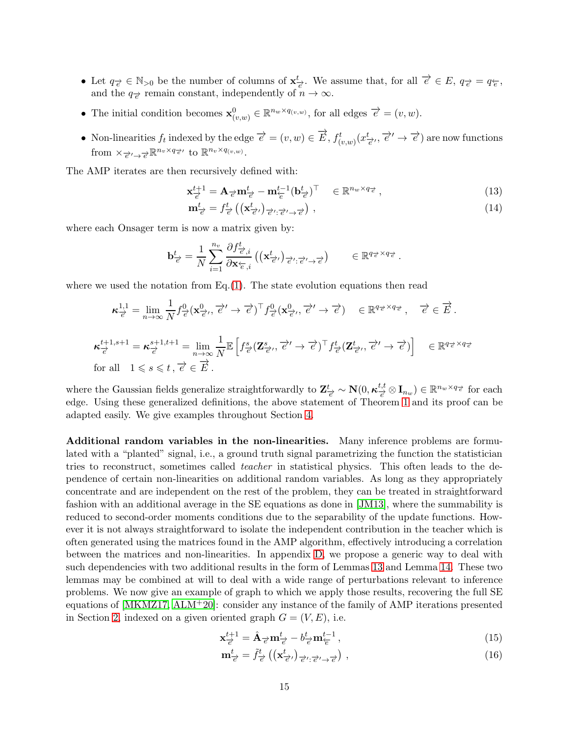- Let  $q_{\vec{e}} \in \mathbb{N}_{>0}$  be the number of columns of  $\mathbf{x}^t_{\vec{e}}$ . We assume that, for all  $\vec{e} \in E$ ,  $q_{\vec{e}} = q_{\vec{e}}$ , and the  $q_{\vec{e}}$  remain constant, independently of  $n \to \infty$ .
- The initial condition becomes  $\mathbf{x}_{(v,w)}^0 \in \mathbb{R}^{n_w \times q_{(v,w)}}$ , for all edges  $\overrightarrow{e} = (v, w)$ .
- Non-linearities  $f_t$  indexed by the edge  $\overrightarrow{e} = (v, w) \in \overrightarrow{E}$ ,  $f^t_{(v,w)}(x_{\overrightarrow{e}}, \overrightarrow{e'}) \rightarrow \overrightarrow{e}$  are now functions from  $\times_{\overrightarrow{e}'} \rightarrow_{\overrightarrow{e}} \mathbb{R}^{n_v \times q_{\overrightarrow{e}'}}$  to  $\mathbb{R}^{n_v \times q_{(v,w)}}$ .

The AMP iterates are then recursively defined with:

$$
\mathbf{x}_{\overrightarrow{e}}^{t+1} = \mathbf{A}_{\overrightarrow{e}} \mathbf{m}_{\overrightarrow{e}}^t - \mathbf{m}_{\overleftarrow{e}}^{t-1} (\mathbf{b}_{\overrightarrow{e}}^t)^{\top} \in \mathbb{R}^{n_w \times q_{\overrightarrow{e}}},\tag{13}
$$

$$
\mathbf{m}_{\vec{e}}^t = f_{\vec{e}}^t \left( \left( \mathbf{x}_{\vec{e}}^t \right)_{\vec{e}^t : \vec{e}^t \to \vec{e}} \right), \tag{14}
$$

where each Onsager term is now a matrix given by:

$$
\mathbf{b}^t_{\overrightarrow{e}} = \frac{1}{N} \sum_{i=1}^{n_v} \frac{\partial f^t_{\overrightarrow{e},i}}{\partial \mathbf{x}_{\overleftarrow{e},i}} \left( (\mathbf{x}^t_{\overrightarrow{e}'})_{\overrightarrow{e}':\overrightarrow{e}' \to \overrightarrow{e}} \right) \qquad \in \mathbb{R}^{q_{\overrightarrow{e}} \times q_{\overrightarrow{e}}}.
$$

where we used the notation from  $Eq.(1)$  $Eq.(1)$ . The state evolution equations then read

$$
\kappa_{\overrightarrow{e}}^{1,1} = \lim_{n \to \infty} \frac{1}{N} f_{\overrightarrow{e}}^0(\mathbf{x}_{\overrightarrow{e}}^0, \overrightarrow{e}) \overrightarrow{f}_{\overrightarrow{e}}^0(\mathbf{x}_{\overrightarrow{e}}^0, \overrightarrow{e}) \in \mathbb{R}^{q_{\overrightarrow{e}} \times q_{\overrightarrow{e}}}, \quad \overrightarrow{e} \in \overrightarrow{E}.
$$

$$
\kappa_{\overrightarrow{e}}^{t+1,s+1} = \kappa_{\overrightarrow{e}}^{s+1,t+1} = \lim_{n \to \infty} \frac{1}{N} \mathbb{E} \left[ f_{\overrightarrow{e}}^s(\mathbf{Z}_{\overrightarrow{e}}^s, \overrightarrow{e}' \to \overrightarrow{e})^\top f_{\overrightarrow{e}}^t(\mathbf{Z}_{\overrightarrow{e}}^t, \overrightarrow{e}' \to \overrightarrow{e}) \right] \in \mathbb{R}^{q_{\overrightarrow{e}} \times q_{\overrightarrow{e}}}
$$
\nfor all  $1 \le s \le t, \overrightarrow{e} \in \overrightarrow{E}$ .

where the Gaussian fields generalize straightforwardly to  $\mathbf{Z}_{\vec{e}}^{t} \sim \mathbf{N}(0, \kappa_{\vec{e}}^{t,t})$  $\frac{t,t}{e} \otimes \mathbf{I}_{n_w}$ ) ∈  $\mathbb{R}^{n_w \times q}$  for each edge. Using these generalized definitions, the above statement of Theorem [1](#page-9-2) and its proof can be adapted easily. We give examples throughout Section [4.](#page-16-0)

Additional random variables in the non-linearities. Many inference problems are formulated with a "planted" signal, i.e., a ground truth signal parametrizing the function the statistician tries to reconstruct, sometimes called *teacher* in statistical physics. This often leads to the dependence of certain non-linearities on additional random variables. As long as they appropriately concentrate and are independent on the rest of the problem, they can be treated in straightforward fashion with an additional average in the SE equations as done in [\[JM13\]](#page-21-5), where the summability is reduced to second-order moments conditions due to the separability of the update functions. However it is not always straightforward to isolate the independent contribution in the teacher which is often generated using the matrices found in the AMP algorithm, effectively introducing a correlation between the matrices and non-linearities. In appendix [D,](#page-44-0) we propose a generic way to deal with such dependencies with two additional results in the form of Lemmas [13](#page-44-1) and Lemma [14.](#page-46-0) These two lemmas may be combined at will to deal with a wide range of perturbations relevant to inference problems. We now give an example of graph to which we apply those results, recovering the full SE equations of  $[MKMZ17, ALM+20]$  $[MKMZ17, ALM+20]$  $[MKMZ17, ALM+20]$ : consider any instance of the family of AMP iterations presented in Section [2,](#page-4-0) indexed on a given oriented graph  $G = (V, E)$ , i.e.

$$
\mathbf{x}_{\overrightarrow{e}}^{t+1} = \hat{\mathbf{A}}_{\overrightarrow{e}} \mathbf{m}_{\overrightarrow{e}}^t - b_{\overrightarrow{e}}^t \mathbf{m}_{\overleftarrow{e}}^{t-1},\tag{15}
$$

<span id="page-14-1"></span><span id="page-14-0"></span>
$$
\mathbf{m}_{\vec{e}}^t = \tilde{f}_{\vec{e}}^t \left( \left( \mathbf{x}_{\vec{e}}^t \right)_{\vec{e}} \right)_{\vec{e}} \left( \mathbf{x}_{\vec{e}}^t \right), \tag{16}
$$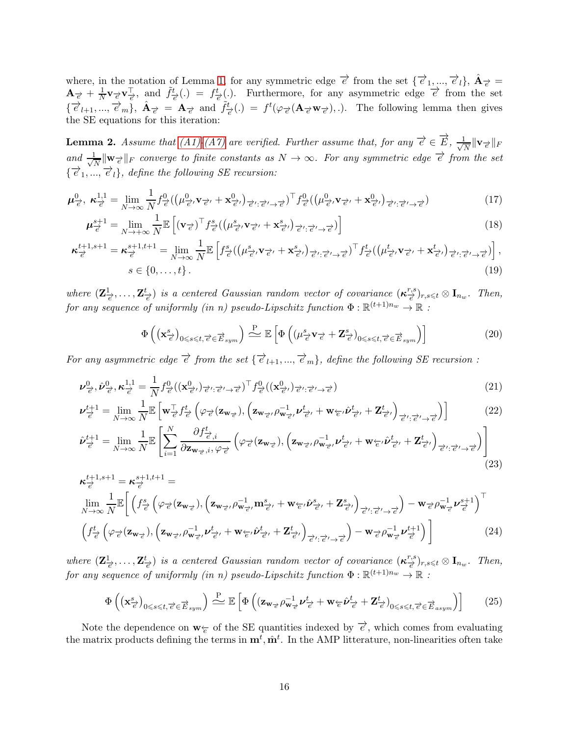where, in the notation of Lemma [1,](#page-11-0) for any symmetric edge  $\vec{e}$  from the set  $\{\vec{e}_1, ..., \vec{e}_l\}, \hat{A}_{\vec{e}} =$  ${\bf A}_{\overrightarrow{e}} + \frac{1}{N}$  $\frac{1}{N}$ **v** $\neq$ **v** $\frac{1}{e}$ , and  $\tilde{f}^t_{\neq}(.) = f^t_{\neq}(.)$ . Furthermore, for any asymmetric edge  $\vec{e}$  from the set  $\{\vec{e}_{l+1},...,\vec{e}_m\},\ \hat{\mathbf{A}}_{\vec{e}} = \mathbf{A}_{\vec{e}}\ \text{and}\ \tilde{f}_{\vec{e}}^t(.) = f^t(\varphi_{\vec{e}}(\mathbf{A}_{\vec{e}}\mathbf{w}_{\vec{e}}))$ . The following lemma then gives the SE equations for this iteration:

<span id="page-15-0"></span>**Lemma 2.** Assume that [\(A1\)-](#page-8-2)[\(A7\)](#page-9-1) are verified. Further assume that, for any  $\vec{e} \in \vec{E}$ ,  $\frac{1}{\sqrt{2}}$  $\frac{\mathsf{L}}{N}\|\mathbf{v}_{\overrightarrow{e}}\|_{F}$ and  $\frac{1}{\sqrt{2}}$  $\frac{1}{N} \| w_{\overrightarrow{e}} \|_F$  converge to finite constants as  $N \to \infty$ . For any symmetric edge  $\overrightarrow{e}$  from the set  $\{\overrightarrow{e}_1,\ldots,\overrightarrow{e}_l\}$ , define the following SE recursion:

$$
\boldsymbol{\mu}_{\overrightarrow{e}}^0, \ \boldsymbol{\kappa}_{\overrightarrow{e}}^{1,1} = \lim_{N \to \infty} \frac{1}{N} f_{\overrightarrow{e}}^0 \left( \left( \mu_{\overrightarrow{e}}^0, \mathbf{v}_{\overrightarrow{e}} + \mathbf{x}_{\overrightarrow{e}}^0 \right)_{\overrightarrow{e}} \right)_{\overrightarrow{e}}^1, \overrightarrow{e}_{\overrightarrow{e}}^1 \right) \mathbf{f}_{\overrightarrow{e}}^0 \left( \left( \mu_{\overrightarrow{e}}^0, \mathbf{v}_{\overrightarrow{e}} + \mathbf{x}_{\overrightarrow{e}}^0 \right)_{\overrightarrow{e}} \right)_{\overrightarrow{e}}^1, \overrightarrow{e}_{\overrightarrow{e}}^1 \to \overrightarrow{e}^1
$$
\n(17)

$$
\boldsymbol{\mu}_{\overrightarrow{e}}^{s+1} = \lim_{N \to +\infty} \frac{1}{N} \mathbb{E}\left[ (\mathbf{v}_{\overrightarrow{e}})^{\top} f_{\overrightarrow{e}}^s \left( (\mu_{\overrightarrow{e}}^s, \mathbf{v}_{\overrightarrow{e}'}, +\mathbf{x}_{\overrightarrow{e}'}^s)_{\overrightarrow{e}'; \overrightarrow{e}' \to \overrightarrow{e}'} ) \right] \tag{18}
$$

$$
\boldsymbol{\kappa}_{\overrightarrow{e}}^{t+1,s+1} = \boldsymbol{\kappa}_{\overrightarrow{e}}^{s+1,t+1} = \lim_{N \to \infty} \frac{1}{N} \mathbb{E} \left[ f_{\overrightarrow{e}}^s \left( \left( \mu_{\overrightarrow{e}}^s \mathbf{v}_{\overrightarrow{e'}} + \mathbf{x}_{\overrightarrow{e'}}^s \right) \right)_{\overrightarrow{e}';\overrightarrow{e}'} - \overrightarrow{e}^s \right)^{\top} f_{\overrightarrow{e}}^t \left( \left( \mu_{\overrightarrow{e}}^t \mathbf{v}_{\overrightarrow{e'}} + \mathbf{x}_{\overrightarrow{e'}}^t \right) \right)_{\overrightarrow{e}';\overrightarrow{e}'} - \overrightarrow{e}^s \right),
$$
\n
$$
s \in \{0, \dots, t\}.
$$
\n(19)

where  $(\mathbf{Z}_{\overrightarrow{e}}^1,\ldots,\mathbf{Z}_{\overrightarrow{e}}^t)$  is a centered Gaussian random vector of covariance  $(\kappa_{\overrightarrow{e}}^{r,s})$  $(\frac{r,s}{e})_{r,s\leqslant t}\otimes \mathbf{I}_{n_w}.$  Then, for any sequence of uniformly (in n) pseudo-Lipschitz function  $\Phi : \mathbb{R}^{(t+1)n_w} \to \mathbb{R}$  :

$$
\Phi\left(\left(\mathbf{x}_{\overrightarrow{e}}^{s}\right)_{0\leqslant s\leqslant t,\overrightarrow{e}\in\overrightarrow{E}_{sym}}\right)\stackrel{\text{P}}{\sim} \mathbb{E}\left[\Phi\left(\left(\mu_{\overrightarrow{e}}^{s}\mathbf{v}_{\overrightarrow{e}}+Z_{\overrightarrow{e}}^{s}\right)_{0\leqslant s\leqslant t,\overrightarrow{e}\in\overrightarrow{E}_{sym}}\right)\right]
$$
(20)

For any asymmetric edge  $\vec{e}$  from the set  $\{\vec{e}_{l+1},...,\vec{e}_m\}$ , define the following SE recursion :

$$
\boldsymbol{\nu}_{\vec{e}}^0, \hat{\boldsymbol{\nu}}_{\vec{e}}^0, \boldsymbol{\kappa}_{\vec{e}}^{1,1} = \frac{1}{N} f_{\vec{e}}^0 \left( (\mathbf{x}_{\vec{e}}^0)_{\vec{e}} , \vec{e}_{\vec{e}}^0, \vec{e}_{\vec{e}}^0 \right)^\top f_{\vec{e}}^0 \left( (\mathbf{x}_{\vec{e}}^0)_{\vec{e}} , \vec{e}_{\vec{e}}^0, \vec{e}_{\vec{e}}^0 \right) \tag{21}
$$

$$
\boldsymbol{\nu}_{\overrightarrow{e}}^{t+1} = \lim_{N \to \infty} \frac{1}{N} \mathbb{E} \left[ \mathbf{w}_{\overrightarrow{e}}^{\top} f_{\overrightarrow{e}}^{t} \left( \varphi_{\overrightarrow{e}} (\mathbf{z}_{\mathbf{w}_{\overrightarrow{e}}}), \left( \mathbf{z}_{\mathbf{w}_{\overrightarrow{e}}}, \rho_{\mathbf{w}_{\overrightarrow{e}}}^{-1} \cdot \boldsymbol{\nu}_{\overrightarrow{e}}^{t} + \mathbf{w}_{\overleftarrow{e}} \cdot \hat{\boldsymbol{\nu}}_{\overrightarrow{e}}^{t} + \mathbf{Z}_{\overrightarrow{e}}^{t} \cdot \right) \right) \right]
$$
(22)

$$
\hat{\nu}_{\overrightarrow{e}}^{t+1} = \lim_{N \to \infty} \frac{1}{N} \mathbb{E} \left[ \sum_{i=1}^{N} \frac{\partial f_{\overrightarrow{e},i}^{t}}{\partial \mathbf{z}_{\mathbf{w}_{\overrightarrow{e}},i}, \varphi_{\overrightarrow{e}}} \left( \varphi_{\overrightarrow{e}}(\mathbf{z}_{\mathbf{w}_{\overrightarrow{e}}}), \left( \mathbf{z}_{\mathbf{w}_{\overrightarrow{e}}}, \rho_{\mathbf{w}_{\overrightarrow{e}}}^{-1}, \nu_{\overrightarrow{e}'}^{t} + \mathbf{w}_{\overleftarrow{e}}, \hat{\nu}_{\overrightarrow{e}'}^{t} + \mathbf{Z}_{\overrightarrow{e}'}^{t} \right)_{\overrightarrow{e}': \overrightarrow{e}' \to \overrightarrow{e}} \right) \right]
$$
\n(23)

$$
\kappa_{\vec{e}}^{t+1,s+1} = \kappa_{\vec{e}}^{s+1,t+1} = \lim_{N \to \infty} \frac{1}{N} \mathbb{E} \bigg[ \left( f_{\vec{e}}^s \left( \varphi_{\vec{e}}(z_{\mathbf{w}_{\vec{e}}}), \left( z_{\mathbf{w}_{\vec{e}}}, \rho_{\mathbf{w}_{\vec{e}}^1}^{-1}, \mathbf{m}_{\vec{e}}^s, + \mathbf{w}_{\vec{e}}^s, \hat{\nu}_{\vec{e}}^s, + \mathbf{Z}_{\vec{e}}^s \right) \right) - \mathbf{w}_{\vec{e}} \rho_{\mathbf{w}_{\vec{e}}}^{-1} \nu_{\vec{e}}^{s+1} \bigg]^{\top} \bigg]
$$
\n
$$
\left( f_{\vec{e}}^t \left( \varphi_{\vec{e}}(z_{\mathbf{w}_{\vec{e}}}), \left( z_{\mathbf{w}_{\vec{e}}}, \rho_{\mathbf{w}_{\vec{e}}^1}^{-1}, \nu_{\vec{e}}^t, + \mathbf{w}_{\vec{e}}^s, \hat{\nu}_{\vec{e}}^t, + \mathbf{Z}_{\vec{e}}^t \right) \right) - \mathbf{w}_{\vec{e}} \rho_{\mathbf{w}_{\vec{e}}}^{-1} \nu_{\vec{e}}^{t+1} \bigg] \bigg] \tag{24}
$$

where  $(\mathbf{Z}_{\overrightarrow{e}}^1,\ldots,\mathbf{Z}_{\overrightarrow{e}}^t)$  is a centered Gaussian random vector of covariance  $(\kappa_{\overrightarrow{e}}^{r,s})$  $(\frac{r,s}{e})_{r,s\leqslant t}\otimes \mathbf{I}_{n_w}.$  Then, for any sequence of uniformly (in n) pseudo-Lipschitz function  $\Phi : \mathbb{R}^{(t+1)n_w} \to \mathbb{R}$  :

$$
\Phi\left(\left(\mathbf{x}_{\vec{e}}^{s}\right)_{0\leqslant s\leqslant t,\vec{e}\in\vec{E}_{sym}}\right)\stackrel{\text{P}}{\sim} \mathbb{E}\left[\Phi\left(\left(\mathbf{z}_{\mathbf{w}_{\vec{e}}}\rho_{\mathbf{w}_{\vec{e}}^{+}}^{-1}\boldsymbol{\nu}_{\vec{e}}^{t}+\mathbf{w}_{\vec{e}}\hat{\boldsymbol{\nu}}_{\vec{e}}^{t}+\mathbf{Z}_{\vec{e}}^{t}\right)_{0\leqslant s\leqslant t,\vec{e}\in\vec{E}_{asym}}\right)\right]
$$
(25)

Note the dependence on  $w_{\succcurlyeq}$  of the SE quantities indexed by  $\vec{e}$ , which comes from evaluating the matrix products defining the terms in  $\mathbf{m}^t, \hat{\mathbf{m}}^t$ . In the AMP litterature, non-linearities often take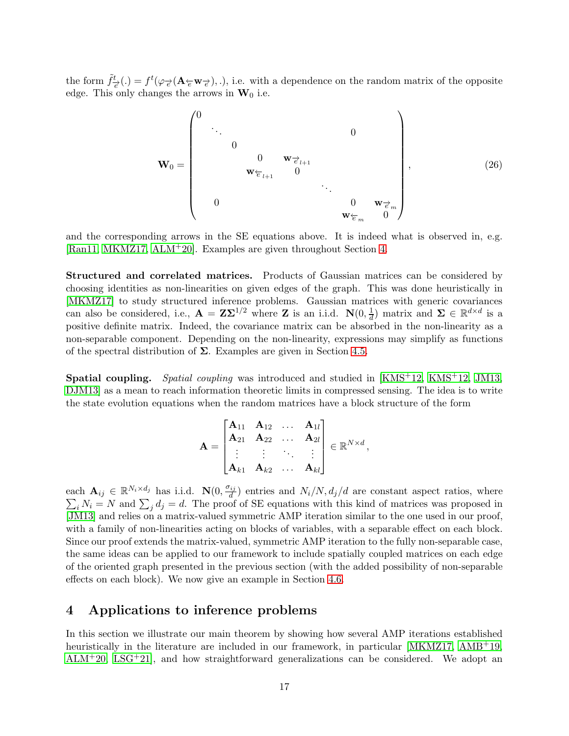the form  $\tilde{f}^t_{\vec{\epsilon}}(.) = f^t(\varphi_{\vec{\epsilon}}(\mathbf{A}_{\vec{\epsilon}} \mathbf{w}_{\vec{\epsilon}}), .),$  i.e. with a dependence on the random matrix of the opposite edge. This only changes the arrows in  $W_0$  i.e.

W<sup>0</sup> = 0 . . . 0 0 0 w−→<sup>e</sup> <sup>l</sup>+1 w←−<sup>e</sup> <sup>l</sup>+1 0 . . . 0 0 w−→<sup>e</sup> <sup>m</sup> w←−<sup>e</sup> <sup>m</sup> 0 , (26)

and the corresponding arrows in the SE equations above. It is indeed what is observed in, e.g. [\[Ran11,](#page-22-3) [MKMZ17,](#page-22-6) [ALM](#page-20-3)+20]. Examples are given throughout Section [4.](#page-16-0)

Structured and correlated matrices. Products of Gaussian matrices can be considered by choosing identities as non-linearities on given edges of the graph. This was done heuristically in [\[MKMZ17\]](#page-22-6) to study structured inference problems. Gaussian matrices with generic covariances can also be considered, i.e.,  $\mathbf{A} = \mathbf{Z} \mathbf{\Sigma}^{1/2}$  where **Z** is an i.i.d.  $\mathbf{N}(0, \frac{1}{d})$  $\frac{1}{d}$ ) matrix and  $\Sigma \in \mathbb{R}^{d \times d}$  is a positive definite matrix. Indeed, the covariance matrix can be absorbed in the non-linearity as a non-separable component. Depending on the non-linearity, expressions may simplify as functions of the spectral distribution of  $\Sigma$ . Examples are given in Section [4.5.](#page-18-2)

Spatial coupling. Spatial coupling was introduced and studied in [\[KMS](#page-22-2)+12, [KMS](#page-22-2)+12, [JM13,](#page-21-5) [DJM13\]](#page-21-10) as a mean to reach information theoretic limits in compressed sensing. The idea is to write the state evolution equations when the random matrices have a block structure of the form

$$
\mathbf{A} = \begin{bmatrix} \mathbf{A}_{11} & \mathbf{A}_{12} & \dots & \mathbf{A}_{1l} \\ \mathbf{A}_{21} & \mathbf{A}_{22} & \dots & \mathbf{A}_{2l} \\ \vdots & \vdots & \ddots & \vdots \\ \mathbf{A}_{k1} & \mathbf{A}_{k2} & \dots & \mathbf{A}_{kl} \end{bmatrix} \in \mathbb{R}^{N \times d},
$$

each  $\mathbf{A}_{ij} \in \mathbb{R}^{N_i \times d_j}$  has i.i.d.  $\mathbf{N}(0, \frac{\sigma_{ij}}{d})$  $\sum_i N_i = N$  and  $\sum_i d_i = d$ . The proo ) entries and  $N_i/N$ ,  $d_j/d$  are constant aspect ratios, where  $i_i N_i = N$  and  $\sum_j d_j = d$ . The proof of SE equations with this kind of matrices was proposed in [\[JM13\]](#page-21-5) and relies on a matrix-valued symmetric AMP iteration similar to the one used in our proof, with a family of non-linearities acting on blocks of variables, with a separable effect on each block. Since our proof extends the matrix-valued, symmetric AMP iteration to the fully non-separable case, the same ideas can be applied to our framework to include spatially coupled matrices on each edge of the oriented graph presented in the previous section (with the added possibility of non-separable effects on each block). We now give an example in Section [4.6.](#page-19-0)

## <span id="page-16-0"></span>4 Applications to inference problems

In this section we illustrate our main theorem by showing how several AMP iterations established heuristically in the literature are included in our framework, in particular [\[MKMZ17,](#page-22-6) [AMB](#page-20-2)+19, [ALM](#page-20-3)+20, [LSG](#page-22-10)+21], and how straightforward generalizations can be considered. We adopt an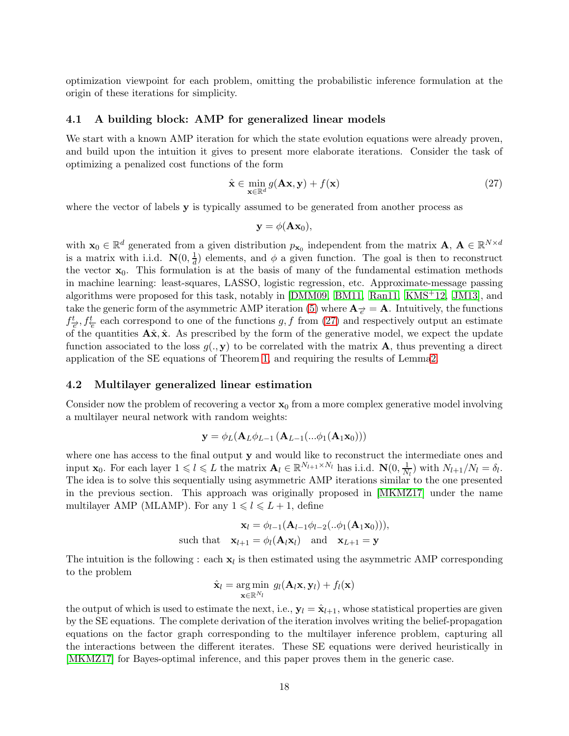optimization viewpoint for each problem, omitting the probabilistic inference formulation at the origin of these iterations for simplicity.

### <span id="page-17-0"></span>4.1 A building block: AMP for generalized linear models

We start with a known AMP iteration for which the state evolution equations were already proven, and build upon the intuition it gives to present more elaborate iterations. Consider the task of optimizing a penalized cost functions of the form

<span id="page-17-2"></span>
$$
\hat{\mathbf{x}} \in \min_{\mathbf{x} \in \mathbb{R}^d} g(\mathbf{A}\mathbf{x}, \mathbf{y}) + f(\mathbf{x})
$$
\n(27)

where the vector of labels **y** is typically assumed to be generated from another process as

$$
\mathbf{y} = \phi(\mathbf{A}\mathbf{x}_0),
$$

with  $\mathbf{x}_0 \in \mathbb{R}^d$  generated from a given distribution  $p_{\mathbf{x}_0}$  independent from the matrix  $\mathbf{A}, \mathbf{A} \in \mathbb{R}^{N \times d}$ is a matrix with i.i.d.  $\mathbf{N}(0, \frac{1}{d})$  $\frac{1}{d}$ ) elements, and  $\phi$  a given function. The goal is then to reconstruct the vector  $x_0$ . This formulation is at the basis of many of the fundamental estimation methods in machine learning: least-squares, LASSO, logistic regression, etc. Approximate-message passing algorithms were proposed for this task, notably in [\[DMM09](#page-21-0), [BM11](#page-20-1), [Ran11](#page-22-3), [KMS](#page-22-2)+12, [JM13\]](#page-21-5), and take the generic form of the asymmetric AMP iteration [\(5\)](#page-6-0) where  $\mathbf{A}_{\vec{e}} = \mathbf{A}$ . Intuitively, the functions  $f_{\vec{e}}^t, f_{\vec{e}}^t$  each correspond to one of the functions g, f from [\(27\)](#page-17-2) and respectively output an estimate of the quantities  $\mathbf{A}\hat{\mathbf{x}}, \hat{\mathbf{x}}$ . As prescribed by the form of the generative model, we expect the update function associated to the loss  $g(., \mathbf{y})$  to be correlated with the matrix **A**, thus preventing a direct application of the SE equations of Theorem [1,](#page-9-2) and requiring the results of Lemm[a2.](#page-15-0)

### <span id="page-17-1"></span>4.2 Multilayer generalized linear estimation

Consider now the problem of recovering a vector  $\mathbf{x}_0$  from a more complex generative model involving a multilayer neural network with random weights:

$$
\mathbf{y} = \phi_L(\mathbf{A}_L \phi_{L-1}(\mathbf{A}_{L-1}(...\phi_1(\mathbf{A}_1 \mathbf{x}_0)))
$$

where one has access to the final output y and would like to reconstruct the intermediate ones and input  $\mathbf{x}_0$ . For each layer  $1 \leq l \leq L$  the matrix  $\mathbf{A}_l \in \mathbb{R}^{N_{l+1} \times N_l}$  has i.i.d.  $\mathbf{N}(0, \frac{1}{N})$  $\frac{1}{N_l}$ ) with  $N_{l+1}/N_l = \delta_l$ . The idea is to solve this sequentially using asymmetric AMP iterations similar to the one presented in the previous section. This approach was originally proposed in [\[MKMZ17\]](#page-22-6) under the name multilayer AMP (MLAMP). For any  $1 \le l \le L + 1$ , define

$$
\mathbf{x}_{l} = \phi_{l-1}(\mathbf{A}_{l-1}\phi_{l-2}(\ldots\phi_{1}(\mathbf{A}_{1}\mathbf{x}_{0}))),
$$
  
such that  $\mathbf{x}_{l+1} = \phi_{l}(\mathbf{A}_{l}\mathbf{x}_{l})$  and  $\mathbf{x}_{L+1} = \mathbf{y}$ 

The intuition is the following : each  $x_l$  is then estimated using the asymmetric AMP corresponding to the problem

$$
\hat{\mathbf{x}}_l = \arg\min_{\mathbf{x}\in\mathbb{R}^{N_l}} g_l(\mathbf{A}_l\mathbf{x}, \mathbf{y}_l) + f_l(\mathbf{x})
$$

the output of which is used to estimate the next, i.e.,  $y_l = \hat{x}_{l+1}$ , whose statistical properties are given by the SE equations. The complete derivation of the iteration involves writing the belief-propagation equations on the factor graph corresponding to the multilayer inference problem, capturing all the interactions between the different iterates. These SE equations were derived heuristically in [\[MKMZ17\]](#page-22-6) for Bayes-optimal inference, and this paper proves them in the generic case.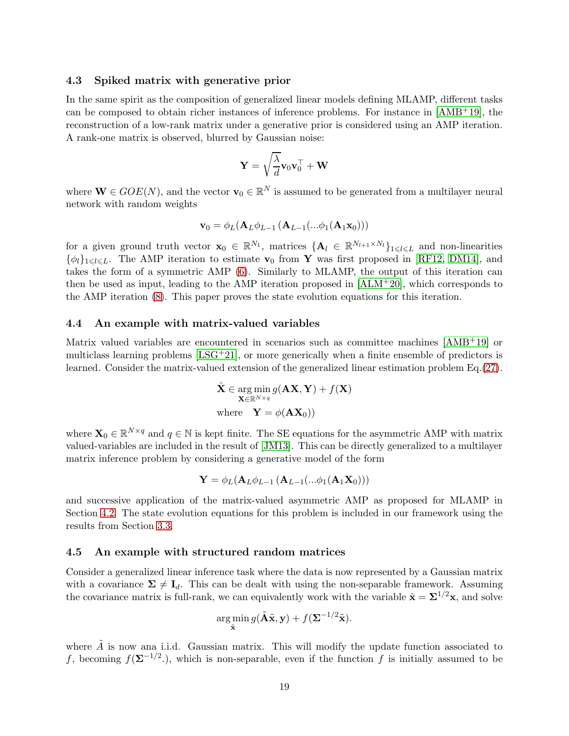### <span id="page-18-0"></span>4.3 Spiked matrix with generative prior

In the same spirit as the composition of generalized linear models defining MLAMP, different tasks can be composed to obtain richer instances of inference problems. For instance in [\[AMB](#page-20-2)+19], the reconstruction of a low-rank matrix under a generative prior is considered using an AMP iteration. A rank-one matrix is observed, blurred by Gaussian noise:

$$
\mathbf{Y} = \sqrt{\frac{\lambda}{d}} \mathbf{v}_0 \mathbf{v}_0^\top + \mathbf{W}
$$

where  $\mathbf{W} \in GOE(N)$ , and the vector  $\mathbf{v}_0 \in \mathbb{R}^N$  is assumed to be generated from a multilayer neural network with random weights

$$
\mathbf{v}_0 = \phi_L(\mathbf{A}_L \phi_{L-1}(\mathbf{A}_{L-1}(...\phi_1(\mathbf{A}_1\mathbf{x}_0)))
$$

for a given ground truth vector  $\mathbf{x}_0 \in \mathbb{R}^{N_1}$ , matrices  $\{\mathbf{A}_l \in \mathbb{R}^{N_{l+1} \times N_l}\}_{1 \leq l \leq L}$  and non-linearities  $\{\phi_l\}_{1\leq l\leq L}$ . The AMP iteration to estimate  $\mathbf{v}_0$  from Y was first proposed in [\[RF12,](#page-23-2) [DM14\]](#page-21-4), and takes the form of a symmetric AMP [\(6\)](#page-6-1). Similarly to MLAMP, the output of this iteration can then be used as input, leading to the AMP iteration proposed in  $[ALM^+20]$ , which corresponds to the AMP iteration [\(8\)](#page-8-3). This paper proves the state evolution equations for this iteration.

### <span id="page-18-1"></span>4.4 An example with matrix-valued variables

Matrix valued variables are encountered in scenarios such as committee machines [\[AMB](#page-20-2)+19] or multiclass learning problems  $[LSG+21]$ , or more generically when a finite ensemble of predictors is learned. Consider the matrix-valued extension of the generalized linear estimation problem Eq.[\(27\)](#page-17-2).

$$
\hat{\mathbf{X}} \in \arg\min_{\mathbf{X} \in \mathbb{R}^{N \times q}} g(\mathbf{A}\mathbf{X}, \mathbf{Y}) + f(\mathbf{X})
$$
\nwhere  $\mathbf{Y} = \phi(\mathbf{A}\mathbf{X}_0)$ )

where  $\mathbf{X}_0 \in \mathbb{R}^{N \times q}$  and  $q \in \mathbb{N}$  is kept finite. The SE equations for the asymmetric AMP with matrix valued-variables are included in the result of [\[JM13\]](#page-21-5). This can be directly generalized to a multilayer matrix inference problem by considering a generative model of the form

$$
\mathbf{Y} = \phi_L(\mathbf{A}_L \phi_{L-1}(\mathbf{A}_{L-1}(...\phi_1(\mathbf{A}_1 \mathbf{X}_0)))
$$

and successive application of the matrix-valued asymmetric AMP as proposed for MLAMP in Section [4.2.](#page-17-1) The state evolution equations for this problem is included in our framework using the results from Section [3.3.](#page-13-0)

### <span id="page-18-2"></span>4.5 An example with structured random matrices

Consider a generalized linear inference task where the data is now represented by a Gaussian matrix with a covariance  $\Sigma \neq I_d$ . This can be dealt with using the non-separable framework. Assuming the covariance matrix is full-rank, we can equivalently work with the variable  $\tilde{\mathbf{x}} = \Sigma^{1/2} \mathbf{x}$ , and solve

$$
\argmin_{\tilde{\mathbf{x}}} g(\tilde{\mathbf{A}}\tilde{\mathbf{x}}, \mathbf{y}) + f(\mathbf{\Sigma}^{-1/2}\tilde{\mathbf{x}}).
$$

where  $\tilde{A}$  is now ana i.i.d. Gaussian matrix. This will modify the update function associated to f, becoming  $f(\mathbf{\Sigma}^{-1/2})$ , which is non-separable, even if the function f is initially assumed to be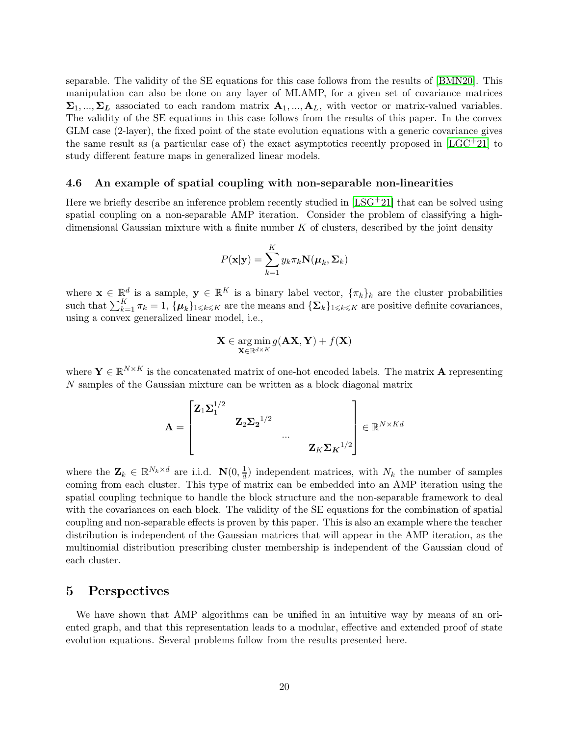separable. The validity of the SE equations for this case follows from the results of [\[BMN20\]](#page-21-6). This manipulation can also be done on any layer of MLAMP, for a given set of covariance matrices  $\Sigma_1, ..., \Sigma_L$  associated to each random matrix  $\mathbf{A}_1, ..., \mathbf{A}_L$ , with vector or matrix-valued variables. The validity of the SE equations in this case follows from the results of this paper. In the convex GLM case (2-layer), the fixed point of the state evolution equations with a generic covariance gives the same result as (a particular case of) the exact asymptotics recently proposed in  $[LGC^+21]$  to study different feature maps in generalized linear models.

### <span id="page-19-0"></span>4.6 An example of spatial coupling with non-separable non-linearities

Here we briefly describe an inference problem recently studied in  $[LSG^+21]$  that can be solved using spatial coupling on a non-separable AMP iteration. Consider the problem of classifying a highdimensional Gaussian mixture with a finite number  $K$  of clusters, described by the joint density

$$
P(\mathbf{x}|\mathbf{y}) = \sum_{k=1}^{K} y_k \pi_k \mathbf{N}(\boldsymbol{\mu}_k, \boldsymbol{\Sigma}_k)
$$

where  $\mathbf{x} \in \mathbb{R}^d$  is a sample,  $\mathbf{y} \in \mathbb{R}^K$  is a binary label vector,  $\{\pi_k\}_k$  are the cluster probabilities such that  $\sum_{k=1}^K \pi_k = 1$ ,  $\{\mu_k\}_{1 \leq k \leq K}$  are the means and  $\{\Sigma_k\}_{1 \leq k \leq K}$  are positive definite covariances, using a convex generalized linear model, i.e.

$$
\mathbf{X} \in \argmin_{\mathbf{X} \in \mathbb{R}^{d \times K}} g(\mathbf{A} \mathbf{X}, \mathbf{Y}) + f(\mathbf{X})
$$

where  $\mathbf{Y} \in \mathbb{R}^{N \times K}$  is the concatenated matrix of one-hot encoded labels. The matrix **A** representing N samples of the Gaussian mixture can be written as a block diagonal matrix

$$
\mathbf{A} = \begin{bmatrix} \mathbf{Z}_1 \mathbf{\Sigma}_1^{1/2} & & & \\ & \mathbf{Z}_2 \mathbf{\Sigma}_2^{-1/2} & & \\ & & \cdots & \\ & & & \mathbf{Z}_K \mathbf{\Sigma}_K^{-1/2} \end{bmatrix} \in \mathbb{R}^{N \times Kd}
$$

where the  $\mathbf{Z}_k \in \mathbb{R}^{N_k \times d}$  are i.i.d.  $\mathbf{N}(0, \frac{1}{d})$  $\frac{1}{d}$  independent matrices, with  $N_k$  the number of samples coming from each cluster. This type of matrix can be embedded into an AMP iteration using the spatial coupling technique to handle the block structure and the non-separable framework to deal with the covariances on each block. The validity of the SE equations for the combination of spatial coupling and non-separable effects is proven by this paper. This is also an example where the teacher distribution is independent of the Gaussian matrices that will appear in the AMP iteration, as the multinomial distribution prescribing cluster membership is independent of the Gaussian cloud of each cluster.

### <span id="page-19-1"></span>5 Perspectives

We have shown that AMP algorithms can be unified in an intuitive way by means of an oriented graph, and that this representation leads to a modular, effective and extended proof of state evolution equations. Several problems follow from the results presented here.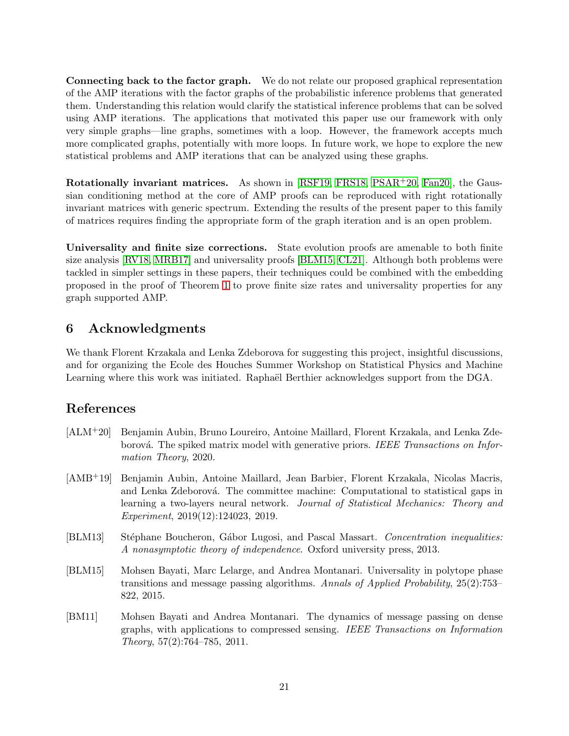Connecting back to the factor graph. We do not relate our proposed graphical representation of the AMP iterations with the factor graphs of the probabilistic inference problems that generated them. Understanding this relation would clarify the statistical inference problems that can be solved using AMP iterations. The applications that motivated this paper use our framework with only very simple graphs—line graphs, sometimes with a loop. However, the framework accepts much more complicated graphs, potentially with more loops. In future work, we hope to explore the new statistical problems and AMP iterations that can be analyzed using these graphs.

Rotationally invariant matrices. As shown in [\[RSF19,](#page-23-3) [FRS18,](#page-21-8) [PSAR](#page-22-9)+20, [Fan20\]](#page-21-11), the Gaussian conditioning method at the core of AMP proofs can be reproduced with right rotationally invariant matrices with generic spectrum. Extending the results of the present paper to this family of matrices requires finding the appropriate form of the graph iteration and is an open problem.

Universality and finite size corrections. State evolution proofs are amenable to both finite size analysis [\[RV18,](#page-23-6) [MRB17\]](#page-22-12) and universality proofs [\[BLM15,](#page-20-4) [CL21\]](#page-21-12). Although both problems were tackled in simpler settings in these papers, their techniques could be combined with the embedding proposed in the proof of Theorem [1](#page-9-2) to prove finite size rates and universality properties for any graph supported AMP.

# <span id="page-20-0"></span>6 Acknowledgments

We thank Florent Krzakala and Lenka Zdeborova for suggesting this project, insightful discussions, and for organizing the Ecole des Houches Summer Workshop on Statistical Physics and Machine Learning where this work was initiated. Raphaël Berthier acknowledges support from the DGA.

# References

- <span id="page-20-3"></span>[ALM+20] Benjamin Aubin, Bruno Loureiro, Antoine Maillard, Florent Krzakala, and Lenka Zdeborová. The spiked matrix model with generative priors. IEEE Transactions on Information Theory, 2020.
- <span id="page-20-2"></span>[AMB+19] Benjamin Aubin, Antoine Maillard, Jean Barbier, Florent Krzakala, Nicolas Macris, and Lenka Zdeborová. The committee machine: Computational to statistical gaps in learning a two-layers neural network. Journal of Statistical Mechanics: Theory and Experiment, 2019(12):124023, 2019.
- <span id="page-20-5"></span>[BLM13] Stéphane Boucheron, Gábor Lugosi, and Pascal Massart. Concentration inequalities: A nonasymptotic theory of independence. Oxford university press, 2013.
- <span id="page-20-4"></span>[BLM15] Mohsen Bayati, Marc Lelarge, and Andrea Montanari. Universality in polytope phase transitions and message passing algorithms. Annals of Applied Probability, 25(2):753– 822, 2015.
- <span id="page-20-1"></span>[BM11] Mohsen Bayati and Andrea Montanari. The dynamics of message passing on dense graphs, with applications to compressed sensing. IEEE Transactions on Information Theory, 57(2):764–785, 2011.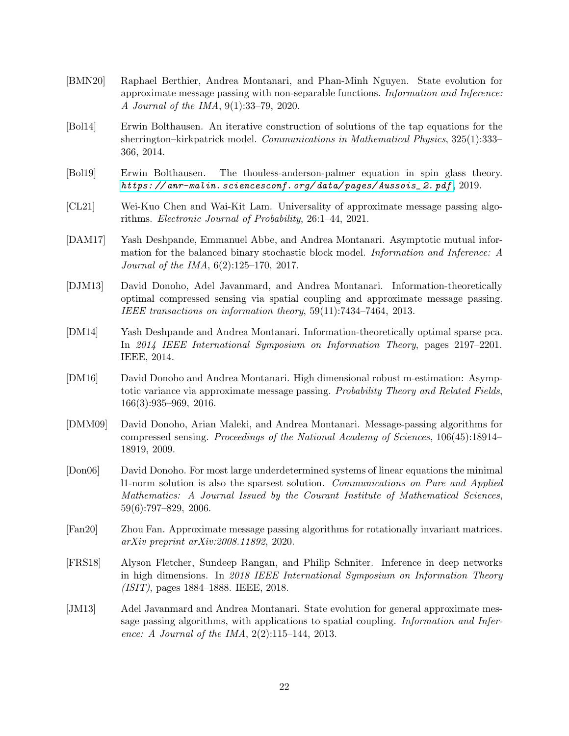- <span id="page-21-6"></span>[BMN20] Raphael Berthier, Andrea Montanari, and Phan-Minh Nguyen. State evolution for approximate message passing with non-separable functions. Information and Inference: A Journal of the IMA, 9(1):33–79, 2020.
- <span id="page-21-1"></span>[Bol14] Erwin Bolthausen. An iterative construction of solutions of the tap equations for the sherrington–kirkpatrick model. Communications in Mathematical Physics, 325(1):333– 366, 2014.
- <span id="page-21-2"></span>[Bol19] Erwin Bolthausen. The thouless-anderson-palmer equation in spin glass theory. *[https: // anr-malin. sciencesconf. org/ data/ pages/ Aussois\\_ 2. pdf](https://anr-malin.sciencesconf.org/data/pages/Aussois_2.pdf)* , 2019.
- <span id="page-21-12"></span>[CL21] Wei-Kuo Chen and Wai-Kit Lam. Universality of approximate message passing algorithms. Electronic Journal of Probability, 26:1–44, 2021.
- <span id="page-21-9"></span>[DAM17] Yash Deshpande, Emmanuel Abbe, and Andrea Montanari. Asymptotic mutual information for the balanced binary stochastic block model. Information and Inference: A Journal of the IMA, 6(2):125–170, 2017.
- <span id="page-21-10"></span>[DJM13] David Donoho, Adel Javanmard, and Andrea Montanari. Information-theoretically optimal compressed sensing via spatial coupling and approximate message passing. IEEE transactions on information theory, 59(11):7434–7464, 2013.
- <span id="page-21-4"></span>[DM14] Yash Deshpande and Andrea Montanari. Information-theoretically optimal sparse pca. In 2014 IEEE International Symposium on Information Theory, pages 2197–2201. IEEE, 2014.
- <span id="page-21-3"></span>[DM16] David Donoho and Andrea Montanari. High dimensional robust m-estimation: Asymptotic variance via approximate message passing. Probability Theory and Related Fields, 166(3):935–969, 2016.
- <span id="page-21-0"></span>[DMM09] David Donoho, Arian Maleki, and Andrea Montanari. Message-passing algorithms for compressed sensing. Proceedings of the National Academy of Sciences, 106(45):18914– 18919, 2009.
- <span id="page-21-7"></span>[Don06] David Donoho. For most large underdetermined systems of linear equations the minimal l1-norm solution is also the sparsest solution. Communications on Pure and Applied Mathematics: A Journal Issued by the Courant Institute of Mathematical Sciences, 59(6):797–829, 2006.
- <span id="page-21-11"></span>[Fan20] Zhou Fan. Approximate message passing algorithms for rotationally invariant matrices. arXiv preprint arXiv:2008.11892, 2020.
- <span id="page-21-8"></span>[FRS18] Alyson Fletcher, Sundeep Rangan, and Philip Schniter. Inference in deep networks in high dimensions. In 2018 IEEE International Symposium on Information Theory (ISIT), pages 1884–1888. IEEE, 2018.
- <span id="page-21-5"></span>[JM13] Adel Javanmard and Andrea Montanari. State evolution for general approximate message passing algorithms, with applications to spatial coupling. *Information and Infer*ence: A Journal of the IMA, 2(2):115–144, 2013.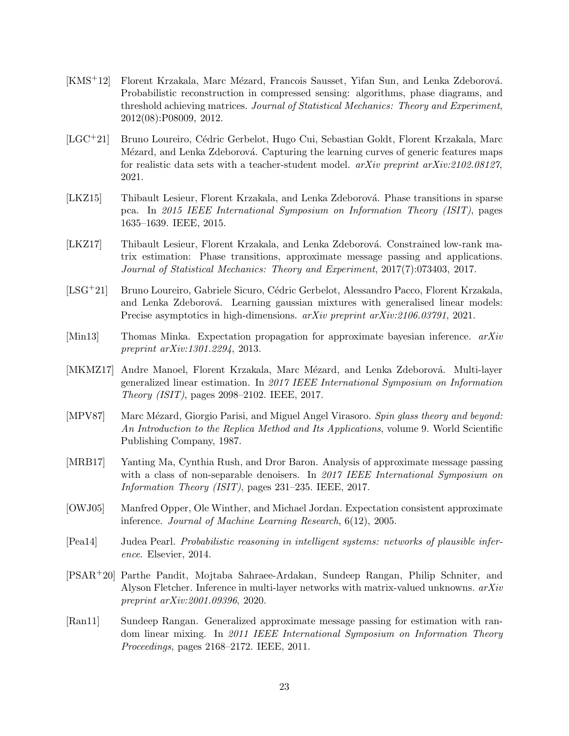- <span id="page-22-2"></span>[KMS<sup>+</sup>12] Florent Krzakala, Marc Mézard, Francois Sausset, Yifan Sun, and Lenka Zdeborová. Probabilistic reconstruction in compressed sensing: algorithms, phase diagrams, and threshold achieving matrices. Journal of Statistical Mechanics: Theory and Experiment, 2012(08):P08009, 2012.
- <span id="page-22-11"></span>[LGC<sup>+</sup>21] Bruno Loureiro, Cédric Gerbelot, Hugo Cui, Sebastian Goldt, Florent Krzakala, Marc Mézard, and Lenka Zdeborová. Capturing the learning curves of generic features maps for realistic data sets with a teacher-student model. arXiv preprint arXiv:2102.08127, 2021.
- <span id="page-22-5"></span>[LKZ15] Thibault Lesieur, Florent Krzakala, and Lenka Zdeborová. Phase transitions in sparse pca. In 2015 IEEE International Symposium on Information Theory (ISIT), pages 1635–1639. IEEE, 2015.
- <span id="page-22-4"></span>[LKZ17] Thibault Lesieur, Florent Krzakala, and Lenka Zdeborová. Constrained low-rank matrix estimation: Phase transitions, approximate message passing and applications. Journal of Statistical Mechanics: Theory and Experiment, 2017(7):073403, 2017.
- <span id="page-22-10"></span>[LSG<sup>+</sup>21] Bruno Loureiro, Gabriele Sicuro, Cédric Gerbelot, Alessandro Pacco, Florent Krzakala, and Lenka Zdeborová. Learning gaussian mixtures with generalised linear models: Precise asymptotics in high-dimensions.  $arXiv$  preprint  $arXiv:2106.03791$ , 2021.
- <span id="page-22-7"></span>[Min13] Thomas Minka. Expectation propagation for approximate bayesian inference.  $arXiv$ preprint arXiv:1301.2294, 2013.
- <span id="page-22-6"></span>[MKMZ17] Andre Manoel, Florent Krzakala, Marc Mézard, and Lenka Zdeborová. Multi-layer generalized linear estimation. In 2017 IEEE International Symposium on Information Theory (ISIT), pages 2098–2102. IEEE, 2017.
- <span id="page-22-0"></span>[MPV87] Marc Mézard, Giorgio Parisi, and Miguel Angel Virasoro. Spin glass theory and beyond: An Introduction to the Replica Method and Its Applications, volume 9. World Scientific Publishing Company, 1987.
- <span id="page-22-12"></span>[MRB17] Yanting Ma, Cynthia Rush, and Dror Baron. Analysis of approximate message passing with a class of non-separable denoisers. In 2017 IEEE International Symposium on Information Theory (ISIT), pages 231–235. IEEE, 2017.
- <span id="page-22-8"></span>[OWJ05] Manfred Opper, Ole Winther, and Michael Jordan. Expectation consistent approximate inference. Journal of Machine Learning Research, 6(12), 2005.
- <span id="page-22-1"></span>[Pea14] Judea Pearl. Probabilistic reasoning in intelligent systems: networks of plausible inference. Elsevier, 2014.
- <span id="page-22-9"></span>[PSAR+20] Parthe Pandit, Mojtaba Sahraee-Ardakan, Sundeep Rangan, Philip Schniter, and Alyson Fletcher. Inference in multi-layer networks with matrix-valued unknowns.  $arXiv$ preprint arXiv:2001.09396, 2020.
- <span id="page-22-3"></span>[Ran11] Sundeep Rangan. Generalized approximate message passing for estimation with random linear mixing. In 2011 IEEE International Symposium on Information Theory Proceedings, pages 2168–2172. IEEE, 2011.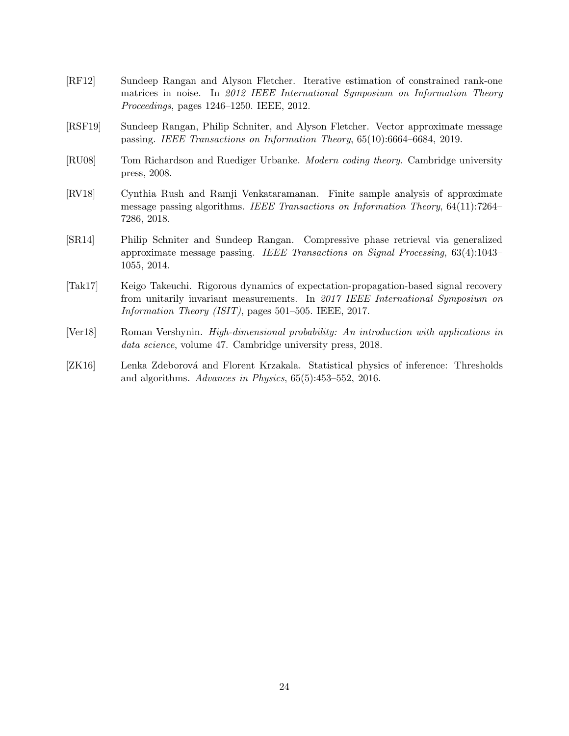- <span id="page-23-2"></span>[RF12] Sundeep Rangan and Alyson Fletcher. Iterative estimation of constrained rank-one matrices in noise. In 2012 IEEE International Symposium on Information Theory Proceedings, pages 1246–1250. IEEE, 2012.
- <span id="page-23-3"></span>[RSF19] Sundeep Rangan, Philip Schniter, and Alyson Fletcher. Vector approximate message passing. IEEE Transactions on Information Theory, 65(10):6664–6684, 2019.
- <span id="page-23-1"></span>[RU08] Tom Richardson and Ruediger Urbanke. *Modern coding theory*. Cambridge university press, 2008.
- <span id="page-23-6"></span>[RV18] Cynthia Rush and Ramji Venkataramanan. Finite sample analysis of approximate message passing algorithms. IEEE Transactions on Information Theory, 64(11):7264– 7286, 2018.
- <span id="page-23-5"></span>[SR14] Philip Schniter and Sundeep Rangan. Compressive phase retrieval via generalized approximate message passing. IEEE Transactions on Signal Processing, 63(4):1043– 1055, 2014.
- <span id="page-23-4"></span>[Tak17] Keigo Takeuchi. Rigorous dynamics of expectation-propagation-based signal recovery from unitarily invariant measurements. In 2017 IEEE International Symposium on Information Theory (ISIT), pages 501–505. IEEE, 2017.
- <span id="page-23-7"></span>[Ver18] Roman Vershynin. *High-dimensional probability: An introduction with applications in* data science, volume 47. Cambridge university press, 2018.
- <span id="page-23-0"></span>[ZK16] Lenka Zdeborová and Florent Krzakala. Statistical physics of inference: Thresholds and algorithms. Advances in Physics, 65(5):453–552, 2016.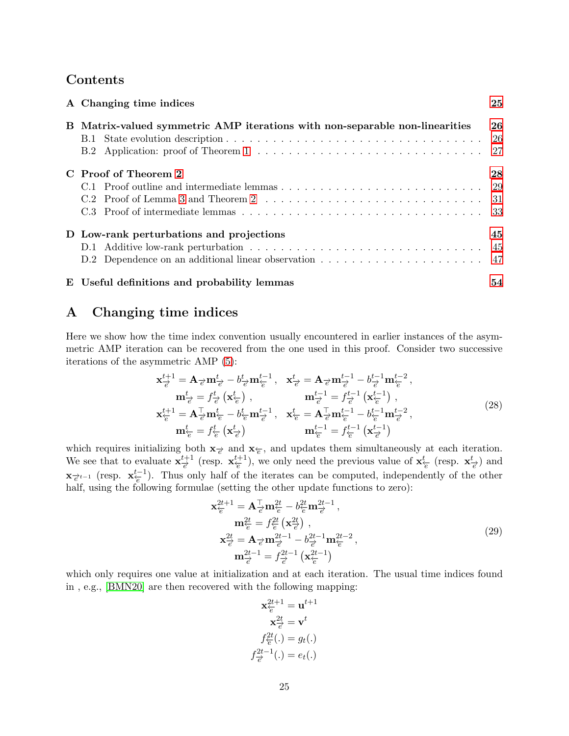# Contents

| A Changing time indices                                                     | 25        |
|-----------------------------------------------------------------------------|-----------|
| B Matrix-valued symmetric AMP iterations with non-separable non-linearities | 26<br>-26 |
| C Proof of Theorem 2                                                        | 28        |
| D Low-rank perturbations and projections                                    | 45        |
| E Useful definitions and probability lemmas                                 | 54        |

# <span id="page-24-0"></span>A Changing time indices

Here we show how the time index convention usually encountered in earlier instances of the asymmetric AMP iteration can be recovered from the one used in this proof. Consider two successive iterations of the asymmetric AMP [\(5\)](#page-6-0):

$$
\mathbf{x}_{\overline{e}}^{t+1} = \mathbf{A}_{\overline{e}} \mathbf{m}_{\overline{e}}^t - b_{\overline{e}}^t \mathbf{m}_{\overline{e}}^{t-1}, \quad \mathbf{x}_{\overline{e}}^t = \mathbf{A}_{\overline{e}} \mathbf{m}_{\overline{e}}^{t-1} - b_{\overline{e}}^{t-1} \mathbf{m}_{\overline{e}}^{t-2},
$$
\n
$$
\mathbf{m}_{\overline{e}}^t = f_{\overline{e}}^t \left( \mathbf{x}_{\overline{e}}^t \right), \qquad \mathbf{m}_{\overline{e}}^{t-1} = f_{\overline{e}}^{t-1} \left( \mathbf{x}_{\overline{e}}^{t-1} \right),
$$
\n
$$
\mathbf{x}_{\overline{e}}^{t+1} = \mathbf{A}_{\overline{e}}^{\top} \mathbf{m}_{\overline{e}}^t - b_{\overline{e}}^t \mathbf{m}_{\overline{e}}^{t-1}, \quad \mathbf{x}_{\overline{e}}^t = \mathbf{A}_{\overline{e}}^{\top} \mathbf{m}_{\overline{e}}^{t-1} - b_{\overline{e}}^{t-1} \mathbf{m}_{\overline{e}}^{t-2},
$$
\n
$$
\mathbf{m}_{\overline{e}}^t = f_{\overline{e}}^t \left( \mathbf{x}_{\overline{e}}^t \right) \qquad \mathbf{m}_{\overline{e}}^{t-1} = f_{\overline{e}}^{t-1} \left( \mathbf{x}_{\overline{e}}^{t-1} \right)
$$
\n
$$
(28)
$$

which requires initializing both  $\mathbf{x}$ <sub> $\neq$ </sub> and  $\mathbf{x}_{\in}$ , and updates them simultaneously at each iteration. We see that to evaluate  $\mathbf{x}_{\neq}^{t+1}$  $\frac{t+1}{e}$  (resp.  $\mathbf{x}_{\overleftarrow{e}}^{t+1}$  $\frac{t+1}{e}$ ), we only need the previous value of  $\mathbf{x}_{\overline{e}}^t$  (resp.  $\mathbf{x}_{\overline{e}}^t$ ) and  $\mathbf{x}_{\overline{e}^{t-1}}$  (resp.  $\mathbf{x}_{\overline{e}}^{t-1}$ ). Thus only half of the iterates can be computed, independently of the other half, using the following formulae (setting the other update functions to zero):

$$
\mathbf{x}_{\overline{e}}^{2t+1} = \mathbf{A}_{\overline{e}}^{\top} \mathbf{m}_{\overline{e}}^{2t} - b_{\overline{e}}^{2t} \mathbf{m}_{\overline{e}}^{2t-1}, \n\mathbf{m}_{\overline{e}}^{2t} = f_{\overline{e}}^{2t} (\mathbf{x}_{\overline{e}}^{2t}), \n\mathbf{x}_{\overline{e}}^{2t} = \mathbf{A}_{\overline{e}} \mathbf{m}_{\overline{e}}^{2t-1} - b_{\overline{e}}^{2t-1} \mathbf{m}_{\overline{e}}^{2t-2}, \n\mathbf{m}_{\overline{e}}^{2t-1} = f_{\overline{e}}^{2t-1} (\mathbf{x}_{\overline{e}}^{2t-1})
$$
\n(29)

which only requires one value at initialization and at each iteration. The usual time indices found in , e.g., [\[BMN20\]](#page-21-6) are then recovered with the following mapping:

$$
\mathbf{x}_{\overleftarrow{e}}^{2t+1} = \mathbf{u}^{t+1}
$$

$$
\mathbf{x}_{\overrightarrow{e}}^{2t} = \mathbf{v}^t
$$

$$
f_{\overrightarrow{e}}^{2t}(.) = g_t(.)
$$

$$
f_{\overrightarrow{e}}^{2t-1}(.) = e_t(.)
$$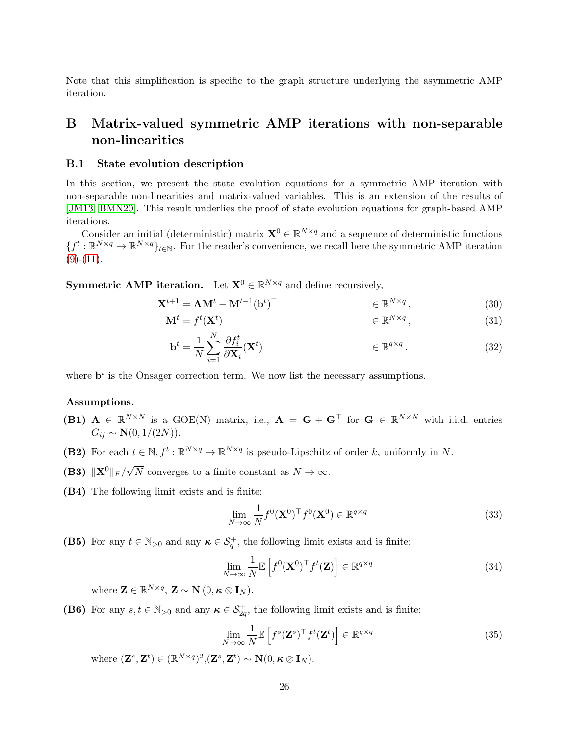Note that this simplification is specific to the graph structure underlying the asymmetric AMP iteration.

# <span id="page-25-0"></span>B Matrix-valued symmetric AMP iterations with non-separable non-linearities

### <span id="page-25-1"></span>B.1 State evolution description

In this section, we present the state evolution equations for a symmetric AMP iteration with non-separable non-linearities and matrix-valued variables. This is an extension of the results of [\[JM13,](#page-21-5) [BMN20\]](#page-21-6). This result underlies the proof of state evolution equations for graph-based AMP iterations.

Consider an initial (deterministic) matrix  $\mathbf{X}^0 \in \mathbb{R}^{N \times q}$  and a sequence of deterministic functions  ${f^t: \mathbb{R}^{N \times q} \to \mathbb{R}^{N \times q}}_{t \in \mathbb{N}}$ . For the reader's convenience, we recall here the symmetric AMP iteration  $(9)-(11)$  $(9)-(11)$  $(9)-(11)$ .

**Symmetric AMP iteration.** Let  $X^0 \in \mathbb{R}^{N \times q}$  and define recursively,

$$
\mathbf{X}^{t+1} = \mathbf{A}\mathbf{M}^t - \mathbf{M}^{t-1}(\mathbf{b}^t)^{\top} \qquad \in \mathbb{R}^{N \times q}, \qquad (30)
$$

$$
\mathbf{M}^t = f^t(\mathbf{X}^t) \qquad \qquad \in \mathbb{R}^{N \times q}, \tag{31}
$$

<span id="page-25-2"></span>
$$
\mathbf{b}^{t} = \frac{1}{N} \sum_{i=1}^{N} \frac{\partial f_{i}^{t}}{\partial \mathbf{X}_{i}} (\mathbf{X}^{t}) \qquad \in \mathbb{R}^{q \times q} \,.
$$
 (32)

where  $\mathbf{b}^t$  is the Onsager correction term. We now list the necessary assumptions.

### <span id="page-25-4"></span>Assumptions.

- (B1)  $A \in \mathbb{R}^{N \times N}$  is a GOE(N) matrix, i.e.,  $A = G + G^{\top}$  for  $G \in \mathbb{R}^{N \times N}$  with i.i.d. entries  $G_{ij} \sim \mathbf{N}(0, 1/(2N)).$
- <span id="page-25-7"></span>(B2) For each  $t \in \mathbb{N}, f^t : \mathbb{R}^{N \times q} \to \mathbb{R}^{N \times q}$  is pseudo-Lipschitz of order k, uniformly in N.
- <span id="page-25-6"></span>(B3)  $||\mathbf{X}^0||_F / \sqrt{N}$  converges to a finite constant as  $N \to \infty$ .
- (B4) The following limit exists and is finite:

<span id="page-25-3"></span>
$$
\lim_{N \to \infty} \frac{1}{N} f^0(\mathbf{X}^0)^\top f^0(\mathbf{X}^0) \in \mathbb{R}^{q \times q} \tag{33}
$$

(B5) For any  $t \in \mathbb{N}_{>0}$  and any  $\kappa \in \mathcal{S}_q^+$ , the following limit exists and is finite:

$$
\lim_{N \to \infty} \frac{1}{N} \mathbb{E}\left[f^0(\mathbf{X}^0)^\top f^t(\mathbf{Z})\right] \in \mathbb{R}^{q \times q} \tag{34}
$$

where  $\mathbf{Z} \in \mathbb{R}^{N \times q}$ ,  $\mathbf{Z} \sim \mathbf{N}$   $(0, \kappa \otimes \mathbf{I}_N)$ .

<span id="page-25-5"></span>(B6) For any  $s, t \in \mathbb{N}_{>0}$  and any  $\kappa \in \mathcal{S}_{2q}^+$ , the following limit exists and is finite:

$$
\lim_{N \to \infty} \frac{1}{N} \mathbb{E}\left[f^s(\mathbf{Z}^s)^\top f^t(\mathbf{Z}^t)\right] \in \mathbb{R}^{q \times q} \tag{35}
$$

where  $(\mathbf{Z}^s, \mathbf{Z}^t) \in (\mathbb{R}^{N \times q})^2, (\mathbf{Z}^s, \mathbf{Z}^t) \sim \mathbf{N}(0, \kappa \otimes \mathbf{I}_N).$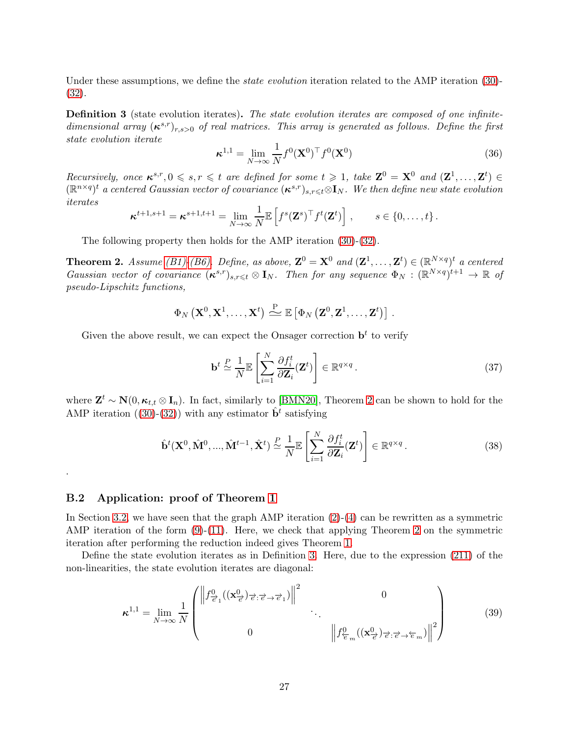<span id="page-26-2"></span>Under these assumptions, we define the *state evolution* iteration related to the AMP iteration [\(30\)](#page-25-2)-[\(32\)](#page-25-3).

Definition 3 (state evolution iterates). The state evolution iterates are composed of one infinitedimensional array  $(\kappa^{s,r})_{r,s>0}$  of real matrices. This array is generated as follows. Define the first state evolution iterate

$$
\boldsymbol{\kappa}^{1,1} = \lim_{N \to \infty} \frac{1}{N} f^0(\mathbf{X}^0)^\top f^0(\mathbf{X}^0)
$$
\n(36)

Recursively, once  $\kappa^{s,r}, 0 \leqslant s, r \leqslant t$  are defined for some  $t \geqslant 1$ , take  $\mathbf{Z}^0 = \mathbf{X}^0$  and  $(\mathbf{Z}^1, \ldots, \mathbf{Z}^t) \in$  $(\mathbb{R}^{n\times q})^t$  a centered Gaussian vector of covariance  $(\kappa^{s,r})_{s,r\leq t}\otimes I_N$ . We then define new state evolution iterates

$$
\boldsymbol{\kappa}^{t+1,s+1} = \boldsymbol{\kappa}^{s+1,t+1} = \lim_{N \to \infty} \frac{1}{N} \mathbb{E} \left[ f^s(\mathbf{Z}^s)^\top f^t(\mathbf{Z}^t) \right], \qquad s \in \{0, \ldots, t\}.
$$

<span id="page-26-1"></span>The following property then holds for the AMP iteration [\(30\)](#page-25-2)-[\(32\)](#page-25-3).

**Theorem 2.** Assume [\(B1\)-](#page-25-4)[\(B6\).](#page-25-5) Define, as above,  $\mathbf{Z}^0 = \mathbf{X}^0$  and  $(\mathbf{Z}^1, \ldots, \mathbf{Z}^t) \in (\mathbb{R}^{N \times q})^t$  a centered Gaussian vector of covariance  $(\kappa^{s,r})_{s,r\leq t}\otimes \mathbf{I}_N$ . Then for any sequence  $\Phi_N: (\mathbb{R}^{N\times q})^{t+1}\to \mathbb{R}$  of pseudo-Lipschitz functions,

$$
\Phi_N\left(\mathbf{X}^0,\mathbf{X}^1,\ldots,\mathbf{X}^t\right)\stackrel{\mathrm{P}}{\triangleq}\mathbb{E}\left[\Phi_N\left(\mathbf{Z}^0,\mathbf{Z}^1,\ldots,\mathbf{Z}^t\right)\right].
$$

Given the above result, we can expect the Onsager correction  $\mathbf{b}^t$  to verify

<span id="page-26-3"></span>
$$
\mathbf{b}^t \stackrel{P}{\simeq} \frac{1}{N} \mathbb{E} \left[ \sum_{i=1}^N \frac{\partial f_i^t}{\partial \mathbf{Z}_i} (\mathbf{Z}^t) \right] \in \mathbb{R}^{q \times q} . \tag{37}
$$

where  $\mathbf{Z}^t \sim \mathbf{N}(0, \kappa_{t,t} \otimes \mathbf{I}_n)$ . In fact, similarly to [\[BMN20\]](#page-21-6), Theorem [2](#page-26-1) can be shown to hold for the AMP iteration  $((30)-(32))$  $((30)-(32))$  $((30)-(32))$  $((30)-(32))$  $((30)-(32))$  with any estimator  $\hat{\mathbf{b}}^t$  satisfying

$$
\hat{\mathbf{b}}^{t}(\mathbf{X}^{0}, \hat{\mathbf{M}}^{0}, ..., \hat{\mathbf{M}}^{t-1}, \hat{\mathbf{X}}^{t}) \stackrel{P}{\simeq} \frac{1}{N} \mathbb{E}\left[\sum_{i=1}^{N} \frac{\partial f_{i}^{t}}{\partial \mathbf{Z}_{i}}(\mathbf{Z}^{t})\right] \in \mathbb{R}^{q \times q}.
$$
\n(38)

### B.2 Application: proof of Theorem [1](#page-9-2)

<span id="page-26-0"></span>.

In Section [3.2,](#page-9-0) we have seen that the graph AMP iteration [\(2\)](#page-5-0)-[\(4\)](#page-5-2) can be rewritten as a symmetric AMP iteration of the form  $(9)-(11)$  $(9)-(11)$ . Here, we check that applying Theorem [2](#page-26-1) on the symmetric iteration after performing the reduction indeed gives Theorem [1.](#page-9-2)

Define the state evolution iterates as in Definition [3.](#page-26-2) Here, due to the expression [\(211\)](#page-52-0) of the non-linearities, the state evolution iterates are diagonal:

$$
\boldsymbol{\kappa}^{1,1} = \lim_{N \to \infty} \frac{1}{N} \begin{pmatrix} \left\| f_{\vec{e}_1}^0((\mathbf{x}_{\vec{e}}^0)_{\vec{e}} : \vec{e} \to \vec{e}_1) \right\|^2 & 0 \\ 0 & \left\| f_{\vec{e}_m}^0((\mathbf{x}_{\vec{e}}^0)_{\vec{e}} : \vec{e} \to \vec{e}_m) \right\|^2 \end{pmatrix}
$$
(39)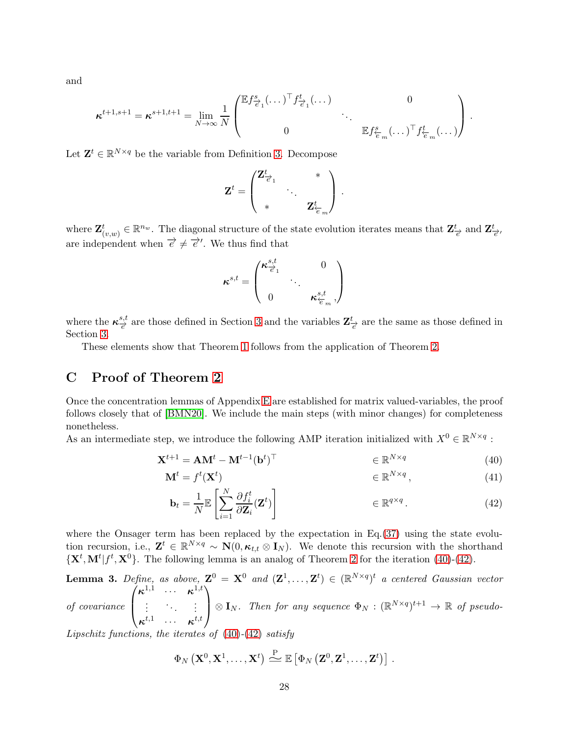and

$$
\boldsymbol{\kappa}^{t+1,s+1} = \boldsymbol{\kappa}^{s+1,t+1} = \lim_{N \to \infty} \frac{1}{N} \begin{pmatrix} \mathbb{E} f_{\vec{e}_1}^s (\dots)^\top f_{\vec{e}_1}^t (\dots) & 0 \\ 0 & \ddots & \vdots \\ 0 & \mathbb{E} f_{\vec{e}_m}^s (\dots)^\top f_{\vec{e}_m}^t (\dots) \end{pmatrix}.
$$

Let  $\mathbf{Z}^t \in \mathbb{R}^{N \times q}$  be the variable from Definition [3.](#page-26-2) Decompose

$$
\mathbf{Z}^t = \begin{pmatrix} \mathbf{Z}_{\overrightarrow{e}_1}^t & & * \\ & \ddots & \\ * & & \mathbf{Z}_{\overleftarrow{e}_m}^t \end{pmatrix} \, .
$$

where  $\mathbf{Z}^t_{(v,w)} \in \mathbb{R}^{n_w}$ . The diagonal structure of the state evolution iterates means that  $\mathbf{Z}^t_{\overrightarrow{e}}$  and  $\mathbf{Z}^t_{\overrightarrow{e}}$ , are independent when  $\overrightarrow{e} \neq \overrightarrow{e}'$ . We thus find that

$$
\kappa^{s,t} = \begin{pmatrix} \kappa_{\overrightarrow{e}_1}^{s,t} & 0 \\ \cdot & \cdot \\ 0 & \kappa_{\overleftarrow{e}_m}^{s,t} \end{pmatrix}
$$

where the  $\kappa_{\overrightarrow{e}}^{s,t}$  $\frac{s,t}{e'}$  are those defined in Section [3](#page-8-0) and the variables  $\mathbb{Z}_{\overrightarrow{e}}^{t}$  are the same as those defined in Section [3.](#page-8-0)

These elements show that Theorem [1](#page-9-2) follows from the application of Theorem [2.](#page-26-1)

# <span id="page-27-0"></span>C Proof of Theorem [2](#page-26-1)

Once the concentration lemmas of Appendix [E](#page-53-0) are established for matrix valued-variables, the proof follows closely that of [\[BMN20\]](#page-21-6). We include the main steps (with minor changes) for completeness nonetheless.

As an intermediate step, we introduce the following AMP iteration initialized with  $X^0 \in \mathbb{R}^{N \times q}$ :

$$
\mathbf{X}^{t+1} = \mathbf{A}\mathbf{M}^t - \mathbf{M}^{t-1}(\mathbf{b}^t)^\top
$$
\n
$$
\in \mathbb{R}^{N \times q} \tag{40}
$$

$$
\mathbf{M}^t = f^t(\mathbf{X}^t) \qquad \qquad \in \mathbb{R}^{N \times q}, \tag{41}
$$

<span id="page-27-3"></span><span id="page-27-2"></span>
$$
\mathbf{b}_{t} = \frac{1}{N} \mathbb{E} \left[ \sum_{i=1}^{N} \frac{\partial f_{i}^{t}}{\partial \mathbf{Z}_{i}} (\mathbf{Z}^{t}) \right] \qquad \in \mathbb{R}^{q \times q} . \tag{42}
$$

where the Onsager term has been replaced by the expectation in Eq.[\(37\)](#page-26-3) using the state evolution recursion, i.e.,  $\mathbf{Z}^t \in \mathbb{R}^{N \times q} \sim \mathbf{N}(0, \kappa_{t,t} \otimes \mathbf{I}_N)$ . We denote this recursion with the shorthand  $\{X^t, M^t | f^t, X^0\}$ . The following lemma is an analog of Theorem [2](#page-26-1) for the iteration [\(40\)](#page-27-2)-[\(42\)](#page-27-3).

<span id="page-27-1"></span>**Lemma 3.** Define, as above,  $\mathbf{Z}^0 = \mathbf{X}^0$  and  $(\mathbf{Z}^1, \ldots, \mathbf{Z}^t) \in (\mathbb{R}^{N \times q})^t$  a centered Gaussian vector  $\sqrt{ }$  $\kappa^{1,1}$  ...  $\kappa^{1,t}$  $\setminus$ 

of covariance  $\left\lfloor \right\rfloor$ . . . . . . . . .  $\kappa^{t,1}$  ...  $\kappa^{t,t}$  $\bigotimes_{N} \mathbf{I}_{N}$ . Then for any sequence  $\Phi_{N} : (\mathbb{R}^{N \times q})^{t+1} \to \mathbb{R}$  of pseudo-

Lipschitz functions, the iterates of  $(40)-(42)$  $(40)-(42)$  $(40)-(42)$  satisfy

$$
\Phi_N\left(\mathbf{X}^0,\mathbf{X}^1,\ldots,\mathbf{X}^t\right)\stackrel{\text{P}}{\triangleq} \mathbb{E}\left[\Phi_N\left(\mathbf{Z}^0,\mathbf{Z}^1,\ldots,\mathbf{Z}^t\right)\right].
$$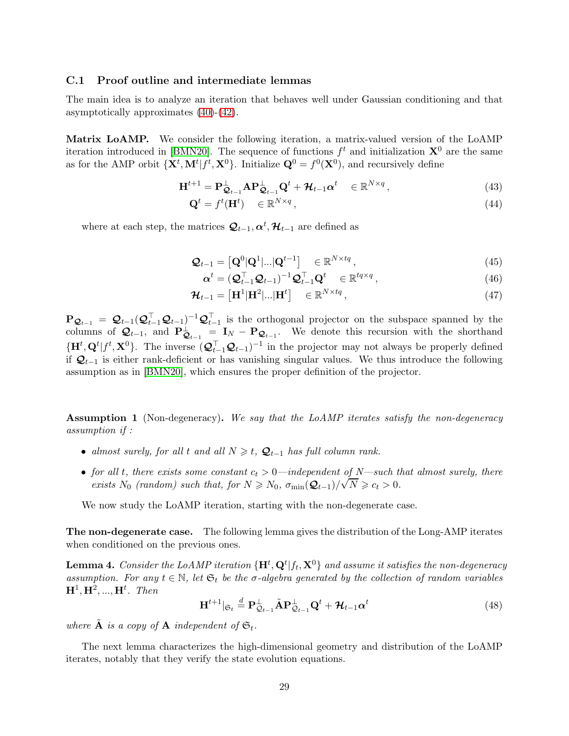### <span id="page-28-0"></span>C.1 Proof outline and intermediate lemmas

The main idea is to analyze an iteration that behaves well under Gaussian conditioning and that asymptotically approximates [\(40\)](#page-27-2)-[\(42\)](#page-27-3).

Matrix LoAMP. We consider the following iteration, a matrix-valued version of the LoAMP iteration introduced in [\[BMN20\]](#page-21-6). The sequence of functions  $f<sup>t</sup>$  and initialization  $\mathbf{X}^0$  are the same as for the AMP orbit  $\{X^t, M^t | f^t, X^0\}$ . Initialize  $Q^0 = f^0(X^0)$ , and recursively define

$$
\mathbf{H}^{t+1} = \mathbf{P}_{\mathbf{Q}_{t-1}}^{\perp} \mathbf{A} \mathbf{P}_{\mathbf{Q}_{t-1}}^{\perp} \mathbf{Q}^t + \mathcal{H}_{t-1} \alpha^t \in \mathbb{R}^{N \times q}, \qquad (43)
$$

$$
\mathbf{Q}^t = f^t(\mathbf{H}^t) \in \mathbb{R}^{N \times q},\tag{44}
$$

where at each step, the matrices  $\mathcal{Q}_{t-1}, \alpha^t, \mathcal{H}_{t-1}$  are defined as

$$
\mathbf{Q}_{t-1} = \left[ \mathbf{Q}^0 | \mathbf{Q}^1 | \dots | \mathbf{Q}^{t-1} \right] \quad \in \mathbb{R}^{N \times tq} \,, \tag{45}
$$

$$
\boldsymbol{\alpha}^{t} = (\mathcal{Q}_{t-1}^{\top} \mathcal{Q}_{t-1})^{-1} \mathcal{Q}_{t-1}^{\top} \mathbf{Q}^{t} \in \mathbb{R}^{tq \times q}, \qquad (46)
$$

$$
\mathbf{\mathcal{H}}_{t-1} = [\mathbf{H}^1 | \mathbf{H}^2 | \dots | \mathbf{H}^t] \quad \in \mathbb{R}^{N \times tq}, \tag{47}
$$

 $\mathbf{P}_{\mathcal{Q}_{t-1}} = \mathcal{Q}_{t-1}(\mathcal{Q}_{t-1}^{\top} \mathcal{Q}_{t-1})^{-1} \mathcal{Q}_{t-1}^{\top}$  is the orthogonal projector on the subspace spanned by the columns of  $\mathcal{Q}_{t-1}$ , and  $\mathbf{P}_{\mathcal{Q}_{t-1}}^{\perp} = \mathbf{I}_N - \mathbf{P}_{\mathcal{Q}_{t-1}}$ . We denote this recursion with the shorthand  $\{\mathbf{H}^t, \mathbf{Q}^t | f^t, \mathbf{X}^0\}$ . The inverse  $(\mathcal{Q}_{t-1}^\top \mathcal{Q}_{t-1})^{-1}$  in the projector may not always be properly defined if  $\mathcal{Q}_{t-1}$  is either rank-deficient or has vanishing singular values. We thus introduce the following assumption as in [\[BMN20\]](#page-21-6), which ensures the proper definition of the projector.

**Assumption 1** (Non-degeneracy). We say that the LoAMP iterates satisfy the non-degeneracy assumption if :

- almost surely, for all t and all  $N \geq t$ ,  $\mathcal{Q}_{t-1}$  has full column rank.
- for all t, there exists some constant  $c_t > 0$ —independent of N—such that almost surely, there exists N<sub>0</sub> (random) such that, for  $N \ge N_0$ ,  $\sigma_{\min}(\mathcal{Q}_{t-1})/\sqrt{N} \ge c_t > 0$ .

We now study the LoAMP iteration, starting with the non-degenerate case.

<span id="page-28-1"></span>The non-degenerate case. The following lemma gives the distribution of the Long-AMP iterates when conditioned on the previous ones.

**Lemma 4.** Consider the LoAMP iteration  $\{\mathbf{H}^t, \mathbf{Q}^t | f_t, \mathbf{X}^0\}$  and assume it satisfies the non-degeneracy assumption. For any  $t \in \mathbb{N}$ , let  $\mathfrak{S}_t$  be the  $\sigma$ -algebra generated by the collection of random variables  $\mathbf{H}^{1}, \mathbf{H}^{2}, ..., \mathbf{H}^{t}$ . Then

$$
\mathbf{H}^{t+1} |_{\mathfrak{S}_t} \stackrel{d}{=} \mathbf{P}_{\mathcal{Q}_{t-1}}^{\perp} \tilde{\mathbf{A}} \mathbf{P}_{\mathcal{Q}_{t-1}}^{\perp} \mathbf{Q}^t + \mathcal{H}_{t-1} \alpha^t
$$
\n(48)

where  $\tilde{A}$  is a copy of  $A$  independent of  $\mathfrak{S}_t$ .

<span id="page-28-2"></span>The next lemma characterizes the high-dimensional geometry and distribution of the LoAMP iterates, notably that they verify the state evolution equations.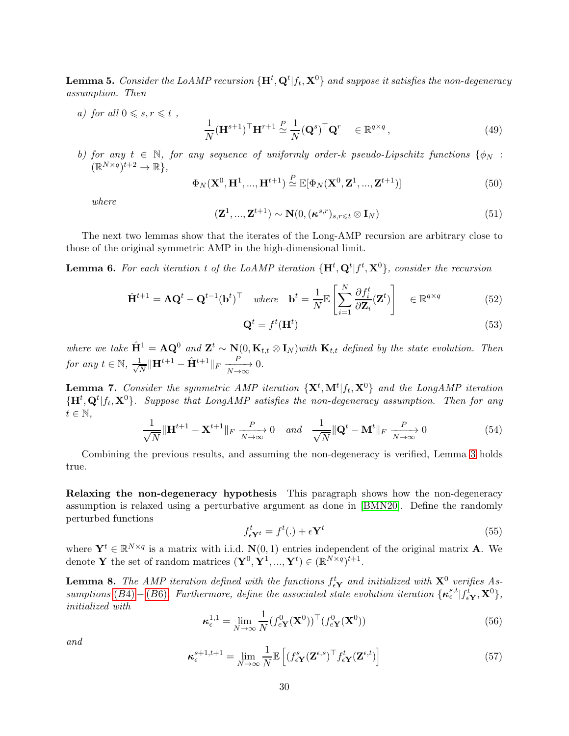**Lemma 5.** Consider the LoAMP recursion  $\{\mathbf{H}^t, \mathbf{Q}^t | f_t, \mathbf{X}^0\}$  and suppose it satisfies the non-degeneracy assumption. Then

a) for all  $0 \leqslant s, r \leqslant t$ ,

$$
\frac{1}{N}(\mathbf{H}^{s+1})^{\top}\mathbf{H}^{r+1} \stackrel{P}{\simeq} \frac{1}{N}(\mathbf{Q}^s)^{\top}\mathbf{Q}^r \in \mathbb{R}^{q \times q},\tag{49}
$$

b) for any  $t \in \mathbb{N}$ , for any sequence of uniformly order-k pseudo-Lipschitz functions  $\{\phi_N :$  $(\mathbb{R}^{N \times q})^{t+2} \to \mathbb{R}$ ,

$$
\Phi_N(\mathbf{X}^0, \mathbf{H}^1, ..., \mathbf{H}^{t+1}) \stackrel{P}{\simeq} \mathbb{E}[\Phi_N(\mathbf{X}^0, \mathbf{Z}^1, ..., \mathbf{Z}^{t+1})]
$$
\n(50)

where

$$
(\mathbf{Z}^1, ..., \mathbf{Z}^{t+1}) \sim \mathbf{N}(0, (\boldsymbol{\kappa}^{s,r})_{s,r \leq t} \otimes \mathbf{I}_N)
$$
\n(51)

<span id="page-29-2"></span>The next two lemmas show that the iterates of the Long-AMP recursion are arbitrary close to those of the original symmetric AMP in the high-dimensional limit.

**Lemma 6.** For each iteration t of the LoAMP iteration  $\{\mathbf{H}^t, \mathbf{Q}^t | f^t, \mathbf{X}^0\}$ , consider the recursion

$$
\hat{\mathbf{H}}^{t+1} = \mathbf{A}\mathbf{Q}^t - \mathbf{Q}^{t-1}(\mathbf{b}^t)^\top \quad where \quad \mathbf{b}^t = \frac{1}{N} \mathbb{E} \left[ \sum_{i=1}^N \frac{\partial f_i^t}{\partial \mathbf{Z}_i}(\mathbf{Z}^t) \right] \quad \in \mathbb{R}^{q \times q} \tag{52}
$$

<span id="page-29-3"></span>
$$
\mathbf{Q}^t = f^t(\mathbf{H}^t) \tag{53}
$$

where we take  $\hat{H}^1 = AQ^0$  and  $Z^t \sim N(0, K_{t,t} \otimes I_N)$  with  $K_{t,t}$  defined by the state evolution. Then for any  $t \in \mathbb{N}$ ,  $\frac{1}{\sqrt{2}}$  $\frac{L}{N} \|\mathbf{H}^{t+1} - \hat{\mathbf{H}}^{t+1}\|_F \xrightarrow[N \to \infty]{P}$ 0.

<span id="page-29-4"></span>**Lemma 7.** Consider the symmetric AMP iteration  $\{X^t, M^t | f_t, X^0\}$  and the LongAMP iteration  ${H<sup>t</sup>, Q<sup>t</sup>|f<sub>t</sub>, X<sup>0</sup>}$ . Suppose that LongAMP satisfies the non-degeneracy assumption. Then for any  $t \in \mathbb{N},$ 

$$
\frac{1}{\sqrt{N}} \|\mathbf{H}^{t+1} - \mathbf{X}^{t+1}\|_{F} \xrightarrow[N \to \infty]{} 0 \quad and \quad \frac{1}{\sqrt{N}} \|\mathbf{Q}^{t} - \mathbf{M}^{t}\|_{F} \xrightarrow[N \to \infty]{} 0 \tag{54}
$$

Combining the previous results, and assuming the non-degeneracy is verified, Lemma [3](#page-27-1) holds true.

Relaxing the non-degeneracy hypothesis This paragraph shows how the non-degeneracy assumption is relaxed using a perturbative argument as done in [\[BMN20\]](#page-21-6). Define the randomly perturbed functions

<span id="page-29-0"></span>
$$
f_{\epsilon Y^t}^t = f^t(.) + \epsilon Y^t \tag{55}
$$

<span id="page-29-5"></span>where  $\mathbf{Y}^t \in \mathbb{R}^{N \times q}$  is a matrix with i.i.d.  $\mathbf{N}(0, 1)$  entries independent of the original matrix **A**. We denote **Y** the set of random matrices  $(\mathbf{Y}^0, \mathbf{Y}^1, ..., \mathbf{Y}^t) \in (\mathbb{R}^{N \times q})^{t+1}$ .

**Lemma 8.** The AMP iteration defined with the functions  $f_{\epsilon Y}^t$  and initialized with  $X^0$  verifies As-sumptions (B[4\)](#page-25-6) – (B[6\)](#page-25-5). Furthermore, define the associated state evolution iteration  $\{\kappa_{\epsilon}^{s,t}|f_{\epsilon\mathbf{Y}}^i,\mathbf{X}^0\}$ , initialized with

<span id="page-29-1"></span>
$$
\boldsymbol{\kappa}_{\epsilon}^{1,1} = \lim_{N \to \infty} \frac{1}{N} (f_{e\mathbf{Y}}^0(\mathbf{X}^0))^{\top} (f_{e\mathbf{Y}}^0(\mathbf{X}^0))
$$
(56)

and

$$
\boldsymbol{\kappa}_{\epsilon}^{s+1,t+1} = \lim_{N \to \infty} \frac{1}{N} \mathbb{E} \left[ (f_{\epsilon \mathbf{Y}}^s (\mathbf{Z}^{\epsilon,s})^\top f_{\epsilon \mathbf{Y}}^t (\mathbf{Z}^{\epsilon,t}) \right] \tag{57}
$$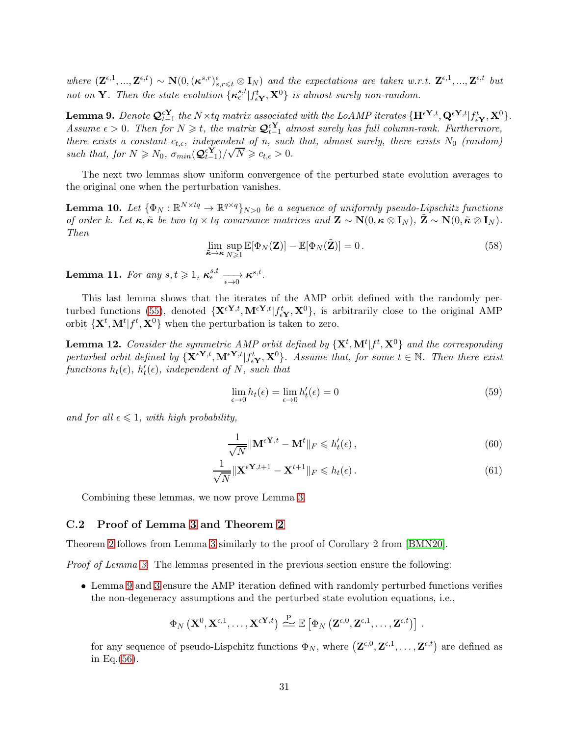where  $(\mathbf{Z}^{\epsilon,1},...,\mathbf{Z}^{\epsilon,t}) \sim \mathbf{N}(0,(\boldsymbol{\kappa}^{s,r})^{\epsilon}_{s,r\leq t} \otimes \mathbf{I}_N)$  and the expectations are taken w.r.t.  $\mathbf{Z}^{\epsilon,1},...,\mathbf{Z}^{\epsilon,t}$  but not on **Y**. Then the state evolution  $\{\kappa_{\epsilon}^{s,t}|f_{\epsilon\mathbf{Y}}^t,\mathbf{X}^0\}$  is almost surely non-random.

<span id="page-30-1"></span>**Lemma 9.** Denote  $\mathcal{Q}_{t-1}^{\epsilon Y}$  the N×tq matrix associated with the LoAMP iterates  $\{\mathbf{H}^{\epsilon Y,t}, \mathbf{Q}^{\epsilon Y,t} | f_{\epsilon Y}^t, \mathbf{X}^0\}$ . Assume  $\epsilon > 0$ . Then for  $N \geq t$ , the matrix  $\mathcal{Q}_{t-1}^{\epsilon Y}$  almost surely has full column-rank. Furthermore, there exists a constant  $c_{t,\epsilon}$ , independent of n, such that, almost surely, there exists  $N_0$  (random) such that, for  $N \ge N_0$ ,  $\sigma_{min}(\mathcal{Q}_{t-1}^{\epsilon Y})/\sqrt{N} \ge c_{t,\epsilon} > 0$ .

<span id="page-30-2"></span>The next two lemmas show uniform convergence of the perturbed state evolution averages to the original one when the perturbation vanishes.

**Lemma 10.** Let  $\{\Phi_N : \mathbb{R}^{N \times tq} \to \mathbb{R}^{q \times q}\}_{N>0}$  be a sequence of uniformly pseudo-Lipschitz functions of order k. Let  $\kappa, \tilde{\kappa}$  be two tq  $\times$  tq covariance matrices and  $\mathbf{Z} \sim \mathbf{N}(0, \kappa \otimes \mathbf{I}_N)$ ,  $\tilde{\mathbf{Z}} \sim \mathbf{N}(0, \tilde{\kappa} \otimes \mathbf{I}_N)$ . Then

$$
\lim_{\tilde{\boldsymbol{\kappa}} \to \boldsymbol{\kappa}} \sup_{N \geqslant 1} \mathbb{E}[\Phi_N(\mathbf{Z})] - \mathbb{E}[\Phi_N(\tilde{\mathbf{Z}})] = 0. \tag{58}
$$

<span id="page-30-3"></span>**Lemma 11.** For any  $s,t \geqslant 1$ ,  $\kappa_{\epsilon}^{s,t} \longrightarrow \kappa^{s,t}$ .

This last lemma shows that the iterates of the AMP orbit defined with the randomly per-turbed functions [\(55\)](#page-29-0), denoted  $\{X^{\epsilon Y,t}, M^{\epsilon Y,t} | f_{\epsilon Y}^t, X^0\}$ , is arbitrarily close to the original AMP orbit  $\{X^t, M^t | f^t, X^0\}$  when the perturbation is taken to zero.

<span id="page-30-4"></span>**Lemma 12.** Consider the symmetric AMP orbit defined by  $\{X^t, M^t | f^t, X^0\}$  and the corresponding perturbed orbit defined by  $\{X^{\epsilon Y,t}, M^{\epsilon Y,t}| f^t_{\epsilon Y}, X^0\}$ . Assume that, for some  $t \in \mathbb{N}$ . Then there exist functions  $h_t(\epsilon)$ ,  $h'_t(\epsilon)$ , independent of N, such that

$$
\lim_{\epsilon \to 0} h_t(\epsilon) = \lim_{\epsilon \to 0} h_t'(\epsilon) = 0
$$
\n(59)

and for all  $\epsilon \leq 1$ , with high probability,

$$
\frac{1}{\sqrt{N}} \|\mathbf{M}^{\epsilon \mathbf{Y},t} - \mathbf{M}^t\|_F \leq h_t'(\epsilon),\tag{60}
$$

$$
\frac{1}{\sqrt{N}} \|\mathbf{X}^{\epsilon \mathbf{Y}, t+1} - \mathbf{X}^{t+1}\|_{F} \leqslant h_t(\epsilon).
$$
\n(61)

Combining these lemmas, we now prove Lemma [3.](#page-27-1)

### <span id="page-30-0"></span>C.2 Proof of Lemma [3](#page-27-1) and Theorem [2](#page-26-1)

Theorem [2](#page-26-1) follows from Lemma [3](#page-27-1) similarly to the proof of Corollary 2 from [\[BMN20\]](#page-21-6).

Proof of Lemma [3.](#page-27-1) The lemmas presented in the previous section ensure the following:

• Lemma [9](#page-30-1) and [3](#page-27-1) ensure the AMP iteration defined with randomly perturbed functions verifies the non-degeneracy assumptions and the perturbed state evolution equations, i.e.,

$$
\Phi_N\left(\mathbf{X}^{0},\mathbf{X}^{\epsilon,1},\ldots,\mathbf{X}^{\epsilon\mathbf{Y},t}\right)\stackrel{\text{P}}{\sim}\mathbb{E}\left[\Phi_N\left(\mathbf{Z}^{\epsilon,0},\mathbf{Z}^{\epsilon,1},\ldots,\mathbf{Z}^{\epsilon,t}\right)\right].
$$

for any sequence of pseudo-Lispchitz functions  $\Phi_N$ , where  $(\mathbf{Z}^{\epsilon,0}, \mathbf{Z}^{\epsilon,1}, \dots, \mathbf{Z}^{\epsilon,t})$  are defined as in Eq. $(56)$ .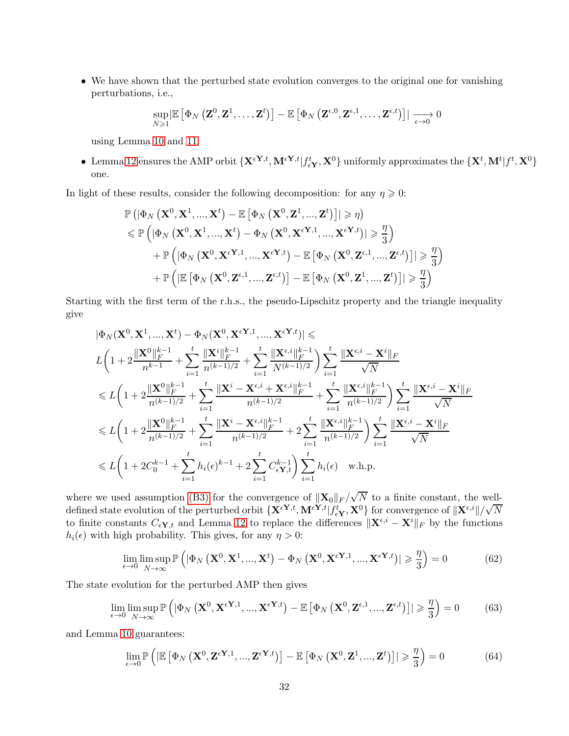• We have shown that the perturbed state evolution converges to the original one for vanishing perturbations, i.e.,

$$
\sup_{N\geqslant 1}\left|\mathbb{E}\left[\Phi_{N}\left(\mathbf{Z}^{0},\mathbf{Z}^{1},\ldots,\mathbf{Z}^{t}\right)\right]-\mathbb{E}\left[\Phi_{N}\left(\mathbf{Z}^{\epsilon,0},\mathbf{Z}^{\epsilon,1},\ldots,\mathbf{Z}^{\epsilon,t}\right)\right]\right|\xrightarrow[\epsilon\to 0]{}0
$$

using Lemma [10](#page-30-2) and [11.](#page-30-3)

• Lemma [12](#page-30-4) ensures the AMP orbit  $\{ \mathbf{X}^{\epsilon Y,t}, \mathbf{M}^{\epsilon Y,t} | f_{\epsilon Y}^t, \mathbf{X}^0 \}$  uniformly approximates the  $\{ \mathbf{X}^t, \mathbf{M}^t | f^t, \mathbf{X}^0 \}$ one.

In light of these results, consider the following decomposition: for any  $\eta \geq 0$ :

$$
\mathbb{P}\left(|\Phi_{N}\left(\mathbf{X}^{0},\mathbf{X}^{1},...,\mathbf{X}^{t}\right)-\mathbb{E}\left[\Phi_{N}\left(\mathbf{X}^{0},\mathbf{Z}^{1},...,\mathbf{Z}^{t}\right)\right]|\geqslant\eta\right) \n\leqslant \mathbb{P}\left(|\Phi_{N}\left(\mathbf{X}^{0},\mathbf{X}^{1},...,\mathbf{X}^{t}\right)-\Phi_{N}\left(\mathbf{X}^{0},\mathbf{X}^{\epsilon\mathbf{Y},1},...,\mathbf{X}^{\epsilon\mathbf{Y},t})|\geqslant\frac{\eta}{3}\right) \n+ \mathbb{P}\left(|\Phi_{N}\left(\mathbf{X}^{0},\mathbf{X}^{\epsilon\mathbf{Y},1},...,\mathbf{X}^{\epsilon\mathbf{Y},t}\right)-\mathbb{E}\left[\Phi_{N}\left(\mathbf{X}^{0},\mathbf{Z}^{\epsilon,1},...,\mathbf{Z}^{\epsilon,t}\right)\right]|\geqslant\frac{\eta}{3}\right) \n+ \mathbb{P}\left(|\mathbb{E}\left[\Phi_{N}\left(\mathbf{X}^{0},\mathbf{Z}^{\epsilon,1},...,\mathbf{Z}^{\epsilon,t}\right)\right]-\mathbb{E}\left[\Phi_{N}\left(\mathbf{X}^{0},\mathbf{Z}^{1},...,\mathbf{Z}^{t}\right)\right]|\geqslant\frac{\eta}{3}\right)
$$

Starting with the first term of the r.h.s., the pseudo-Lipschitz property and the triangle inequality give

$$
\begin{aligned} &|\Phi_{N}(\mathbf{X}^{0},\mathbf{X}^{1},...,\mathbf{X}^{t})-\Phi_{N}(\mathbf{X}^{0},\mathbf{X}^{\epsilon\mathbf{Y},1},...,\mathbf{X}^{\epsilon\mathbf{Y},t})|\leqslant\\ &L\bigg(1+2\frac{\|\mathbf{X}^{0}\|_{F}^{k-1}}{n^{k-1}}+\sum_{i=1}^{t}\frac{\|\mathbf{X}^{i}\|_{F}^{k-1}}{n^{(k-1)/2}}+\sum_{i=1}^{t}\frac{\|\mathbf{X}^{\epsilon,i}\|_{F}^{k-1}}{N^{(k-1)/2}}\bigg)\sum_{i=1}^{t}\frac{\|\mathbf{X}^{\epsilon,i}-\mathbf{X}^{i}\|_{F}}{\sqrt{N}}\\ &\leqslant L\bigg(1+2\frac{\|\mathbf{X}^{0}\|_{F}^{k-1}}{n^{(k-1)/2}}+\sum_{i=1}^{t}\frac{\|\mathbf{X}^{i}-\mathbf{X}^{\epsilon,i}+\mathbf{X}^{\epsilon,i}\|_{F}^{k-1}}{n^{(k-1)/2}}+\sum_{i=1}^{t}\frac{\|\mathbf{X}^{\epsilon,i}\|_{F}^{k-1}}{n^{(k-1)/2}}\bigg)\sum_{i=1}^{t}\frac{\|\mathbf{X}^{\epsilon,i}-\mathbf{X}^{i}\|_{F}}{n^{(k-1)/2}}\\ &\leqslant L\bigg(1+2\frac{\|\mathbf{X}^{0}\|_{F}^{k-1}}{n^{(k-1)/2}}+\sum_{i=1}^{t}\frac{\|\mathbf{X}^{i}-\mathbf{X}^{\epsilon,i}\|_{F}^{k-1}}{n^{(k-1)/2}}+2\sum_{i=1}^{t}\frac{\|\mathbf{X}^{\epsilon,i}\|_{F}^{k-1}}{n^{(k-1)/2}}\bigg)\sum_{i=1}^{t}\frac{\|\mathbf{X}^{\epsilon,i}-\mathbf{X}^{i}\|_{F}}{\sqrt{N}}\\ &\leqslant L\bigg(1+2C_{0}^{k-1}+\sum_{i=1}^{t}h_{i}(\epsilon)^{k-1}+2\sum_{i=1}^{t}C_{\epsilon}^{k-1}\bigg)\sum_{i=1}^{t}h_{i}(\epsilon)\quad \text{w.h.p.}\bigg\end{aligned}
$$

where we used assumption [\(B3\)](#page-25-7) for the convergence of  $\|\mathbf{X}_0\|_F / \sqrt{N}$  to a finite constant, the welldefined state evolution of the perturbed orbit  $\{ \mathbf{X}^{\epsilon Y,t}, \mathbf{M}^{\epsilon Y,t} | f_{\epsilon Y}^{t}, \mathbf{X}^{0} \}$  for convergence of  $\| \mathbf{X}^{\epsilon,i} \| / \sqrt{N}$ to finite constants  $C_{\epsilon Y,t}$  and Lemma [12](#page-30-4) to replace the differences  $\|\mathbf{X}^{\epsilon,i} - \mathbf{X}^i\|_F$  by the functions  $h_i(\epsilon)$  with high probability. This gives, for any  $\eta > 0$ :

$$
\lim_{\epsilon \to 0} \limsup_{N \to \infty} \mathbb{P}\left( |\Phi_N\left(\mathbf{X}^0, \mathbf{X}^1, ..., \mathbf{X}^t\right) - \Phi_N\left(\mathbf{X}^0, \mathbf{X}^{\epsilon \mathbf{Y}, 1}, ..., \mathbf{X}^{\epsilon \mathbf{Y}, t} \right)| \geq \frac{\eta}{3} \right) = 0 \tag{62}
$$

The state evolution for the perturbed AMP then gives

$$
\lim_{\epsilon \to 0} \limsup_{N \to \infty} \mathbb{P}\left( \left| \Phi_N\left( \mathbf{X}^0, \mathbf{X}^{\epsilon \mathbf{Y},1}, ..., \mathbf{X}^{\epsilon \mathbf{Y},t} \right) - \mathbb{E}\left[ \Phi_N\left( \mathbf{X}^0, \mathbf{Z}^{\epsilon,1}, ..., \mathbf{Z}^{\epsilon,t} \right) \right] \right| \geq \frac{\eta}{3} \right) = 0 \tag{63}
$$

and Lemma [10](#page-30-2) guarantees:

$$
\lim_{\epsilon \to 0} \mathbb{P}\left( \left| \mathbb{E}\left[ \Phi_N\left( \mathbf{X}^0, \mathbf{Z}^{\epsilon \mathbf{Y},1}, ..., \mathbf{Z}^{\epsilon \mathbf{Y},t} \right) \right] - \mathbb{E}\left[ \Phi_N\left( \mathbf{X}^0, \mathbf{Z}^1, ..., \mathbf{Z}^t \right) \right] \right| \geq \frac{\eta}{3} \right) = 0 \tag{64}
$$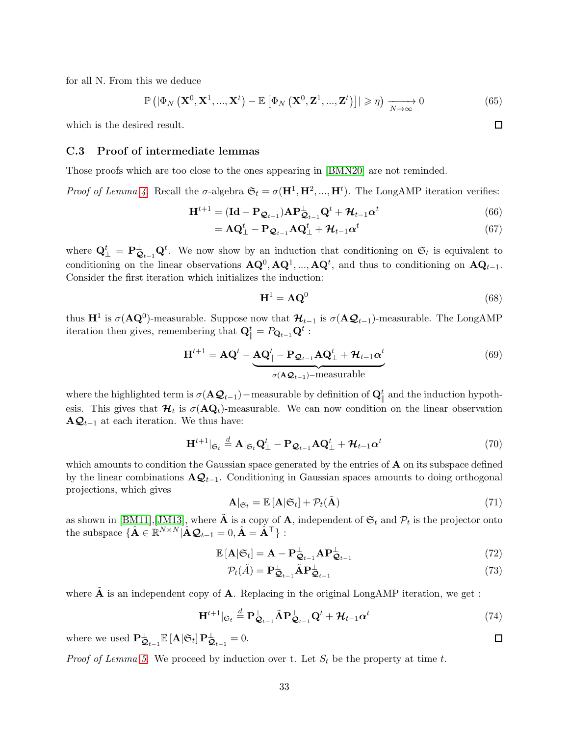for all N. From this we deduce

$$
\mathbb{P}\left(|\Phi_N\left(\mathbf{X}^0,\mathbf{X}^1,...,\mathbf{X}^t\right)-\mathbb{E}\left[\Phi_N\left(\mathbf{X}^0,\mathbf{Z}^1,...,\mathbf{Z}^t\right)\right]|\geqslant\eta\right)\xrightarrow[N\to\infty]{}0\tag{65}
$$

<span id="page-32-0"></span>which is the desired result.

### C.3 Proof of intermediate lemmas

Those proofs which are too close to the ones appearing in [\[BMN20\]](#page-21-6) are not reminded.

Proof of Lemma [4.](#page-28-1) Recall the  $\sigma$ -algebra  $\mathfrak{S}_t = \sigma(\mathbf{H}^1, \mathbf{H}^2, ..., \mathbf{H}^t)$ . The LongAMP iteration verifies:

$$
\mathbf{H}^{t+1} = (\mathbf{Id} - \mathbf{P}_{\mathcal{Q}_{t-1}}) \mathbf{A} \mathbf{P}_{\mathcal{Q}_{t-1}}^{\perp} \mathbf{Q}^t + \mathcal{H}_{t-1} \alpha^t
$$
\n(66)

$$
= \mathbf{A}\mathbf{Q}_{\perp}^{t} - \mathbf{P}_{\mathcal{Q}_{t-1}}\mathbf{A}\mathbf{Q}_{\perp}^{t} + \mathcal{H}_{t-1}\alpha^{t}
$$
\n(67)

where  $\mathbf{Q}_{\perp}^t = \mathbf{P}_{\mathbf{Q}_{t-1}}^{\perp} \mathbf{Q}^t$ . We now show by an induction that conditioning on  $\mathfrak{S}_t$  is equivalent to conditioning on the linear observations  $\mathbf{AQ}^0$ ,  $\mathbf{AQ}^1$ , ...,  $\mathbf{AQ}^t$ , and thus to conditioning on  $\mathbf{AQ}_{t-1}$ . Consider the first iteration which initializes the induction:

$$
\mathbf{H}^1 = \mathbf{A}\mathbf{Q}^0 \tag{68}
$$

thus  $\mathbf{H}^1$  is  $\sigma(\mathbf{AQ}^0)$ -measurable. Suppose now that  $\mathcal{H}_{t-1}$  is  $\sigma(\mathbf{AQ}_{t-1})$ -measurable. The LongAMP iteration then gives, remembering that  $\mathbf{Q}_{\parallel}^{t} = P_{\mathbf{Q}_{t-1}} \mathbf{Q}^{t}$ :

$$
\mathbf{H}^{t+1} = \mathbf{A}\mathbf{Q}^t - \underbrace{\mathbf{A}\mathbf{Q}_{\parallel}^t - \mathbf{P}_{\mathbf{Q}_{t-1}}\mathbf{A}\mathbf{Q}_{\perp}^t + \mathbf{H}_{t-1}\alpha^t}_{\sigma(\mathbf{A}\mathbf{Q}_{t-1}) - \text{measurable}}
$$
(69)

where the highlighted term is  $\sigma(\mathbf{A}\mathcal{Q}_{t-1})$  – measurable by definition of  $\mathbf{Q}_{\parallel}^{t}$  and the induction hypothesis. This gives that  $\mathcal{H}_t$  is  $\sigma(\mathbf{AQ}_t)$ -measurable. We can now condition on the linear observation  $\mathbf{A}\mathbf{Q}_{t-1}$  at each iteration. We thus have:

$$
\mathbf{H}^{t+1} |_{\mathfrak{S}_t} \stackrel{d}{=} \mathbf{A} |_{\mathfrak{S}_t} \mathbf{Q}_\perp^t - \mathbf{P}_{\mathcal{Q}_{t-1}} \mathbf{A} \mathbf{Q}_\perp^t + \mathcal{H}_{t-1} \alpha^t
$$
\n(70)

which amounts to condition the Gaussian space generated by the entries of  $A$  on its subspace defined by the linear combinations  $\mathbf{A}\mathbf{Q}_{t-1}$ . Conditioning in Gaussian spaces amounts to doing orthogonal projections, which gives

$$
\mathbf{A}|_{\mathfrak{S}_t} = \mathbb{E}\left[\mathbf{A}|\mathfrak{S}_t\right] + \mathcal{P}_t(\tilde{\mathbf{A}})
$$
\n(71)

as shown in  $[\text{BM11}, [\text{JM13}],$  where  $\tilde{\mathbf{A}}$  is a copy of  $\mathbf{A}$ , independent of  $\mathfrak{S}_t$  and  $\mathcal{P}_t$  is the projector onto the subspace  $\{\hat{\mathbf{A}} \in \mathbb{R}^{N \times N} | \hat{\mathbf{A}} \mathcal{Q}_{t-1} = 0, \hat{\mathbf{A}} = \hat{\mathbf{A}}^{\top}\}\$ :

$$
\mathbb{E}\left[\mathbf{A}\middle|\mathfrak{S}_t\right] = \mathbf{A} - \mathbf{P}_{\mathcal{Q}_{t-1}}^{\perp} \mathbf{A} \mathbf{P}_{\mathcal{Q}_{t-1}}^{\perp}
$$
\n(72)

$$
\mathcal{P}_t(\tilde{A}) = \mathbf{P}_{\mathbf{Q}_{t-1}}^{\perp} \tilde{A} \mathbf{P}_{\mathbf{Q}_{t-1}}^{\perp}
$$
\n(73)

where  $\tilde{A}$  is an independent copy of  $A$ . Replacing in the original LongAMP iteration, we get :

$$
\mathbf{H}^{t+1} |_{\mathfrak{S}_t} \stackrel{d}{=} \mathbf{P}_{\mathbf{Q}_{t-1}}^{\perp} \tilde{\mathbf{A}} \mathbf{P}_{\mathbf{Q}_{t-1}}^{\perp} \mathbf{Q}^t + \mathcal{H}_{t-1} \alpha^t
$$
\n(74)

where we used  $\mathbf{P}_{\mathbf{Q}_{t-1}}^{\perp} \mathbb{E} [\mathbf{A} | \mathfrak{S}_t] \mathbf{P}_{\mathbf{Q}_{t-1}}^{\perp} = 0.$ 

*Proof of Lemma [5.](#page-28-2)* We proceed by induction over t. Let  $S_t$  be the property at time t.

 $\Box$ 

 $\Box$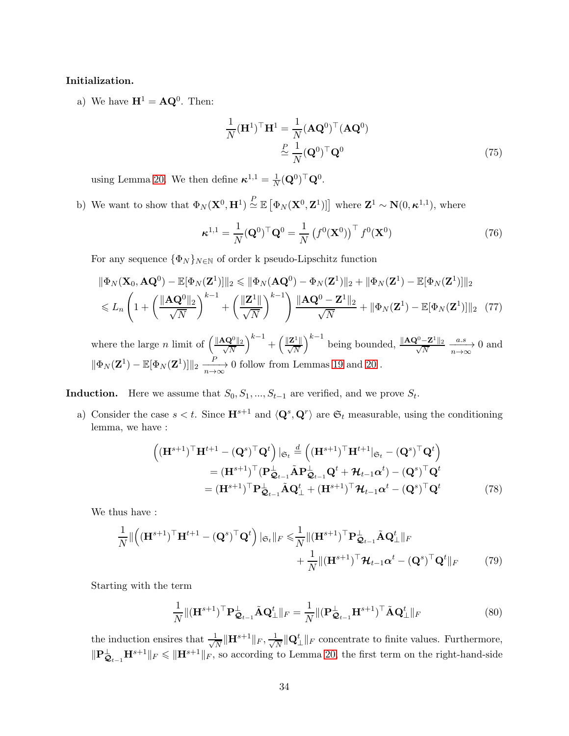### Initialization.

a) We have  $\mathbf{H}^1 = \mathbf{A}\mathbf{Q}^0$ . Then:

$$
\frac{1}{N}(\mathbf{H}^{1})^{\top}\mathbf{H}^{1} = \frac{1}{N}(\mathbf{A}\mathbf{Q}^{0})^{\top}(\mathbf{A}\mathbf{Q}^{0})
$$
\n
$$
\stackrel{P}{\simeq} \frac{1}{N}(\mathbf{Q}^{0})^{\top}\mathbf{Q}^{0}
$$
\n(75)

using Lemma [20.](#page-56-0) We then define  $\kappa^{1,1} = \frac{1}{\lambda}$  $\frac{1}{N}(\mathbf{Q}^0)^\top \mathbf{Q}^0.$ 

b) We want to show that  $\Phi_N(\mathbf{X}^0, \mathbf{H}^1) \stackrel{P}{\simeq} \mathbb{E}\left[\Phi_N(\mathbf{X}^0, \mathbf{Z}^1)\right]$  where  $\mathbf{Z}^1 \sim \mathbf{N}(0, \kappa^{1,1})$ , where

$$
\boldsymbol{\kappa}^{1,1} = \frac{1}{N} (\mathbf{Q}^0)^\top \mathbf{Q}^0 = \frac{1}{N} \left( f^0(\mathbf{X}^0) \right)^\top f^0(\mathbf{X}^0)
$$
(76)

For any sequence  $\{\Phi_N\}_{N\in\mathbb{N}}$  of order k pseudo-Lipschitz function

$$
\|\Phi_N(\mathbf{X}_0, \mathbf{A}\mathbf{Q}^0) - \mathbb{E}[\Phi_N(\mathbf{Z}^1)]\|_2 \le \|\Phi_N(\mathbf{A}\mathbf{Q}^0) - \Phi_N(\mathbf{Z}^1)\|_2 + \|\Phi_N(\mathbf{Z}^1) - \mathbb{E}[\Phi_N(\mathbf{Z}^1)]\|_2
$$
  

$$
\le L_n \left(1 + \left(\frac{\|\mathbf{A}\mathbf{Q}^0\|_2}{\sqrt{N}}\right)^{k-1} + \left(\frac{\|\mathbf{Z}^1\|}{\sqrt{N}}\right)^{k-1}\right) \frac{\|\mathbf{A}\mathbf{Q}^0 - \mathbf{Z}^1\|_2}{\sqrt{N}} + \|\Phi_N(\mathbf{Z}^1) - \mathbb{E}[\Phi_N(\mathbf{Z}^1)]\|_2 \tag{77}
$$

where the large n limit of  $\left(\frac{\|\mathbf{A}\mathbf{Q}^0\|_2}{\sqrt{N}}\right)$ N  $\Big)^{k-1}+\Big(\frac{\|\mathbf{Z}^1\|}{\sqrt{N}}\Big)^k$  $\int^{k-1}$  being bounded,  $\frac{\|\mathbf{A}\mathbf{Q}^0 - \mathbf{Z}^1\|_2}{\sqrt{N}}$  $\frac{-\mathbf{Z}^1 \|_2}{\overline{N}} \xrightarrow[n \to \infty]{a.s} 0$  and  $\|\Phi_N(\mathbf{Z}^1) - \mathbb{E}[\Phi_N(\mathbf{Z}^1)]\|_2 \xrightarrow[n \to \infty]{} 0$  follow from Lemmas [19](#page-55-0) and [20](#page-56-0).

**Induction.** Here we assume that  $S_0, S_1, ..., S_{t-1}$  are verified, and we prove  $S_t$ .

a) Consider the case  $s < t$ . Since  $\mathbf{H}^{s+1}$  and  $\langle \mathbf{Q}^s, \mathbf{Q}^r \rangle$  are  $\mathfrak{S}_t$  measurable, using the conditioning lemma, we have :

$$
\begin{split}\n\left((\mathbf{H}^{s+1})^{\top}\mathbf{H}^{t+1} - (\mathbf{Q}^{s})^{\top}\mathbf{Q}^{t}\right)|_{\mathfrak{S}_{t}} & \stackrel{d}{=} \left((\mathbf{H}^{s+1})^{\top}\mathbf{H}^{t+1}|_{\mathfrak{S}_{t}} - (\mathbf{Q}^{s})^{\top}\mathbf{Q}^{t}\right) \\
& = (\mathbf{H}^{s+1})^{\top}(\mathbf{P}_{\mathbf{Q}_{t-1}}^{\perp}\tilde{\mathbf{A}}\mathbf{P}_{\mathbf{Q}_{t-1}}^{\perp}\mathbf{Q}^{t} + \mathcal{H}_{t-1}\boldsymbol{\alpha}^{t}) - (\mathbf{Q}^{s})^{\top}\mathbf{Q}^{t} \\
& = (\mathbf{H}^{s+1})^{\top}\mathbf{P}_{\mathbf{Q}_{t-1}}^{\perp}\tilde{\mathbf{A}}\mathbf{Q}_{\perp}^{t} + (\mathbf{H}^{s+1})^{\top}\mathcal{H}_{t-1}\boldsymbol{\alpha}^{t} - (\mathbf{Q}^{s})^{\top}\mathbf{Q}^{t}\n\end{split} \tag{78}
$$

We thus have :

$$
\frac{1}{N} \|\left( (\mathbf{H}^{s+1})^{\top} \mathbf{H}^{t+1} - (\mathbf{Q}^s)^{\top} \mathbf{Q}^t \right) |_{\mathfrak{S}_t} \|_F \leq \frac{1}{N} \| (\mathbf{H}^{s+1})^{\top} \mathbf{P}^{\perp}_{\mathfrak{Q}_{t-1}} \tilde{\mathbf{A}} \mathbf{Q}^t_{\perp} \|_F + \frac{1}{N} \| (\mathbf{H}^{s+1})^{\top} \mathcal{H}_{t-1} \alpha^t - (\mathbf{Q}^s)^{\top} \mathbf{Q}^t \|_F
$$
(79)

Starting with the term

$$
\frac{1}{N} \|(\mathbf{H}^{s+1})^{\top} \mathbf{P}_{\mathbf{Q}_{t-1}}^{\perp} \tilde{\mathbf{A}} \mathbf{Q}_{\perp}^{t} \|_{F} = \frac{1}{N} \|(\mathbf{P}_{\mathbf{Q}_{t-1}}^{\perp} \mathbf{H}^{s+1})^{\top} \tilde{\mathbf{A}} \mathbf{Q}_{\perp}^{t} \|_{F}
$$
(80)

the induction ensires that  $\frac{1}{\sqrt{2}}$  $\frac{1}{N}\|\mathbf{H}^{s+1}\|_F, \frac{1}{\sqrt{N}}$  $\frac{L}{N}$   $\|\mathbf{Q}_{\perp}^{t}\|$  *F* concentrate to finite values. Furthermore,  $\|\mathbf{P}_{\mathcal{Q}_{t-1}}^{\perp}\mathbf{H}^{s+1}\|_F \le \|\mathbf{H}^{s+1}\|_F$ , so according to Lemma [20,](#page-56-0) the first term on the right-hand-side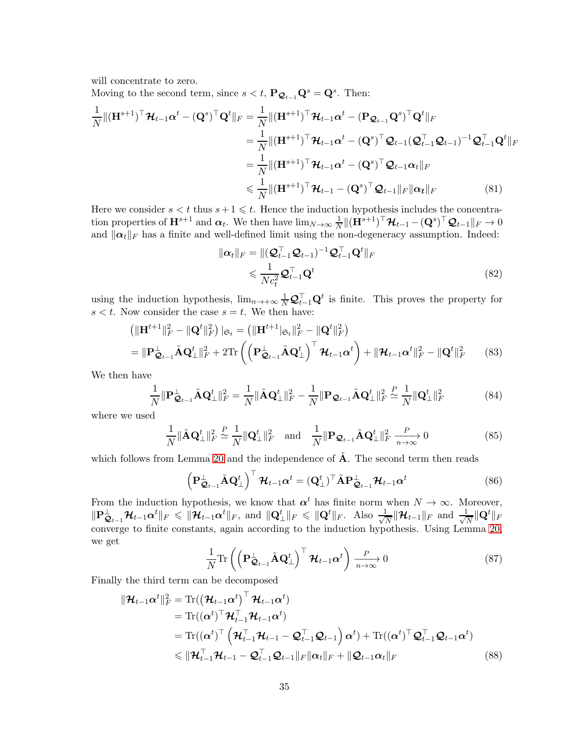will concentrate to zero.

Moving to the second term, since  $s < t$ ,  $\mathbf{P}_{\mathbf{Q}_{t-1}}\mathbf{Q}^s = \mathbf{Q}^s$ . Then:

$$
\frac{1}{N} \|( \mathbf{H}^{s+1})^{\top} \mathcal{H}_{t-1} \alpha^{t} - (\mathbf{Q}^{s})^{\top} \mathbf{Q}^{t} \|_{F} = \frac{1}{N} \| (\mathbf{H}^{s+1})^{\top} \mathcal{H}_{t-1} \alpha^{t} - (\mathbf{P}_{\mathcal{Q}_{t-1}} \mathbf{Q}^{s})^{\top} \mathbf{Q}^{t} \|_{F}
$$
\n
$$
= \frac{1}{N} \| (\mathbf{H}^{s+1})^{\top} \mathcal{H}_{t-1} \alpha^{t} - (\mathbf{Q}^{s})^{\top} \mathcal{Q}_{t-1} (\mathcal{Q}_{t-1}^{\top} \mathcal{Q}_{t-1})^{-1} \mathcal{Q}_{t-1}^{\top} \mathbf{Q}^{t} \|_{F}
$$
\n
$$
= \frac{1}{N} \| (\mathbf{H}^{s+1})^{\top} \mathcal{H}_{t-1} \alpha^{t} - (\mathbf{Q}^{s})^{\top} \mathcal{Q}_{t-1} \alpha_{t} \|_{F}
$$
\n
$$
\leq \frac{1}{N} \| (\mathbf{H}^{s+1})^{\top} \mathcal{H}_{t-1} - (\mathbf{Q}^{s})^{\top} \mathcal{Q}_{t-1} \|_{F} \| \alpha_{t} \|_{F}
$$
\n(81)

Here we consider  $s < t$  thus  $s+1 \leq t$ . Hence the induction hypothesis includes the concentration properties of  $\mathbf{H}^{s+1}$  and  $\boldsymbol{\alpha}_t$ . We then have  $\lim_{N\to\infty}\frac{1}{N}$  $\frac{1}{N}\|(\mathbf{H}^{s+1})^\top \boldsymbol{\mathcal{H}}_{t-1} - (\mathbf{Q}^s)^\top \boldsymbol{\mathcal{Q}}_{t-1}\|_F \rightarrow 0$ and  $\|\alpha_t\|_F$  has a finite and well-defined limit using the non-degeneracy assumption. Indeed:

$$
\|\boldsymbol{\alpha}_{t}\|_{F} = \|(\boldsymbol{\mathcal{Q}}_{t-1}^{\top}\boldsymbol{\mathcal{Q}}_{t-1})^{-1}\boldsymbol{\mathcal{Q}}_{t-1}^{\top}\boldsymbol{\mathcal{Q}}^{t}\|_{F}
$$
  
\$\leqslant \frac{1}{Nc\_{t}^{2}}\boldsymbol{\mathcal{Q}}\_{t-1}^{\top}\boldsymbol{\mathcal{Q}}^{t}\$} (82)

using the induction hypothesis,  $\lim_{n\to+\infty}\frac{1}{N}\mathcal{Q}_{t-1}^{\top}\mathbf{Q}^t$  is finite. This proves the property for  $s < t$ . Now consider the case  $s = t$ . We then have:

$$
\begin{aligned}\n\left(\|\mathbf{H}^{t+1}\|_{F}^{2}-\|\mathbf{Q}^{t}\|_{F}^{2}\right)\vert_{\mathfrak{S}_{t}} &= \left(\|\mathbf{H}^{t+1}|_{\mathfrak{S}_{t}}\|_{F}^{2}-\|\mathbf{Q}^{t}\|_{F}^{2}\right) \\
&= \|\mathbf{P}_{\mathbf{Q}_{t-1}}^{\perp}\tilde{\mathbf{A}}\mathbf{Q}_{\perp}^{t}\|_{F}^{2} + 2\text{Tr}\left(\left(\mathbf{P}_{\mathbf{Q}_{t-1}}^{\perp}\tilde{\mathbf{A}}\mathbf{Q}_{\perp}^{t}\right)^{\top}\mathbf{\mathcal{H}}_{t-1}\mathbf{\alpha}^{t}\right) + \|\mathbf{\mathcal{H}}_{t-1}\mathbf{\alpha}^{t}\|_{F}^{2} - \|\mathbf{Q}^{t}\|_{F}^{2}\n\end{aligned} \tag{83}
$$

We then have

$$
\frac{1}{N} \|\mathbf{P}_{\mathbf{Q}_{t-1}}^{\perp} \tilde{\mathbf{A}} \mathbf{Q}_{\perp}^{t} \|_{F}^{2} = \frac{1}{N} \|\tilde{\mathbf{A}} \mathbf{Q}_{\perp}^{t} \|_{F}^{2} - \frac{1}{N} \|\mathbf{P}_{\mathbf{Q}_{t-1}} \tilde{\mathbf{A}} \mathbf{Q}_{\perp}^{t} \|_{F}^{2} \stackrel{P}{\simeq} \frac{1}{N} \|\mathbf{Q}_{\perp}^{t} \|_{F}^{2}
$$
(84)

where we used

$$
\frac{1}{N} \|\tilde{\mathbf{A}} \mathbf{Q}_{\perp}^t\|_F^2 \stackrel{P}{\simeq} \frac{1}{N} \|\mathbf{Q}_{\perp}^t\|_F^2 \quad \text{and} \quad \frac{1}{N} \|\mathbf{P}_{\mathcal{Q}_{t-1}} \tilde{\mathbf{A}} \mathbf{Q}_{\perp}^t\|_F^2 \xrightarrow[n \to \infty]{} 0 \tag{85}
$$

which follows from Lemma [20](#page-56-0) and the independence of  $\tilde{A}$ . The second term then reads

$$
\left(\mathbf{P}_{\mathbf{Q}_{t-1}}^{\perp} \tilde{\mathbf{A}} \mathbf{Q}_{\perp}^{t}\right)^{\top} \mathcal{H}_{t-1} \alpha^{t} = \left(\mathbf{Q}_{\perp}^{t}\right)^{\top} \tilde{\mathbf{A}} \mathbf{P}_{\mathbf{Q}_{t-1}}^{\perp} \mathcal{H}_{t-1} \alpha^{t}
$$
\n(86)

From the induction hypothesis, we know that  $\alpha^t$  has finite norm when  $N \to \infty$ . Moreover,  $\|\mathbf{P}_{\mathcal{Q}_{t-1}}^{\perp} \mathcal{H}_{t-1} \alpha^t\|_F \leqslant \|\mathcal{H}_{t-1} \alpha^t\|_F$ , and  $\|\mathbf{Q}_{\perp}^t\|_F \leqslant \|\mathbf{Q}^t\|_F$ . Also  $\frac{1}{\sqrt{N}}$  $\frac{1}{N}\|\boldsymbol{\mathcal{H}}_{t-1}\|_F$  and  $\frac{1}{\sqrt{N}}$  $\frac{\mathsf{L}}{N}\|\mathbf{Q}^t\|_F$ converge to finite constants, again according to the induction hypothesis. Using Lemma [20,](#page-56-0) we get

$$
\frac{1}{N} \text{Tr} \left( \left( \mathbf{P}_{\mathbf{Q}_{t-1}}^{\perp} \tilde{\mathbf{A}} \mathbf{Q}_{\perp}^{t} \right)^{\top} \mathbf{\mathcal{H}}_{t-1} \boldsymbol{\alpha}^{t} \right) \xrightarrow[n \to \infty]{} 0 \tag{87}
$$

Finally the third term can be decomposed

$$
\|\mathcal{H}_{t-1}\alpha^{t}\|_{F}^{2} = \text{Tr}((\mathcal{H}_{t-1}\alpha^{t})^{T} \mathcal{H}_{t-1}\alpha^{t})
$$
\n
$$
= \text{Tr}((\alpha^{t})^{T} \mathcal{H}_{t-1}^{T} \mathcal{H}_{t-1}\alpha^{t})
$$
\n
$$
= \text{Tr}((\alpha^{t})^{T} (\mathcal{H}_{t-1}^{T} \mathcal{H}_{t-1} - \mathcal{Q}_{t-1}^{T} \mathcal{Q}_{t-1}) \alpha^{t}) + \text{Tr}((\alpha^{t})^{T} \mathcal{Q}_{t-1}^{T} \mathcal{Q}_{t-1}\alpha^{t})
$$
\n
$$
\leq \|\mathcal{H}_{t-1}^{T} \mathcal{H}_{t-1} - \mathcal{Q}_{t-1}^{T} \mathcal{Q}_{t-1}\|_{F} \|\alpha_{t}\|_{F} + \|\mathcal{Q}_{t-1}\alpha_{t}\|_{F}
$$
\n(88)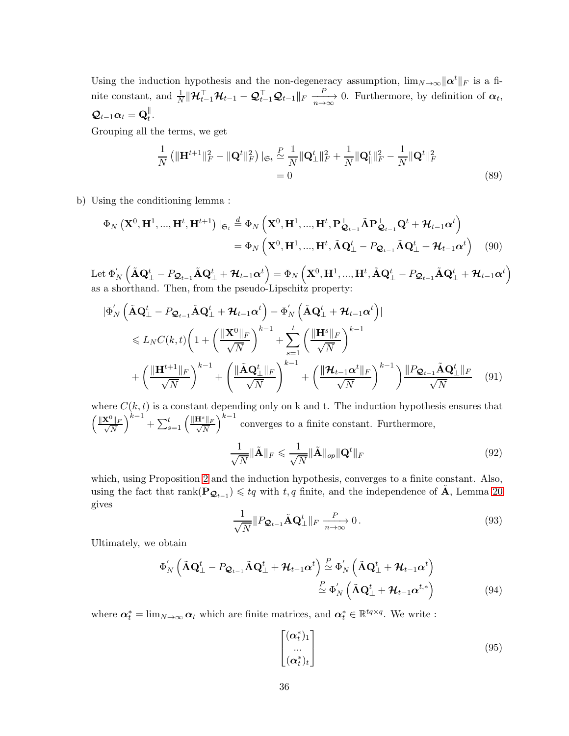Using the induction hypothesis and the non-degeneracy assumption,  $\lim_{N\to\infty} ||\boldsymbol{\alpha}^t||_F$  is a finite constant, and  $\frac{1}{N} || \mathcal{H}_{t-1}^{\top} \mathcal{H}_{t-1} - \mathcal{Q}_{t-1}^{\top} \mathcal{Q}_{t-1} ||_F \xrightarrow[n \to \infty]{P} 0$ . Furthermore, by definition of  $\alpha_t$ ,  $\mathcal{Q}_{t-1} \alpha_t = \mathbf{Q}_t^{\parallel}.$ 

Grouping all the terms, we get

$$
\frac{1}{N} \left( \|\mathbf{H}^{t+1}\|_{F}^{2} - \|\mathbf{Q}^{t}\|_{F}^{2} \right) |_{\mathfrak{S}_{t}} \stackrel{P}{\simeq} \frac{1}{N} \|\mathbf{Q}_{\perp}^{t}\|_{F}^{2} + \frac{1}{N} \|\mathbf{Q}_{\parallel}^{t}\|_{F}^{2} - \frac{1}{N} \|\mathbf{Q}^{t}\|_{F}^{2}
$$
\n
$$
= 0
$$
\n(89)

b) Using the conditioning lemma :

$$
\Phi_N\left(\mathbf{X}^0, \mathbf{H}^1, ..., \mathbf{H}^t, \mathbf{H}^{t+1}\right)|_{\mathfrak{S}_t} \stackrel{d}{=} \Phi_N\left(\mathbf{X}^0, \mathbf{H}^1, ..., \mathbf{H}^t, \mathbf{P}_{\mathbf{Q}_{t-1}}^\perp \tilde{\mathbf{A}} \mathbf{P}_{\mathbf{Q}_{t-1}}^\perp \mathbf{Q}^t + \mathcal{H}_{t-1} \alpha^t\right)
$$
\n
$$
= \Phi_N\left(\mathbf{X}^0, \mathbf{H}^1, ..., \mathbf{H}^t, \tilde{\mathbf{A}} \mathbf{Q}_\perp^t - P_{\mathbf{Q}_{t-1}} \tilde{\mathbf{A}} \mathbf{Q}_\perp^t + \mathcal{H}_{t-1} \alpha^t\right) \tag{90}
$$

 $\text{Let } \Phi_{N}^{'}\left(\tilde{\textbf{A}}\textbf{Q}_{\perp}^{t} - P_{\textbf{Q}_{t-1}}\tilde{\textbf{A}}\textbf{Q}_{\perp}^{t} + \mathcal{H}_{t-1}\boldsymbol{\alpha}^{t}\right) = \Phi_{N}\left(\textbf{X}^{0}, \textbf{H}^{1}, ..., \textbf{H}^{t}, \tilde{\textbf{A}}\textbf{Q}_{\perp}^{t} - P_{\textbf{Q}_{t-1}}\tilde{\textbf{A}}\textbf{Q}_{\perp}^{t} + \mathcal{H}_{t-1}\boldsymbol{\alpha}^{t}\right)$ as a shorthand. Then, from the pseudo-Lipschitz property:

$$
\begin{split}\n&\left|\Phi'_{N}\left(\tilde{\mathbf{A}}\mathbf{Q}_{\perp}^{t}-P_{\mathbf{Q}_{t-1}}\tilde{\mathbf{A}}\mathbf{Q}_{\perp}^{t}+\mathcal{H}_{t-1}\boldsymbol{\alpha}^{t}\right)-\Phi'_{N}\left(\tilde{\mathbf{A}}\mathbf{Q}_{\perp}^{t}+\mathcal{H}_{t-1}\boldsymbol{\alpha}^{t}\right)\right| \\
&\leqslant L_{N}C(k,t)\left(1+\left(\frac{\|\mathbf{X}^{0}\|_{F}}{\sqrt{N}}\right)^{k-1}+\sum_{s=1}^{t}\left(\frac{\|\mathbf{H}^{s}\|_{F}}{\sqrt{N}}\right)^{k-1} \\
&\quad+\left(\frac{\|\mathbf{H}^{t+1}\|_{F}}{\sqrt{N}}\right)^{k-1}+\left(\frac{\|\tilde{\mathbf{A}}\mathbf{Q}_{\perp}^{t}\|_{F}}{\sqrt{N}}\right)^{k-1}+\left(\frac{\|\mathcal{H}_{t-1}\boldsymbol{\alpha}^{t}\|_{F}}{\sqrt{N}}\right)^{k-1}\right)\frac{\|P_{\mathbf{Q}_{t-1}}\tilde{\mathbf{A}}\mathbf{Q}_{\perp}^{t}\|_{F}}{\sqrt{N}}\n\end{split} \tag{91}
$$

where  $C(k, t)$  is a constant depending only on k and t. The induction hypothesis ensures that  $\left(\frac{\|\mathbf{X}^0\|_F}{\sqrt{N}}\right)$ N  $\Big)^{k-1}+\sum_{s=1}^t \Big(\frac{\|{\bf H}^s\|_F}{\sqrt{N}}$ N  $k^{-1}$  converges to a finite constant. Furthermore,

$$
\frac{1}{\sqrt{N}} \|\tilde{\mathbf{A}}\|_{F} \leqslant \frac{1}{\sqrt{N}} \|\tilde{\mathbf{A}}\|_{op} \|\mathbf{Q}^{t}\|_{F}
$$
\n(92)

which, using Proposition [2](#page-53-1) and the induction hypothesis, converges to a finite constant. Also, using the fact that  $rank(\mathbf{P}_{\mathcal{Q}_{t-1}}) \leqslant tq$  with  $t, q$  finite, and the independence of  $\tilde{A}$ , Lemma [20](#page-56-0) gives

$$
\frac{1}{\sqrt{N}}\|P_{\mathcal{Q}_{t-1}}\tilde{\mathbf{A}}\mathbf{Q}_{\perp}^t\|_F \xrightarrow[n \to \infty]{} 0.
$$
\n(93)

Ultimately, we obtain

$$
\Phi'_{N} \left( \tilde{\mathbf{A}} \mathbf{Q}_{\perp}^{t} - P_{\mathbf{Q}_{t-1}} \tilde{\mathbf{A}} \mathbf{Q}_{\perp}^{t} + \mathcal{H}_{t-1} \boldsymbol{\alpha}^{t} \right) \stackrel{P}{\simeq} \Phi'_{N} \left( \tilde{\mathbf{A}} \mathbf{Q}_{\perp}^{t} + \mathcal{H}_{t-1} \boldsymbol{\alpha}^{t} \right) \stackrel{P}{\simeq} \Phi'_{N} \left( \tilde{\mathbf{A}} \mathbf{Q}_{\perp}^{t} + \mathcal{H}_{t-1} \boldsymbol{\alpha}^{t,*} \right)
$$
\n(94)

where  $\alpha_t^* = \lim_{N \to \infty} \alpha_t$  which are finite matrices, and  $\alpha_t^* \in \mathbb{R}^{t_q \times q}$ . We write :

$$
\begin{bmatrix}\n(\alpha_t^*)_1 \\
\vdots \\
(\alpha_t^*)_t\n\end{bmatrix} \tag{95}
$$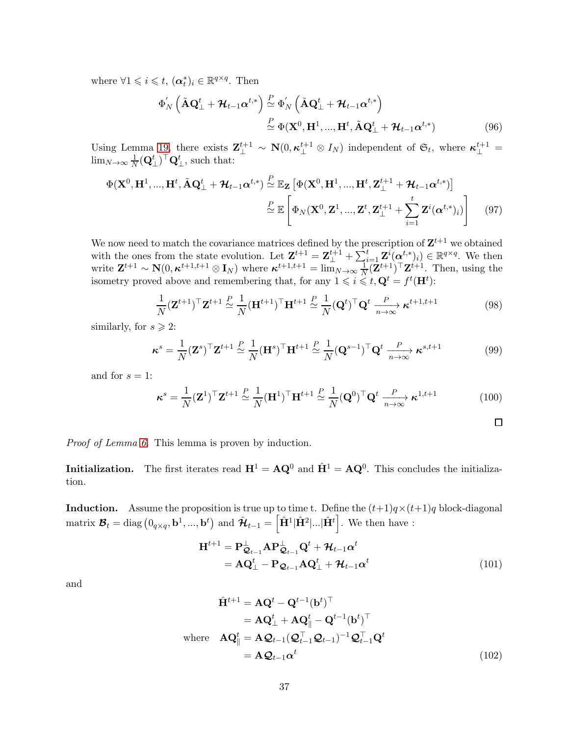where  $\forall 1 \leqslant i \leqslant t$ ,  $(\boldsymbol{\alpha}_t^*)_i \in \mathbb{R}^{q \times q}$ . Then

$$
\Phi'_{N} \left( \tilde{\mathbf{A}} \mathbf{Q}_{\perp}^{t} + \mathcal{H}_{t-1} \boldsymbol{\alpha}^{t,*} \right) \stackrel{P}{\simeq} \Phi'_{N} \left( \tilde{\mathbf{A}} \mathbf{Q}_{\perp}^{t} + \mathcal{H}_{t-1} \boldsymbol{\alpha}^{t,*} \right) \stackrel{P}{\simeq} \Phi(\mathbf{X}^{0}, \mathbf{H}^{1}, ..., \mathbf{H}^{t}, \tilde{\mathbf{A}} \mathbf{Q}_{\perp}^{t} + \mathcal{H}_{t-1} \boldsymbol{\alpha}^{t,*})
$$
\n(96)

Using Lemma [19,](#page-55-0) there exists  $\mathbf{Z}_{\perp}^{t+1} \sim \mathbf{N}(0, \kappa_{\perp}^{t+1} \otimes I_N)$  independent of  $\mathfrak{S}_t$ , where  $\kappa_{\perp}^{t+1} =$  $\lim_{N\to\infty}\frac{1}{N}$  $\frac{1}{N}(\mathbf{Q}_{\perp}^{t})^{\top} \mathbf{Q}_{\perp}^{t}$ , such that:

$$
\Phi(\mathbf{X}^0, \mathbf{H}^1, ..., \mathbf{H}^t, \tilde{\mathbf{A}} \mathbf{Q}^t_{\perp} + \mathcal{H}_{t-1} \boldsymbol{\alpha}^{t,*}) \stackrel{P}{\simeq} \mathbb{E}_{\mathbf{Z}} \left[ \Phi(\mathbf{X}^0, \mathbf{H}^1, ..., \mathbf{H}^t, \mathbf{Z}^{t+1}_{\perp} + \mathcal{H}_{t-1} \boldsymbol{\alpha}^{t,*}) \right] \stackrel{P}{\simeq} \mathbb{E} \left[ \Phi_N(\mathbf{X}^0, \mathbf{Z}^1, ..., \mathbf{Z}^t, \mathbf{Z}^{t+1}_{\perp} + \sum_{i=1}^t \mathbf{Z}^i(\boldsymbol{\alpha}^{t,*})_i) \right] \tag{97}
$$

We now need to match the covariance matrices defined by the prescription of  $\mathbf{Z}^{t+1}$  we obtained with the ones from the state evolution. Let  $\mathbf{Z}^{t+1} = \mathbf{Z}_{\perp}^{t+1} + \sum_{i=1}^{t} \mathbf{Z}^{i} (\boldsymbol{\alpha}^{t,*})_{i} \in \mathbb{R}^{q \times q}$ . We then write  $\mathbf{Z}^{t+1} \sim \mathbf{N}(0, \kappa^{t+1,t+1} \otimes \mathbf{I}_N)$  where  $\kappa^{t+1,t+1} = \lim_{N \to \infty} \frac{1}{N}$  $\frac{1}{N}(\mathbf{Z}^{t+1})^{\top} \mathbf{Z}^{t+1}$ . Then, using the isometry proved above and remembering that, for any  $1 \leqslant i \leqslant t, \mathbf{Q}^t = f^t(\mathbf{H}^t)$ :

$$
\frac{1}{N} (\mathbf{Z}^{t+1})^{\top} \mathbf{Z}^{t+1} \stackrel{P}{\simeq} \frac{1}{N} (\mathbf{H}^{t+1})^{\top} \mathbf{H}^{t+1} \stackrel{P}{\simeq} \frac{1}{N} (\mathbf{Q}^t)^{\top} \mathbf{Q}^t \xrightarrow[n \to \infty]{} \kappa^{t+1, t+1}
$$
\n(98)

similarly, for  $s \geqslant 2$ :

$$
\boldsymbol{\kappa}^{s} = \frac{1}{N} (\mathbf{Z}^{s})^{\top} \mathbf{Z}^{t+1} \stackrel{P}{\simeq} \frac{1}{N} (\mathbf{H}^{s})^{\top} \mathbf{H}^{t+1} \stackrel{P}{\simeq} \frac{1}{N} (\mathbf{Q}^{s-1})^{\top} \mathbf{Q}^{t} \xrightarrow[n \to \infty]{} \boldsymbol{\kappa}^{s,t+1}
$$
(99)

and for  $s = 1$ :

$$
\boldsymbol{\kappa}^s = \frac{1}{N} (\mathbf{Z}^1)^{\top} \mathbf{Z}^{t+1} \stackrel{P}{\simeq} \frac{1}{N} (\mathbf{H}^1)^{\top} \mathbf{H}^{t+1} \stackrel{P}{\simeq} \frac{1}{N} (\mathbf{Q}^0)^{\top} \mathbf{Q}^t \xrightarrow[n \to \infty]{} \boldsymbol{\kappa}^{1,t+1}
$$
(100)

 $\Box$ 

Proof of Lemma [6.](#page-29-2) This lemma is proven by induction.

**Initialization.** The first iterates read  $H^1 = AQ^0$  and  $\hat{H}^1 = AQ^0$ . This concludes the initialization.

**Induction.** Assume the proposition is true up to time t. Define the  $(t+1)q \times (t+1)q$  block-diagonal matrix  $\mathcal{B}_t = \text{diag}\left(0_{q \times q}, \mathbf{b}^1, ..., \mathbf{b}^t\right)$  and  $\hat{\mathcal{H}}_{t-1} = \left[\hat{\mathbf{H}}^1 | \hat{\mathbf{H}}^2 |... | \hat{\mathbf{H}}^t\right]$ . We then have :

$$
\mathbf{H}^{t+1} = \mathbf{P}_{\mathbf{Q}_{t-1}}^{\perp} \mathbf{A} \mathbf{P}_{\mathbf{Q}_{t-1}}^{\perp} \mathbf{Q}^t + \mathcal{H}_{t-1} \alpha^t
$$
  
=  $\mathbf{A} \mathbf{Q}_{\perp}^t - \mathbf{P}_{\mathbf{Q}_{t-1}} \mathbf{A} \mathbf{Q}_{\perp}^t + \mathcal{H}_{t-1} \alpha^t$  (101)

and

$$
\hat{\mathbf{H}}^{t+1} = \mathbf{A}\mathbf{Q}^t - \mathbf{Q}^{t-1}(\mathbf{b}^t)^{\top} \n= \mathbf{A}\mathbf{Q}^t_{\perp} + \mathbf{A}\mathbf{Q}^t_{\parallel} - \mathbf{Q}^{t-1}(\mathbf{b}^t)^{\top} \n\text{where } \mathbf{A}\mathbf{Q}^t_{\parallel} = \mathbf{A}\mathbf{Q}_{t-1}(\mathbf{Q}_{t-1}^{\top}\mathbf{Q}_{t-1})^{-1}\mathbf{Q}_{t-1}^{\top}\mathbf{Q}^t \n= \mathbf{A}\mathbf{Q}_{t-1}\alpha^t
$$
\n(102)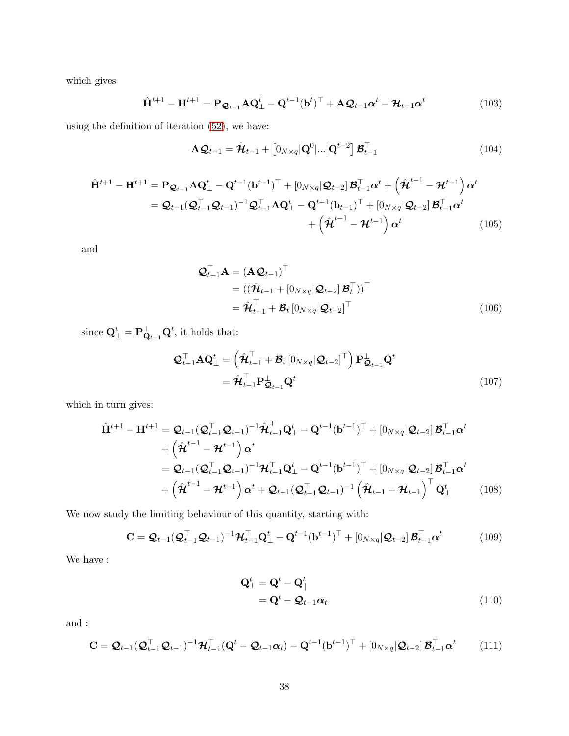which gives

$$
\hat{\mathbf{H}}^{t+1} - \mathbf{H}^{t+1} = \mathbf{P}_{\mathcal{Q}_{t-1}} \mathbf{A} \mathbf{Q}_{\perp}^t - \mathbf{Q}^{t-1} (\mathbf{b}^t)^{\top} + \mathbf{A} \mathcal{Q}_{t-1} \alpha^t - \mathcal{H}_{t-1} \alpha^t
$$
\n(103)

using the definition of iteration [\(52\)](#page-29-3), we have:

$$
\mathbf{A}\mathbf{Q}_{t-1} = \hat{\mathbf{\mathcal{H}}}_{t-1} + \left[0_{N\times q}|\mathbf{Q}^{0}|\ldots|\mathbf{Q}^{t-2}\right]\mathbf{\mathcal{B}}_{t-1}^{\top}
$$
\n(104)

$$
\hat{\mathbf{H}}^{t+1} - \mathbf{H}^{t+1} = \mathbf{P}_{\mathcal{Q}_{t-1}} \mathbf{A} \mathbf{Q}_{\perp}^{t} - \mathbf{Q}^{t-1} (\mathbf{b}^{t-1})^{\top} + [0_{N \times q} | \mathcal{Q}_{t-2}] \mathbf{B}_{t-1}^{\top} \boldsymbol{\alpha}^{t} + \left(\hat{\boldsymbol{\mathcal{H}}}^{t-1} - \mathbf{\mathcal{H}}^{t-1}\right) \boldsymbol{\alpha}^{t}
$$
\n
$$
= \mathcal{Q}_{t-1} (\mathcal{Q}_{t-1}^{\top} \mathcal{Q}_{t-1})^{-1} \mathcal{Q}_{t-1}^{\top} \mathbf{A} \mathbf{Q}_{\perp}^{t} - \mathbf{Q}^{t-1} (\mathbf{b}_{t-1})^{\top} + [0_{N \times q} | \mathcal{Q}_{t-2}] \mathbf{B}_{t-1}^{\top} \boldsymbol{\alpha}^{t}
$$
\n
$$
+ \left(\hat{\boldsymbol{\mathcal{H}}}^{t-1} - \mathcal{H}^{t-1}\right) \boldsymbol{\alpha}^{t} \tag{105}
$$

and

$$
\mathbf{Q}_{t-1}^{\top} \mathbf{A} = (\mathbf{A} \mathbf{Q}_{t-1})^{\top} \n= ((\hat{\mathbf{\mathcal{H}}}_{t-1} + [0_{N \times q} | \mathbf{Q}_{t-2}] \mathbf{\mathcal{B}}_t^{\top}))^{\top} \n= \hat{\mathbf{\mathcal{H}}}_{t-1}^{\top} + \mathbf{\mathcal{B}}_t [0_{N \times q} | \mathbf{Q}_{t-2}]^{\top}
$$
\n(106)

since  $\mathbf{Q}_{\perp}^{t} = \mathbf{P}_{\mathbf{Q}_{t-1}}^{\perp} \mathbf{Q}^{t}$ , it holds that:

$$
\mathcal{Q}_{t-1}^{\top} \mathbf{A} \mathbf{Q}_{\perp}^{t} = \left( \hat{\mathbf{\mathcal{H}}}_{t-1}^{\top} + \mathbf{\mathcal{B}}_{t} \left[ 0_{N \times q} | \mathbf{\mathcal{Q}}_{t-2} \right]^{\top} \right) \mathbf{P}_{\mathbf{\mathcal{Q}}_{t-1}}^{\perp} \mathbf{Q}^{t}
$$
\n
$$
= \hat{\mathbf{\mathcal{H}}}_{t-1}^{\top} \mathbf{P}_{\mathbf{\mathcal{Q}}_{t-1}}^{\perp} \mathbf{Q}^{t} \tag{107}
$$

which in turn gives:

$$
\hat{\mathbf{H}}^{t+1} - \mathbf{H}^{t+1} = \mathcal{Q}_{t-1}(\mathcal{Q}_{t-1}^{\top}\mathcal{Q}_{t-1})^{-1}\hat{\mathcal{H}}_{t-1}^{\top}\mathbf{Q}_{\perp}^{t} - \mathbf{Q}^{t-1}(\mathbf{b}^{t-1})^{\top} + [0_{N\times q}|\mathcal{Q}_{t-2}]\mathcal{B}_{t-1}^{\top}\alpha^{t} \n+ \left(\hat{\mathcal{H}}^{t-1} - \mathcal{H}^{t-1}\right)\alpha^{t} \n= \mathcal{Q}_{t-1}(\mathcal{Q}_{t-1}^{\top}\mathcal{Q}_{t-1})^{-1}\mathcal{H}_{t-1}^{\top}\mathbf{Q}_{\perp}^{t} - \mathbf{Q}^{t-1}(\mathbf{b}^{t-1})^{\top} + [0_{N\times q}|\mathcal{Q}_{t-2}]\mathcal{B}_{t-1}^{\top}\alpha^{t} \n+ \left(\hat{\mathcal{H}}^{t-1} - \mathcal{H}^{t-1}\right)\alpha^{t} + \mathcal{Q}_{t-1}(\mathcal{Q}_{t-1}^{\top}\mathcal{Q}_{t-1})^{-1}\left(\hat{\mathcal{H}}_{t-1} - \mathcal{H}_{t-1}\right)^{\top}\mathbf{Q}_{\perp}^{t}
$$
\n(108)

We now study the limiting behaviour of this quantity, starting with:

$$
\mathbf{C} = \mathcal{Q}_{t-1}(\mathcal{Q}_{t-1}^{\top}\mathcal{Q}_{t-1})^{-1}\mathcal{H}_{t-1}^{\top}\mathbf{Q}_{\perp}^{t} - \mathbf{Q}^{t-1}(\mathbf{b}^{t-1})^{\top} + \left[0_{N\times q}|\mathcal{Q}_{t-2}\right]\mathcal{B}_{t-1}^{\top}\alpha^{t}
$$
(109)

We have :

$$
\mathbf{Q}_{\perp}^{t} = \mathbf{Q}^{t} - \mathbf{Q}_{\parallel}^{t}
$$
  
= 
$$
\mathbf{Q}^{t} - \mathbf{Q}_{t-1}\alpha_{t}
$$
 (110)

and :

$$
\mathbf{C} = \mathcal{Q}_{t-1}(\mathcal{Q}_{t-1}^{\top}\mathcal{Q}_{t-1})^{-1}\mathcal{H}_{t-1}^{\top}(\mathbf{Q}^t - \mathcal{Q}_{t-1}\alpha_t) - \mathbf{Q}^{t-1}(\mathbf{b}^{t-1})^{\top} + \left[0_{N\times q}|\mathcal{Q}_{t-2}\right]\mathcal{B}_{t-1}^{\top}\alpha^t \tag{111}
$$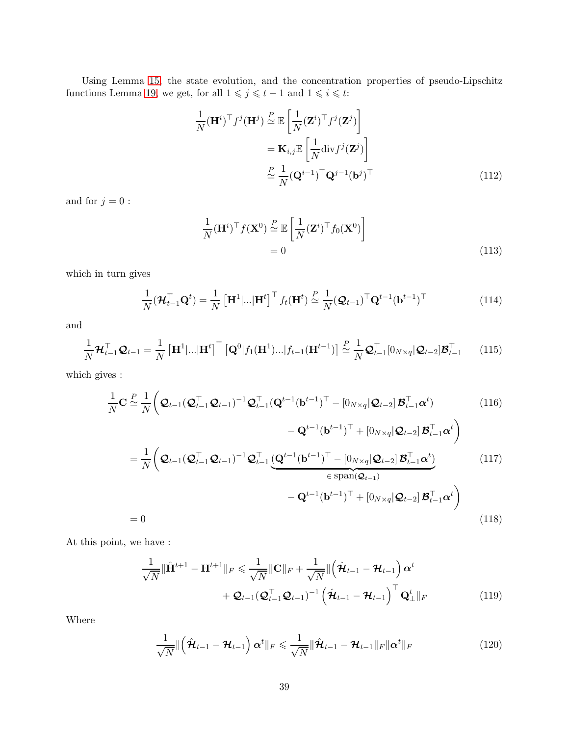Using Lemma [15,](#page-54-1) the state evolution, and the concentration properties of pseudo-Lipschitz functions Lemma [19,](#page-55-0) we get, for all  $1 \leqslant j \leqslant t - 1$  and  $1 \leqslant i \leqslant t$ :

$$
\frac{1}{N}(\mathbf{H}^{i})^{\top} f^{j}(\mathbf{H}^{j}) \stackrel{P}{\simeq} \mathbb{E}\left[\frac{1}{N}(\mathbf{Z}^{i})^{\top} f^{j}(\mathbf{Z}^{j})\right] \n= \mathbf{K}_{i,j} \mathbb{E}\left[\frac{1}{N} \text{div} f^{j}(\mathbf{Z}^{j})\right] \n\stackrel{P}{\simeq} \frac{1}{N} (\mathbf{Q}^{i-1})^{\top} \mathbf{Q}^{j-1}(\mathbf{b}^{j})^{\top}
$$
\n(112)

and for  $j=0$  :

$$
\frac{1}{N}(\mathbf{H}^{i})^{\top} f(\mathbf{X}^{0}) \stackrel{P}{\simeq} \mathbb{E}\left[\frac{1}{N}(\mathbf{Z}^{i})^{\top} f_{0}(\mathbf{X}^{0})\right]
$$
\n
$$
= 0
$$
\n(113)

which in turn gives

$$
\frac{1}{N}(\boldsymbol{\mathcal{H}}_{t-1}^{\top}\mathbf{Q}^{t}) = \frac{1}{N} \left[\mathbf{H}^{1}|\ldots|\mathbf{H}^{t}\right]^{\top} f_{t}(\mathbf{H}^{t}) \stackrel{P}{\simeq} \frac{1}{N}(\mathbf{Q}_{t-1})^{\top} \mathbf{Q}^{t-1}(\mathbf{b}^{t-1})^{\top}
$$
\n(114)

and

$$
\frac{1}{N} \boldsymbol{\mathcal{H}}_{t-1}^{\top} \boldsymbol{\mathcal{Q}}_{t-1} = \frac{1}{N} \left[ \mathbf{H}^1 | \dots | \mathbf{H}^t \right]^{\top} \left[ \mathbf{Q}^0 | f_1(\mathbf{H}^1) \dots | f_{t-1}(\mathbf{H}^{t-1}) \right] \stackrel{P}{\simeq} \frac{1}{N} \boldsymbol{\mathcal{Q}}_{t-1}^{\top} [0_{N \times q} | \boldsymbol{\mathcal{Q}}_{t-2}] \boldsymbol{\mathcal{B}}_{t-1}^{\top} \tag{115}
$$

which gives :

$$
\frac{1}{N}\mathbf{C} \stackrel{P}{\simeq} \frac{1}{N} \left( \mathcal{Q}_{t-1}(\mathcal{Q}_{t-1}^{\top}\mathcal{Q}_{t-1})^{-1} \mathcal{Q}_{t-1}^{\top} (\mathbf{Q}^{t-1}(\mathbf{b}^{t-1})^{\top} - [0_{N\times q}|\mathcal{Q}_{t-2}]\mathcal{B}_{t-1}^{\top}\boldsymbol{\alpha}^{t}) \right)
$$
(116)

$$
- \mathbf{Q}^{t-1} (\mathbf{b}^{t-1})^{\top} + [0_{N \times q} | \mathbf{Q}_{t-2}] \mathbf{B}_{t-1}^{\top} \boldsymbol{\alpha}^{t}
$$

$$
= \frac{1}{N} \left( \mathbf{Q}_{t-1} (\mathbf{Q}_{t-1}^{\top} \mathbf{Q}_{t-1})^{-1} \mathbf{Q}_{t-1}^{\top} \underbrace{(\mathbf{Q}^{t-1} (\mathbf{b}^{t-1})^{\top} - [0_{N \times q} | \mathbf{Q}_{t-2}] \mathbf{B}_{t-1}^{\top} \boldsymbol{\alpha}^{t})}_{\in \text{span}(\mathbf{Q}_{t-1})} - \mathbf{Q}^{t-1} (\mathbf{b}^{t-1})^{\top} + [0_{N \times q} | \mathbf{Q}_{t-2}] \mathbf{B}_{t-1}^{\top} \boldsymbol{\alpha}^{t} \right)
$$
(118)

At this point, we have :

$$
\frac{1}{\sqrt{N}} \|\hat{\mathbf{H}}^{t+1} - \mathbf{H}^{t+1}\|_{F} \leq \frac{1}{\sqrt{N}} \|\mathbf{C}\|_{F} + \frac{1}{\sqrt{N}} \|\left(\hat{\mathcal{H}}_{t-1} - \mathcal{H}_{t-1}\right) \alpha^{t} + \mathcal{Q}_{t-1} (\mathcal{Q}_{t-1}^{\top} \mathcal{Q}_{t-1})^{-1} \left(\hat{\mathcal{H}}_{t-1} - \mathcal{H}_{t-1}\right)^{\top} \mathbf{Q}_{\perp}^{t} \|_{F}
$$
\n(119)

Where

$$
\frac{1}{\sqrt{N}} \|\left(\hat{\mathcal{H}}_{t-1} - \mathcal{H}_{t-1}\right) \alpha^t\|_F \leq \frac{1}{\sqrt{N}} \|\hat{\mathcal{H}}_{t-1} - \mathcal{H}_{t-1}\|_F \|\alpha^t\|_F \tag{120}
$$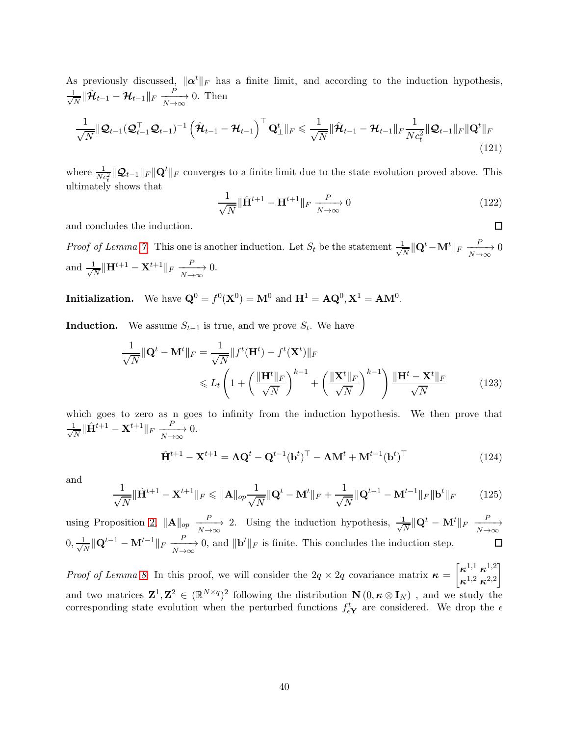As previously discussed,  $\|\alpha^t\|_F$  has a finite limit, and according to the induction hypothesis, √ 1  $\frac{1}{N} \|\hat{\mathcal{H}}_{t-1} - \mathcal{H}_{t-1}\|_F \xrightarrow[N \to \infty]{P}$ 0. Then

$$
\frac{1}{\sqrt{N}}\|\mathcal{Q}_{t-1}(\mathcal{Q}_{t-1}^{\top}\mathcal{Q}_{t-1})^{-1}\left(\hat{\mathcal{H}}_{t-1}-\mathcal{H}_{t-1}\right)^{\top}\mathcal{Q}_{\perp}^{t}\|_{F} \leq \frac{1}{\sqrt{N}}\|\hat{\mathcal{H}}_{t-1}-\mathcal{H}_{t-1}\|_{F}\frac{1}{Nc_{t}^{2}}\|\mathcal{Q}_{t-1}\|_{F}\|\mathcal{Q}^{t}\|_{F}
$$
\n(121)

where  $\frac{1}{Nc_t^2} ||\mathcal{Q}_{t-1}||_F ||\mathcal{Q}^t||_F$  converges to a finite limit due to the state evolution proved above. This ultimately shows that

$$
\frac{1}{\sqrt{N}} \|\hat{\mathbf{H}}^{t+1} - \mathbf{H}^{t+1}\|_{F} \xrightarrow[N \to \infty]{} 0
$$
\n(122)

 $\Box$ 

and concludes the induction.

*Proof of Lemma [7.](#page-29-4)* This one is another induction. Let  $S_t$  be the statement  $\frac{1}{\sqrt{2}}$  $\frac{1}{N} \|\mathbf{Q}^t - \mathbf{M}^t\|_F \xrightarrow[N \to \infty]{P}$ 0 and  $\frac{1}{\sqrt{2}}$  $\frac{1}{N} \|\mathbf{H}^{t+1} - \mathbf{X}^{t+1}\|_F \xrightarrow[N \to \infty]{P}$ 0.

Initialization. We have  $\mathbf{Q}^0 = f^0(\mathbf{X}^0) = \mathbf{M}^0$  and  $\mathbf{H}^1 = \mathbf{A}\mathbf{Q}^0, \mathbf{X}^1 = \mathbf{A}\mathbf{M}^0$ .

**Induction.** We assume  $S_{t-1}$  is true, and we prove  $S_t$ . We have

$$
\frac{1}{\sqrt{N}} \|\mathbf{Q}^t - \mathbf{M}^t\|_F = \frac{1}{\sqrt{N}} \|f^t(\mathbf{H}^t) - f^t(\mathbf{X}^t)\|_F
$$
  
\$\leqslant L\_t \left(1 + \left(\frac{\|\mathbf{H}^t\|\_F}{\sqrt{N}}\right)^{k-1} + \left(\frac{\|\mathbf{X}^t\|\_F}{\sqrt{N}}\right)^{k-1}\right) \frac{\|\mathbf{H}^t - \mathbf{X}^t\|\_F}{\sqrt{N}} \tag{123}

which goes to zero as n goes to infinity from the induction hypothesis. We then prove that √ 1  $\frac{1}{N} \|\hat{\mathbf{H}}^{t+1} - \mathbf{X}^{t+1}\|_F \xrightarrow[N \to \infty]{P}$ 0.

$$
\hat{\mathbf{H}}^{t+1} - \mathbf{X}^{t+1} = \mathbf{A}\mathbf{Q}^t - \mathbf{Q}^{t-1}(\mathbf{b}^t)^\top - \mathbf{A}\mathbf{M}^t + \mathbf{M}^{t-1}(\mathbf{b}^t)^\top
$$
\n(124)

and

$$
\frac{1}{\sqrt{N}} \|\hat{\mathbf{H}}^{t+1} - \mathbf{X}^{t+1}\|_{F} \le \|\mathbf{A}\|_{op} \frac{1}{\sqrt{N}} \|\mathbf{Q}^{t} - \mathbf{M}^{t}\|_{F} + \frac{1}{\sqrt{N}} \|\mathbf{Q}^{t-1} - \mathbf{M}^{t-1}\|_{F} \|\mathbf{b}^{t}\|_{F}
$$
(125)

using Proposition [2,](#page-53-1)  $\|\mathbf{A}\|_{op} \xrightarrow[N \to \infty]{P}$ 2. Using the induction hypothesis,  $\frac{1}{\sqrt{2}}$  $\frac{1}{N}\|\mathbf{Q}^t - \mathbf{M}^t\|_F \xrightarrow[N \to \infty]{P}$  $0, \frac{1}{\sqrt{2}}$  $\frac{1}{N} \|\mathbf{Q}^{t-1} - \mathbf{M}^{t-1}\|_F \xrightarrow[N \to \infty]{} 0$ , and  $\|\mathbf{b}^t\|_F$  is finite. This concludes the induction step.

*Proof of Lemma [8.](#page-29-5)* In this proof, we will consider the  $2q \times 2q$  covariance matrix  $\kappa =$  $\lceil \kappa^{1,1} \, \kappa^{1,2} \rceil$  $\boldsymbol{\kappa}^{1,2}$   $\boldsymbol{\kappa}^{2,2}$ 1 and two matrices  $\mathbf{Z}^1, \mathbf{Z}^2 \in (\mathbb{R}^{N \times q})^2$  following the distribution  $\mathbf{N} (0, \kappa \otimes \mathbf{I}_N)$ , and we study the corresponding state evolution when the perturbed functions  $f_{\epsilon Y}^t$  are considered. We drop the  $\epsilon$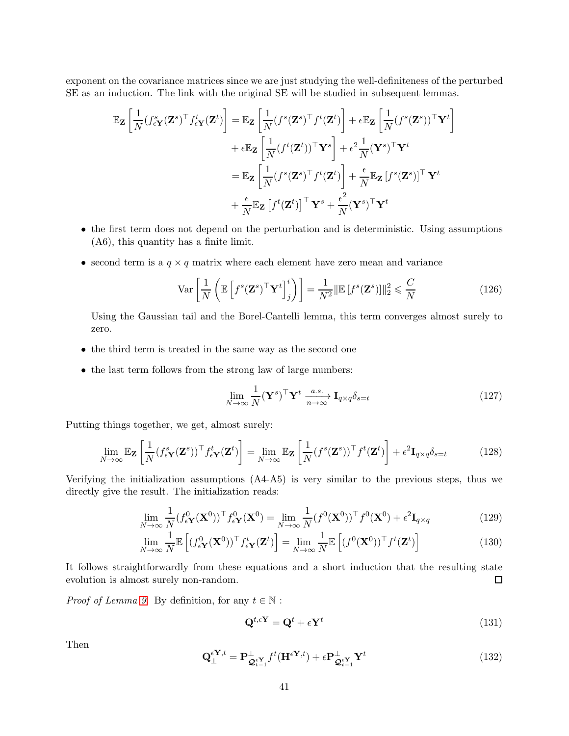exponent on the covariance matrices since we are just studying the well-definiteness of the perturbed SE as an induction. The link with the original SE will be studied in subsequent lemmas.

$$
\mathbb{E}_{\mathbf{Z}}\left[\frac{1}{N}(f_{\epsilon\mathbf{Y}}^{s}(\mathbf{Z}^{s})^{\top}f_{\epsilon\mathbf{Y}}^{t}(\mathbf{Z}^{t})\right] = \mathbb{E}_{\mathbf{Z}}\left[\frac{1}{N}(f^{s}(\mathbf{Z}^{s})^{\top}f^{t}(\mathbf{Z}^{t})\right] + \epsilon \mathbb{E}_{\mathbf{Z}}\left[\frac{1}{N}(f^{s}(\mathbf{Z}^{s}))^{\top}\mathbf{Y}^{t}\right] \n+ \epsilon \mathbb{E}_{\mathbf{Z}}\left[\frac{1}{N}(f^{t}(\mathbf{Z}^{t}))^{\top}\mathbf{Y}^{s}\right] + \epsilon^{2}\frac{1}{N}(\mathbf{Y}^{s})^{\top}\mathbf{Y}^{t} \n= \mathbb{E}_{\mathbf{Z}}\left[\frac{1}{N}(f^{s}(\mathbf{Z}^{s})^{\top}f^{t}(\mathbf{Z}^{t})\right] + \frac{\epsilon}{N}\mathbb{E}_{\mathbf{Z}}[f^{s}(\mathbf{Z}^{s})]^{\top}\mathbf{Y}^{t} \n+ \frac{\epsilon}{N}\mathbb{E}_{\mathbf{Z}}[f^{t}(\mathbf{Z}^{t})]^{\top}\mathbf{Y}^{s} + \frac{\epsilon^{2}}{N}(\mathbf{Y}^{s})^{\top}\mathbf{Y}^{t}
$$

- the first term does not depend on the perturbation and is deterministic. Using assumptions (A6), this quantity has a finite limit.
- second term is a  $q \times q$  matrix where each element have zero mean and variance

$$
\text{Var}\left[\frac{1}{N}\left(\mathbb{E}\left[f^s(\mathbf{Z}^s)^\top \mathbf{Y}^t\right]_j^i\right)\right] = \frac{1}{N^2} \|\mathbb{E}\left[f^s(\mathbf{Z}^s)\right]\|_2^2 \leqslant \frac{C}{N} \tag{126}
$$

Using the Gaussian tail and the Borel-Cantelli lemma, this term converges almost surely to zero.

- the third term is treated in the same way as the second one
- $\bullet\,$  the last term follows from the strong law of large numbers:

$$
\lim_{N \to \infty} \frac{1}{N} (\mathbf{Y}^s)^\top \mathbf{Y}^t \xrightarrow[n \to \infty]{a.s.} \mathbf{I}_{q \times q} \delta_{s=t} \tag{127}
$$

Putting things together, we get, almost surely:

<span id="page-40-1"></span>
$$
\lim_{N \to \infty} \mathbb{E}_{\mathbf{Z}} \left[ \frac{1}{N} (f_{\epsilon \mathbf{Y}}^s(\mathbf{Z}^s))^{\top} f_{\epsilon \mathbf{Y}}^t(\mathbf{Z}^t) \right] = \lim_{N \to \infty} \mathbb{E}_{\mathbf{Z}} \left[ \frac{1}{N} (f^s(\mathbf{Z}^s))^{\top} f^t(\mathbf{Z}^t) \right] + \epsilon^2 \mathbf{I}_{q \times q} \delta_{s=t} \tag{128}
$$

Verifying the initialization assumptions (A4-A5) is very similar to the previous steps, thus we directly give the result. The initialization reads:

$$
\lim_{N \to \infty} \frac{1}{N} (f_{\epsilon \mathbf{Y}}^0(\mathbf{X}^0))^{\top} f_{\epsilon \mathbf{Y}}^0(\mathbf{X}^0) = \lim_{N \to \infty} \frac{1}{N} (f^0(\mathbf{X}^0))^{\top} f^0(\mathbf{X}^0) + \epsilon^2 \mathbf{I}_{q \times q}
$$
(129)

$$
\lim_{N \to \infty} \frac{1}{N} \mathbb{E}\left[ (f_{\epsilon \mathbf{Y}}^0(\mathbf{X}^0))^{\top} f_{\epsilon \mathbf{Y}}^t(\mathbf{Z}^t) \right] = \lim_{N \to \infty} \frac{1}{N} \mathbb{E}\left[ (f^0(\mathbf{X}^0))^{\top} f^t(\mathbf{Z}^t) \right]
$$
(130)

It follows straightforwardly from these equations and a short induction that the resulting state evolution is almost surely non-random.  $\Box$ 

*Proof of Lemma [9.](#page-30-1)* By definition, for any  $t \in \mathbb{N}$ :

<span id="page-40-0"></span>
$$
\mathbf{Q}^{t,\epsilon\mathbf{Y}} = \mathbf{Q}^t + \epsilon \mathbf{Y}^t \tag{131}
$$

Then

$$
\mathbf{Q}_{\perp}^{\epsilon \mathbf{Y},t} = \mathbf{P}_{\mathbf{Q}_{t-1}^{\epsilon \mathbf{Y}}}^{\perp} f^t(\mathbf{H}^{\epsilon \mathbf{Y},t}) + \epsilon \mathbf{P}_{\mathbf{Q}_{t-1}^{\epsilon \mathbf{Y}}}^{\perp} \mathbf{Y}^t
$$
\n(132)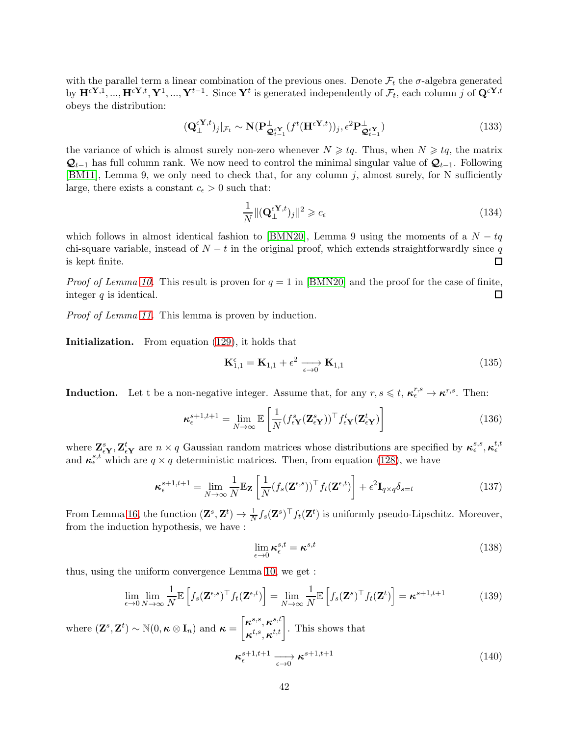with the parallel term a linear combination of the previous ones. Denote  $\mathcal{F}_t$  the  $\sigma$ -algebra generated by  $\mathbf{H}^{\epsilon Y,1}, ..., \mathbf{H}^{\epsilon Y,t}, \mathbf{Y}^1, ..., \mathbf{Y}^{t-1}$ . Since  $\mathbf{Y}^t$  is generated independently of  $\mathcal{F}_t$ , each column j of  $\mathbf{Q}^{\epsilon Y,t}$ obeys the distribution:

$$
(\mathbf{Q}_{\perp}^{\epsilon \mathbf{Y},t})_j|_{\mathcal{F}_t} \sim \mathbf{N}(\mathbf{P}_{\mathbf{Q}_{t-1}^{\epsilon \mathbf{Y}}}^{\perp} (f^t(\mathbf{H}^{\epsilon \mathbf{Y},t}))_j, \epsilon^2 \mathbf{P}_{\mathbf{Q}_{t-1}^{\epsilon \mathbf{Y}}}^{\perp})
$$
(133)

the variance of which is almost surely non-zero whenever  $N \geqslant tq$ . Thus, when  $N \geqslant tq$ , the matrix  $\mathcal{Q}_{t-1}$  has full column rank. We now need to control the minimal singular value of  $\mathcal{Q}_{t-1}$ . Following [\[BM11\]](#page-20-1), Lemma 9, we only need to check that, for any column  $j$ , almost surely, for N sufficiently large, there exists a constant  $c_{\epsilon} > 0$  such that:

$$
\frac{1}{N} \|( \mathbf{Q}_{\perp}^{\epsilon \mathbf{Y},t} )_j \|^2 \geqslant c_{\epsilon} \tag{134}
$$

which follows in almost identical fashion to [\[BMN20\]](#page-21-6), Lemma 9 using the moments of a  $N - tq$ chi-square variable, instead of  $N - t$  in the original proof, which extends straightforwardly since q is kept finite. is kept finite.

*Proof of Lemma [10.](#page-30-2)* This result is proven for  $q = 1$  in [\[BMN20\]](#page-21-6) and the proof for the case of finite, integer  $q$  is identical. □

Proof of Lemma [11.](#page-30-3) This lemma is proven by induction.

Initialization. From equation [\(129\)](#page-40-0), it holds that

$$
\mathbf{K}_{1,1}^{\epsilon} = \mathbf{K}_{1,1} + \epsilon^2 \xrightarrow[\epsilon \to 0]{} \mathbf{K}_{1,1}
$$
\n(135)

**Induction.** Let t be a non-negative integer. Assume that, for any  $r, s \leq t, \kappa_t^{r,s} \to \kappa^{r,s}$ . Then:

$$
\boldsymbol{\kappa}_{\epsilon}^{s+1,t+1} = \lim_{N \to \infty} \mathbb{E} \left[ \frac{1}{N} (f_{\epsilon \mathbf{Y}}^s(\mathbf{Z}_{\epsilon \mathbf{Y}}^s))^{\top} f_{\epsilon \mathbf{Y}}^t(\mathbf{Z}_{\epsilon \mathbf{Y}}^t) \right]
$$
(136)

where  $\mathbf{Z}_{\epsilon Y}^s, \mathbf{Z}_{\epsilon Y}^t$  are  $n \times q$  Gaussian random matrices whose distributions are specified by  $\kappa_{\epsilon}^{s,s}, \kappa_{\epsilon}^{t,t}$ and  $\kappa_{\epsilon}^{s,t}$  which are  $q \times q$  deterministic matrices. Then, from equation [\(128\)](#page-40-1), we have

$$
\boldsymbol{\kappa}_{\epsilon}^{s+1,t+1} = \lim_{N \to \infty} \frac{1}{N} \mathbb{E}_{\mathbf{Z}} \left[ \frac{1}{N} (f_s(\mathbf{Z}^{\epsilon,s}))^{\top} f_t(\mathbf{Z}^{\epsilon,t}) \right] + \epsilon^2 \mathbf{I}_{q \times q} \delta_{s=t} \tag{137}
$$

From Lemma [16,](#page-54-2) the function  $(\mathbf{Z}^s, \mathbf{Z}^t) \to \frac{1}{N} f_s(\mathbf{Z}^s)^\top f_t(\mathbf{Z}^t)$  is uniformly pseudo-Lipschitz. Moreover, from the induction hypothesis, we have :

$$
\lim_{\epsilon \to 0} \kappa_{\epsilon}^{s,t} = \kappa^{s,t} \tag{138}
$$

thus, using the uniform convergence Lemma [10,](#page-30-2) we get :

$$
\lim_{\epsilon \to 0} \lim_{N \to \infty} \frac{1}{N} \mathbb{E} \left[ f_s(\mathbf{Z}^{\epsilon,s})^{\top} f_t(\mathbf{Z}^{\epsilon,t}) \right] = \lim_{N \to \infty} \frac{1}{N} \mathbb{E} \left[ f_s(\mathbf{Z}^s)^{\top} f_t(\mathbf{Z}^t) \right] = \kappa^{s+1,t+1}
$$
(139)

where  $(\mathbf{Z}^s, \mathbf{Z}^t) \sim \mathbb{N}(0, \kappa \otimes \mathbf{I}_n)$  and  $\boldsymbol{\kappa} = \begin{bmatrix} \kappa^{s,s}, \kappa^{s,t} \\ \kappa^{t,s}, \kappa^{t,t} \end{bmatrix}$  $\left. \begin{array}{c} \boldsymbol{\kappa}^{s,s}, \boldsymbol{\kappa}^{s,t} \\ \boldsymbol{\kappa}^{t,s}, \boldsymbol{\kappa}^{t,t} \end{array} \right|. \end{array} \text{This shows that}$ 

$$
\kappa_{\epsilon}^{s+1,t+1} \xrightarrow[\epsilon \to 0]{} \kappa^{s+1,t+1} \tag{140}
$$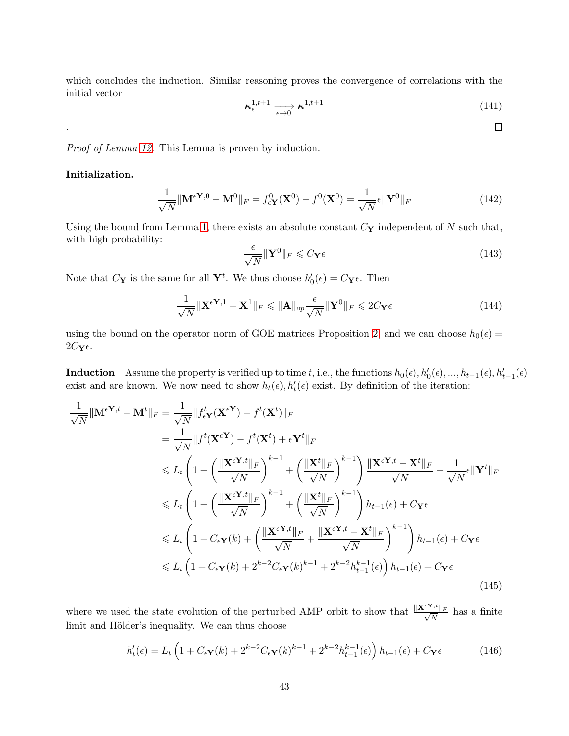which concludes the induction. Similar reasoning proves the convergence of correlations with the initial vector

$$
\kappa_{\epsilon}^{1,t+1} \xrightarrow[\epsilon \to 0]{} \kappa^{1,t+1} \tag{141}
$$

 $\Box$ 

Proof of Lemma [12.](#page-30-4) This Lemma is proven by induction.

### Initialization.

.

$$
\frac{1}{\sqrt{N}} \|\mathbf{M}^{\epsilon \mathbf{Y},0} - \mathbf{M}^0\|_F = f_{\epsilon \mathbf{Y}}^0(\mathbf{X}^0) - f^0(\mathbf{X}^0) = \frac{1}{\sqrt{N}} \epsilon \|\mathbf{Y}^0\|_F
$$
(142)

Using the bound from Lemma [1,](#page-53-2) there exists an absolute constant  $C_Y$  independent of N such that, with high probability:

$$
\frac{\epsilon}{\sqrt{N}} \|\mathbf{Y}^0\|_F \leqslant C_\mathbf{Y} \epsilon \tag{143}
$$

Note that  $C_Y$  is the same for all  $Y^t$ . We thus choose  $h'_0(\epsilon) = C_Y \epsilon$ . Then

$$
\frac{1}{\sqrt{N}} \|\mathbf{X}^{\epsilon \mathbf{Y},1} - \mathbf{X}^1\|_F \le \|\mathbf{A}\|_{op} \frac{\epsilon}{\sqrt{N}} \|\mathbf{Y}^0\|_F \le 2C_{\mathbf{Y}}\epsilon
$$
\n(144)

using the bound on the operator norm of GOE matrices Proposition [2,](#page-53-1) and we can choose  $h_0(\epsilon)$  =  $2C_{\mathbf{Y}}\epsilon$ .

**Induction** Assume the property is verified up to time t, i.e., the functions  $h_0(\epsilon), h'_0(\epsilon), ..., h_{t-1}(\epsilon), h'_{t-1}(\epsilon)$ exist and are known. We now need to show  $h_t(\epsilon)$ ,  $h'_t(\epsilon)$  exist. By definition of the iteration:

$$
\frac{1}{\sqrt{N}}||\mathbf{M}^{\epsilon}\mathbf{Y}^{,t} - \mathbf{M}^{t}||_{F} = \frac{1}{\sqrt{N}}||f_{\epsilon}\mathbf{Y}(\mathbf{X}^{\epsilon}\mathbf{Y}) - f^{t}(\mathbf{X}^{t})||_{F}
$$
\n
$$
= \frac{1}{\sqrt{N}}||f^{t}(\mathbf{X}^{\epsilon}\mathbf{Y}) - f^{t}(\mathbf{X}^{t}) + \epsilon\mathbf{Y}^{t}||_{F}
$$
\n
$$
\leq L_{t}\left(1 + \left(\frac{\|\mathbf{X}^{\epsilon}\mathbf{Y}^{,t}||_{F}}{\sqrt{N}}\right)^{k-1} + \left(\frac{\|\mathbf{X}^{t}||_{F}}{\sqrt{N}}\right)^{k-1}\right)\frac{\|\mathbf{X}^{\epsilon}\mathbf{Y}^{,t} - \mathbf{X}^{t}||_{F}}{\sqrt{N}} + \frac{1}{\sqrt{N}}\epsilon||\mathbf{Y}^{t}||_{F}
$$
\n
$$
\leq L_{t}\left(1 + \left(\frac{\|\mathbf{X}^{\epsilon}\mathbf{Y}^{,t}||_{F}}{\sqrt{N}}\right)^{k-1} + \left(\frac{\|\mathbf{X}^{t}||_{F}}{\sqrt{N}}\right)^{k-1}\right)h_{t-1}(\epsilon) + C_{\mathbf{Y}}\epsilon
$$
\n
$$
\leq L_{t}\left(1 + C_{\epsilon}\mathbf{Y}^{(k)} + \left(\frac{\|\mathbf{X}^{\epsilon}\mathbf{Y}^{,t}||_{F}}{\sqrt{N}} + \frac{\|\mathbf{X}^{\epsilon}\mathbf{Y}^{,t} - \mathbf{X}^{t}||_{F}}{\sqrt{N}}\right)^{k-1}\right)h_{t-1}(\epsilon) + C_{\mathbf{Y}}\epsilon
$$
\n
$$
\leq L_{t}\left(1 + C_{\epsilon}\mathbf{Y}^{(k)} + 2^{k-2}C_{\epsilon}\mathbf{Y}^{(k)} + 2^{k-2}h_{t-1}^{k-1}(\epsilon)\right)h_{t-1}(\epsilon) + C_{\mathbf{Y}}\epsilon
$$
\n(145)

where we used the state evolution of the perturbed AMP orbit to show that  $\frac{\|\mathbf{X}^{\epsilon}\mathbf{Y},t\|_F}{\sqrt{N}}$  $\frac{N}{N}$  has a finite limit and Hölder's inequality. We can thus choose

$$
h'_t(\epsilon) = L_t \left( 1 + C_\epsilon \mathbf{Y}(k) + 2^{k-2} C_\epsilon \mathbf{Y}(k)^{k-1} + 2^{k-2} h_{t-1}^{k-1}(\epsilon) \right) h_{t-1}(\epsilon) + C_\mathbf{Y} \epsilon
$$
 (146)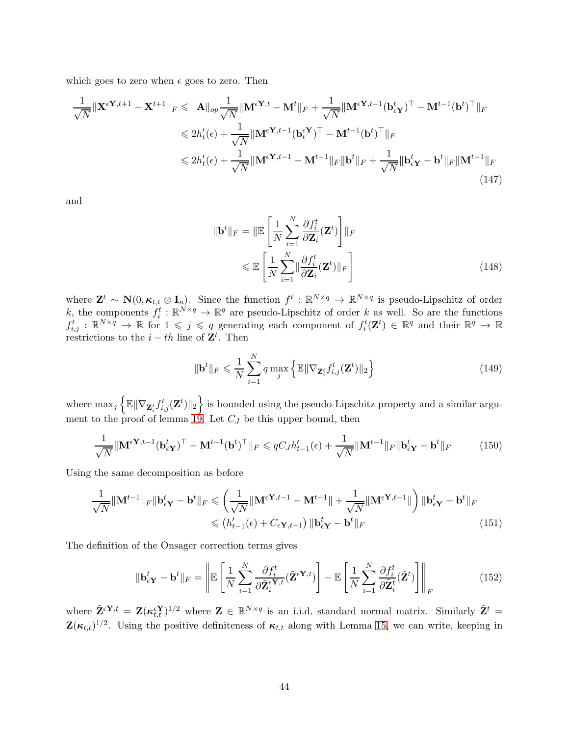which goes to zero when  $\epsilon$  goes to zero. Then

$$
\frac{1}{\sqrt{N}} \|\mathbf{X}^{\epsilon \mathbf{Y},t+1} - \mathbf{X}^{t+1}\|_{F} \leq \|\mathbf{A}\|_{op} \frac{1}{\sqrt{N}} \|\mathbf{M}^{\epsilon \mathbf{Y},t} - \mathbf{M}^{t}\|_{F} + \frac{1}{\sqrt{N}} \|\mathbf{M}^{\epsilon \mathbf{Y},t-1}(\mathbf{b}_{\epsilon \mathbf{Y}}^{t})^{\top} - \mathbf{M}^{t-1}(\mathbf{b}^{t})^{\top}\|_{F}
$$
  
\n
$$
\leq 2h'_{t}(\epsilon) + \frac{1}{\sqrt{N}} \|\mathbf{M}^{\epsilon \mathbf{Y},t-1}(\mathbf{b}_{t}^{\epsilon \mathbf{Y}})^{\top} - \mathbf{M}^{t-1}(\mathbf{b}^{t})^{\top}\|_{F}
$$
  
\n
$$
\leq 2h'_{t}(\epsilon) + \frac{1}{\sqrt{N}} \|\mathbf{M}^{\epsilon \mathbf{Y},t-1} - \mathbf{M}^{t-1}\|_{F} \|\mathbf{b}^{t}\|_{F} + \frac{1}{\sqrt{N}} \|\mathbf{b}_{\epsilon \mathbf{Y}}^{t} - \mathbf{b}^{t}\|_{F} \|\mathbf{M}^{t-1}\|_{F}
$$
\n(147)

and

$$
\|\mathbf{b}^{t}\|_{F} = \|\mathbb{E}\left[\frac{1}{N}\sum_{i=1}^{N}\frac{\partial f_{i}^{t}}{\partial \mathbf{Z}_{i}}(\mathbf{Z}^{t})\right]\|_{F}
$$

$$
\leq \mathbb{E}\left[\frac{1}{N}\sum_{i=1}^{N}\|\frac{\partial f_{i}^{t}}{\partial \mathbf{Z}_{i}}(\mathbf{Z}^{t})\|_{F}\right]
$$
(148)

where  $\mathbf{Z}^t \sim \mathbf{N}(0, \kappa_{t,t} \otimes \mathbf{I}_n)$ . Since the function  $f^t : \mathbb{R}^{N \times q} \to \mathbb{R}^{N \times q}$  is pseudo-Lipschitz of order k, the components  $f_i^t : \mathbb{R}^{N \times q} \to \mathbb{R}^q$  are pseudo-Lipschitz of order k as well. So are the functions  $f_{i,j}^t : \mathbb{R}^{N \times q} \to \mathbb{R}$  for  $1 \leqslant j \leqslant q$  generating each component of  $f_i^t(\mathbf{Z}^t) \in \mathbb{R}^q$  and their  $\mathbb{R}^q \to \mathbb{R}$ restrictions to the  $i-th$  line of  $\mathbf{Z}^{t}$ . Then

$$
\|\mathbf{b}^t\|_F \leq \frac{1}{N} \sum_{i=1}^N q \max_j \left\{ \mathbb{E} \|\nabla_{\mathbf{Z}_i^t} f_{i,j}^t(\mathbf{Z}^t) \|_2 \right\} \tag{149}
$$

where  $\max_j \left\{ \mathbb{E} \|\nabla_{{\bf Z}_i^t} f_{i,j}^t({\bf Z}^t)\|_2 \right\}$  is bounded using the pseudo-Lipschitz property and a similar argu-ment to the proof of lemma [19.](#page-55-0) Let  $C_J$  be this upper bound, then

$$
\frac{1}{\sqrt{N}} \|\mathbf{M}^{\epsilon\mathbf{Y},t-1}(\mathbf{b}_{\epsilon\mathbf{Y}}^t)^\top - \mathbf{M}^{t-1}(\mathbf{b}^t)^\top\|_F \leqslant qC_J h_{t-1}'(\epsilon) + \frac{1}{\sqrt{N}} \|\mathbf{M}^{t-1}\|_F \|\mathbf{b}_{\epsilon\mathbf{Y}}^t - \mathbf{b}^t\|_F \tag{150}
$$

Using the same decomposition as before

$$
\frac{1}{\sqrt{N}} \|\mathbf{M}^{t-1}\|_{F} \|\mathbf{b}_{\epsilon\mathbf{Y}}^{t} - \mathbf{b}^{t}\|_{F} \leqslant \left(\frac{1}{\sqrt{N}} \|\mathbf{M}^{\epsilon\mathbf{Y},t-1} - \mathbf{M}^{t-1}\| + \frac{1}{\sqrt{N}} \|\mathbf{M}^{\epsilon\mathbf{Y},t-1}\| \right) \|\mathbf{b}_{\epsilon\mathbf{Y}}^{t} - \mathbf{b}^{t}\|_{F}
$$
\n
$$
\leqslant \left(h_{t-1}(\epsilon) + C_{\epsilon\mathbf{Y},t-1}\right) \|\mathbf{b}_{\epsilon\mathbf{Y}}^{t} - \mathbf{b}^{t}\|_{F}
$$
\n(151)

The definition of the Onsager correction terms gives

$$
\|\mathbf{b}_{\epsilon\mathbf{Y}}^t - \mathbf{b}^t\|_F = \left\|\mathbb{E}\left[\frac{1}{N}\sum_{i=1}^N \frac{\partial f_i^t}{\partial \tilde{\mathbf{Z}}_i^{\epsilon\mathbf{Y},t}} (\tilde{\mathbf{Z}}^{\epsilon\mathbf{Y},t})\right] - \mathbb{E}\left[\frac{1}{N}\sum_{i=1}^N \frac{\partial f_i^t}{\partial \tilde{\mathbf{Z}}_i^t} (\tilde{\mathbf{Z}}^t)\right]\right\|_F
$$
(152)

where  $\tilde{\mathbf{Z}}^{\epsilon Y,t} = \mathbf{Z} (\kappa_{t,t}^{\epsilon Y})^{1/2}$  where  $\mathbf{Z} \in \mathbb{R}^{N \times q}$  is an i.i.d. standard normal matrix. Similarly  $\tilde{\mathbf{Z}}^t =$  $\mathbf{Z}(\kappa_{t,t})^{1/2}$ . Using the positive definiteness of  $\kappa_{t,t}$  along with Lemma [15,](#page-54-1) we can write, keeping in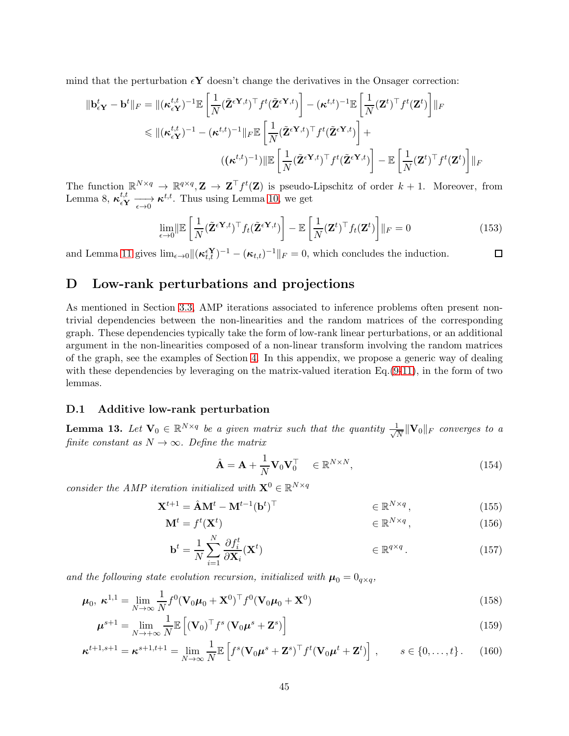mind that the perturbation  $\epsilon Y$  doesn't change the derivatives in the Onsager correction:

$$
\begin{split} \|\mathbf{b}_{\epsilon\mathbf{Y}}^{t}-\mathbf{b}^{t}\|_{F}&=\|(\boldsymbol{\kappa}_{\epsilon\mathbf{Y}}^{t,t})^{-1}\mathbb{E}\left[\frac{1}{N}(\tilde{\mathbf{Z}}^{\epsilon\mathbf{Y},t})^{\top}f^{t}(\tilde{\mathbf{Z}}^{\epsilon\mathbf{Y},t})\right]-(\boldsymbol{\kappa}^{t,t})^{-1}\mathbb{E}\left[\frac{1}{N}(\mathbf{Z}^{t})^{\top}f^{t}(\mathbf{Z}^{t})\right]\|_{F} \\ &\leqslant \|(\boldsymbol{\kappa}_{\epsilon\mathbf{Y}}^{t,t})^{-1}-(\boldsymbol{\kappa}^{t,t})^{-1}\|_{F}\mathbb{E}\left[\frac{1}{N}(\tilde{\mathbf{Z}}^{\epsilon\mathbf{Y},t})^{\top}f^{t}(\tilde{\mathbf{Z}}^{\epsilon\mathbf{Y},t})\right]+\\ &((\boldsymbol{\kappa}^{t,t})^{-1})\|\mathbb{E}\left[\frac{1}{N}(\tilde{\mathbf{Z}}^{\epsilon\mathbf{Y},t})^{\top}f^{t}(\tilde{\mathbf{Z}}^{\epsilon\mathbf{Y},t})\right]-\mathbb{E}\left[\frac{1}{N}(\mathbf{Z}^{t})^{\top}f^{t}(\mathbf{Z}^{t})\right]\|_{F} \end{split}
$$

The function  $\mathbb{R}^{N \times q} \to \mathbb{R}^{q \times q}$ ,  $\mathbf{Z} \to \mathbf{Z}^{\top} f^t(\mathbf{Z})$  is pseudo-Lipschitz of order  $k+1$ . Moreover, from Lemma 8,  $\kappa_{\epsilon Y}^{t,t} \longrightarrow \kappa^{t,t}$ . Thus using Lemma [10,](#page-30-2) we get

$$
\lim_{\epsilon \to 0} \|\mathbb{E}\left[\frac{1}{N}(\tilde{\mathbf{Z}}^{\epsilon \mathbf{Y},t})^{\top} f_t(\tilde{\mathbf{Z}}^{\epsilon \mathbf{Y},t})\right] - \mathbb{E}\left[\frac{1}{N}(\mathbf{Z}^t)^{\top} f_t(\mathbf{Z}^t)\right]\|_F = 0
$$
\n(153)

and Lemma [11](#page-30-3) gives  $\lim_{\epsilon \to 0} \|(\kappa_{t,t}^{\epsilon Y})^{-1} - (\kappa_{t,t})^{-1}\|_F = 0$ , which concludes the induction.  $\Box$ 

# <span id="page-44-0"></span>D Low-rank perturbations and projections

As mentioned in Section [3.3,](#page-13-0) AMP iterations associated to inference problems often present nontrivial dependencies between the non-linearities and the random matrices of the corresponding graph. These dependencies typically take the form of low-rank linear perturbations, or an additional argument in the non-linearities composed of a non-linear transform involving the random matrices of the graph, see the examples of Section [4.](#page-16-0) In this appendix, we propose a generic way of dealing with these dependencies by leveraging on the matrix-valued iteration  $Eq.(9-11)$  $Eq.(9-11)$  $Eq.(9-11)$ , in the form of two lemmas.

### <span id="page-44-2"></span><span id="page-44-1"></span>D.1 Additive low-rank perturbation

**Lemma 13.** Let  $\mathbf{V}_0 \in \mathbb{R}^{N \times q}$  be a given matrix such that the quantity  $\frac{1}{\sqrt{l}}$  $\frac{1}{N} \|\mathbf{V}_0\|_F$  converges to a finite constant as  $N \to \infty$ . Define the matrix

<span id="page-44-3"></span>
$$
\hat{\mathbf{A}} = \mathbf{A} + \frac{1}{N} \mathbf{V}_0 \mathbf{V}_0^\top \in \mathbb{R}^{N \times N},\tag{154}
$$

consider the AMP iteration initialized with  $\mathbf{X}^0 \in \mathbb{R}^{N \times q}$ 

$$
\mathbf{X}^{t+1} = \hat{\mathbf{A}} \mathbf{M}^t - \mathbf{M}^{t-1} (\mathbf{b}^t)^{\top} \qquad \in \mathbb{R}^{N \times q}, \qquad (155)
$$

$$
\mathbf{M}^t = f^t(\mathbf{X}^t) \qquad \qquad \in \mathbb{R}^{N \times q}, \tag{156}
$$

$$
\mathbf{b}^{t} = \frac{1}{N} \sum_{i=1}^{N} \frac{\partial f_{i}^{t}}{\partial \mathbf{X}_{i}} (\mathbf{X}^{t}) \qquad \in \mathbb{R}^{q \times q} \,.
$$
 (157)

and the following state evolution recursion, initialized with  $\mu_0 = 0_{q \times q}$ ,

$$
\boldsymbol{\mu}_0, \ \boldsymbol{\kappa}^{1,1} = \lim_{N \to \infty} \frac{1}{N} f^0 (\mathbf{V}_0 \boldsymbol{\mu}_0 + \mathbf{X}^0)^\top f^0 (\mathbf{V}_0 \boldsymbol{\mu}_0 + \mathbf{X}^0) \tag{158}
$$

$$
\boldsymbol{\mu}^{s+1} = \lim_{N \to +\infty} \frac{1}{N} \mathbb{E}\left[ (\mathbf{V}_0)^{\top} f^s \left( \mathbf{V}_0 \boldsymbol{\mu}^s + \mathbf{Z}^s \right) \right]
$$
(159)

$$
\boldsymbol{\kappa}^{t+1,s+1} = \boldsymbol{\kappa}^{s+1,t+1} = \lim_{N \to \infty} \frac{1}{N} \mathbb{E} \left[ f^s (\mathbf{V}_0 \boldsymbol{\mu}^s + \mathbf{Z}^s)^{\top} f^t (\mathbf{V}_0 \boldsymbol{\mu}^t + \mathbf{Z}^t) \right], \qquad s \in \{0, \dots, t\}.
$$
 (160)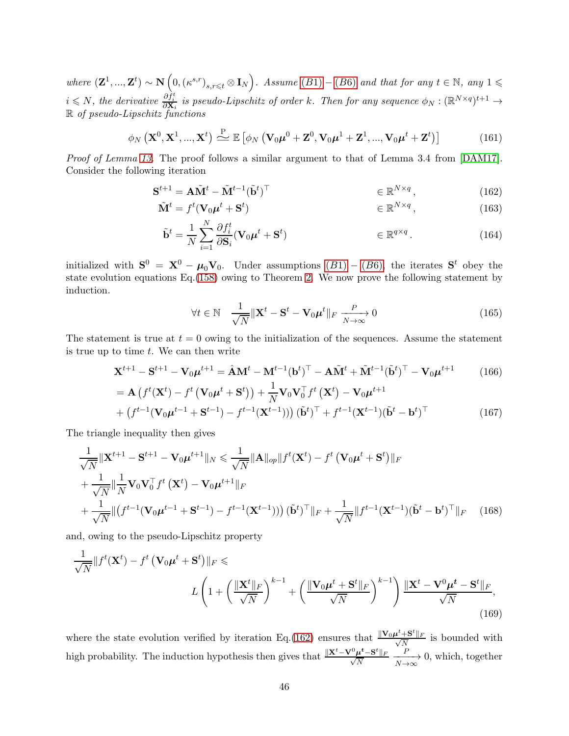where  $(\mathbf{Z}^1, ..., \mathbf{Z}^t) \sim \mathbf{N}\left(0, (\kappa^{s,r})_{s,r \leq t} \otimes \mathbf{I}_N\right)$ . Assume  $(B1) - (B6)$  $(B1) - (B6)$  $(B1) - (B6)$  $(B1) - (B6)$  and that for any  $t \in \mathbb{N}$ , any  $1 \leq$  $i \leq N$ , the derivative  $\frac{\partial f_i^t}{\partial \mathbf{X}_i}$  is pseudo-Lipschitz of order k. Then for any sequence  $\phi_N : (\mathbb{R}^{N \times q})^{t+1} \to$ R of pseudo-Lipschitz functions

$$
\phi_N\left(\mathbf{X}^0,\mathbf{X}^1,...,\mathbf{X}^t\right) \stackrel{\text{P}}{\triangleq} \mathbb{E}\left[\phi_N\left(\mathbf{V}_0\boldsymbol{\mu}^0+\mathbf{Z}^0,\mathbf{V}_0\boldsymbol{\mu}^1+\mathbf{Z}^1,...,\mathbf{V}_0\boldsymbol{\mu}^t+\mathbf{Z}^t\right)\right]
$$
(161)

Proof of Lemma [13.](#page-44-1) The proof follows a similar argument to that of Lemma 3.4 from [\[DAM17\]](#page-21-9). Consider the following iteration

$$
\mathbf{S}^{t+1} = \mathbf{A}\tilde{\mathbf{M}}^t - \tilde{\mathbf{M}}^{t-1}(\tilde{\mathbf{b}}^t)^\top \qquad \qquad \in \mathbb{R}^{N \times q}, \tag{162}
$$

$$
\tilde{\mathbf{M}}^t = f^t(\mathbf{V}_0 \boldsymbol{\mu}^t + \mathbf{S}^t) \qquad \qquad \in \mathbb{R}^{N \times q}, \qquad (163)
$$

$$
\tilde{\mathbf{b}}^{t} = \frac{1}{N} \sum_{i=1}^{N} \frac{\partial f_{i}^{t}}{\partial \mathbf{S}_{i}} (\mathbf{V}_{0} \boldsymbol{\mu}^{t} + \mathbf{S}^{t}) \qquad \in \mathbb{R}^{q \times q}.
$$
 (164)

initialized with  $S^0 = X^0 - \mu_0 V_0$ . Under assumptions  $(B1) - (B6)$  $(B1) - (B6)$  $(B1) - (B6)$ , the iterates  $S^t$  obey the state evolution equations Eq.[\(158\)](#page-44-3) owing to Theorem [2.](#page-26-1) We now prove the following statement by induction.

<span id="page-45-2"></span><span id="page-45-1"></span><span id="page-45-0"></span>
$$
\forall t \in \mathbb{N} \quad \frac{1}{\sqrt{N}} \|\mathbf{X}^t - \mathbf{S}^t - \mathbf{V}_0 \boldsymbol{\mu}^t\|_F \xrightarrow[N \to \infty]{} 0 \tag{165}
$$

The statement is true at  $t = 0$  owing to the initialization of the sequences. Assume the statement is true up to time  $t$ . We can then write

$$
\mathbf{X}^{t+1} - \mathbf{S}^{t+1} - \mathbf{V}_0 \boldsymbol{\mu}^{t+1} = \hat{\mathbf{A}} \mathbf{M}^t - \mathbf{M}^{t-1} (\mathbf{b}^t)^{\top} - \mathbf{A} \tilde{\mathbf{M}}^t + \tilde{\mathbf{M}}^{t-1} (\tilde{\mathbf{b}}^t)^{\top} - \mathbf{V}_0 \boldsymbol{\mu}^{t+1}
$$
(166)

$$
= \mathbf{A} \left( f^{t}(\mathbf{X}^{t}) - f^{t} \left( \mathbf{V}_{0} \boldsymbol{\mu}^{t} + \mathbf{S}^{t} \right) \right) + \frac{1}{N} \mathbf{V}_{0} \mathbf{V}_{0}^{\top} f^{t} \left( \mathbf{X}^{t} \right) - \mathbf{V}_{0} \boldsymbol{\mu}^{t+1} + \left( f^{t-1} (\mathbf{V}_{0} \boldsymbol{\mu}^{t-1} + \mathbf{S}^{t-1}) - f^{t-1} (\mathbf{X}^{t-1}) \right) (\tilde{\mathbf{b}}^{t})^{\top} + f^{t-1} (\mathbf{X}^{t-1}) (\tilde{\mathbf{b}}^{t} - \mathbf{b}^{t})^{\top}
$$
\n(167)

The triangle inequality then gives

$$
\frac{1}{\sqrt{N}} \|\mathbf{X}^{t+1} - \mathbf{S}^{t+1} - \mathbf{V}_0 \boldsymbol{\mu}^{t+1}\|_N \le \frac{1}{\sqrt{N}} \|\mathbf{A}\|_{op} \|f^t(\mathbf{X}^t) - f^t(\mathbf{V}_0 \boldsymbol{\mu}^t + \mathbf{S}^t)\|_F
$$
  
+ 
$$
\frac{1}{\sqrt{N}} \|\frac{1}{N} \mathbf{V}_0 \mathbf{V}_0^\top f^t(\mathbf{X}^t) - \mathbf{V}_0 \boldsymbol{\mu}^{t+1}\|_F
$$
  
+ 
$$
\frac{1}{\sqrt{N}} \|(f^{t-1}(\mathbf{V}_0 \boldsymbol{\mu}^{t-1} + \mathbf{S}^{t-1}) - f^{t-1}(\mathbf{X}^{t-1}))\) (\tilde{\mathbf{b}}^t)^\top \|_F + \frac{1}{\sqrt{N}} \|f^{t-1}(\mathbf{X}^{t-1})(\tilde{\mathbf{b}}^t - \mathbf{b}^t)^\top \|_F
$$
(168)

and, owing to the pseudo-Lipschitz property

$$
\frac{1}{\sqrt{N}}\|f^{t}(\mathbf{X}^{t}) - f^{t}(\mathbf{V}_{0}\boldsymbol{\mu}^{t} + \mathbf{S}^{t})\|_{F} \leqslant
$$
\n
$$
L\left(1 + \left(\frac{\|\mathbf{X}^{t}\|_{F}}{\sqrt{N}}\right)^{k-1} + \left(\frac{\|\mathbf{V}_{0}\boldsymbol{\mu}^{t} + \mathbf{S}^{t}\|_{F}}{\sqrt{N}}\right)^{k-1}\right) \frac{\|\mathbf{X}^{t} - \mathbf{V}^{0}\boldsymbol{\mu}^{t} - \mathbf{S}^{t}\|_{F}}{\sqrt{N}},
$$
\n(169)

where the state evolution verified by iteration Eq.[\(162\)](#page-45-0) ensures that  $\frac{\|\mathbf{V}_0\boldsymbol{\mu}^t + \mathbf{S}^t\|_F}{\sqrt{N}}$  $\frac{1}{\sqrt{N}}$  is bounded with high probability. The induction hypothesis then gives that  $\frac{\|\mathbf{X}^t - \mathbf{V}^0\boldsymbol{\mu}^t - \mathbf{S}^t\|_F}{\sqrt{N}}$ N  $\xrightarrow[N \to \infty]{P}$ 0, which, together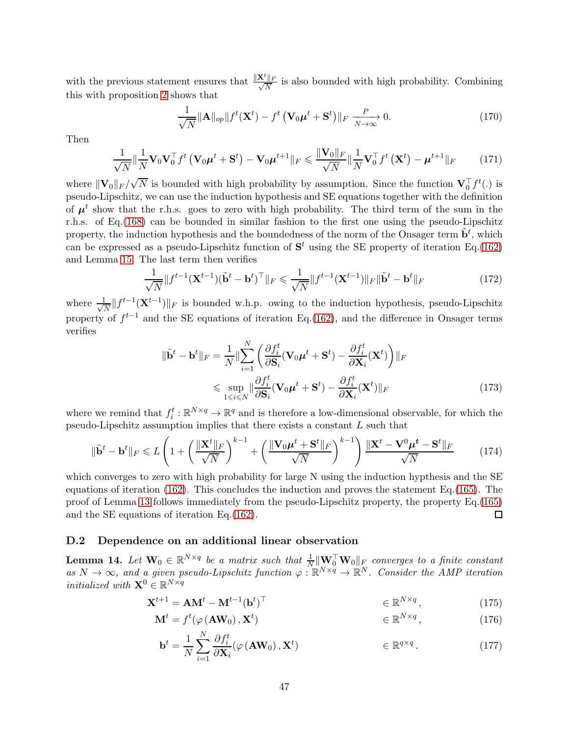with the previous statement ensures that  $\frac{\|\mathbf{X}^t\|_F}{\sqrt{N}}$  $\frac{\parallel F}{N}$  is also bounded with high probability. Combining this with proposition [2](#page-53-1) shows that

$$
\frac{1}{\sqrt{N}} \|\mathbf{A}\|_{op} \|f^t(\mathbf{X}^t) - f^t(\mathbf{V}_0\boldsymbol{\mu}^t + \mathbf{S}^t)\|_F \xrightarrow[N \to \infty]{} 0. \tag{170}
$$

Then

$$
\frac{1}{\sqrt{N}} \|\frac{1}{N} \mathbf{V}_0 \mathbf{V}_0^\top f^t \left(\mathbf{V}_0 \boldsymbol{\mu}^t + \mathbf{S}^t\right) - \mathbf{V}_0 \boldsymbol{\mu}^{t+1} \|_F \leq \frac{\|\mathbf{V}_0\|_F}{\sqrt{N}} \|\frac{1}{N} \mathbf{V}_0^\top f^t \left(\mathbf{X}^t\right) - \boldsymbol{\mu}^{t+1} \|_F \tag{171}
$$

where  $\|\mathbf{V}_0\|_F/\sqrt{N}$  is bounded with high probability by assumption. Since the function  $\mathbf{V}_0^{\top} f^t(.)$  is pseudo-Lipschitz, we can use the induction hypothesis and SE equations together with the definition of  $\mu^t$  show that the r.h.s. goes to zero with high probability. The third term of the sum in the r.h.s. of Eq.[\(168\)](#page-45-1) can be bounded in similar fashion to the first one using the pseudo-Lipschitz property, the induction hypothesis and the boundedness of the norm of the Onsager term  $\tilde{\mathbf{b}}^t$ , which can be expressed as a pseudo-Lipschitz function of  $S<sup>t</sup>$  using the SE property of iteration Eq.[\(162\)](#page-45-0) and Lemma [15.](#page-54-1) The last term then verifies

$$
\frac{1}{\sqrt{N}}\|f^{t-1}(\mathbf{X}^{t-1})(\tilde{\mathbf{b}}^t - \mathbf{b}^t)^{\top}\|_F \le \frac{1}{\sqrt{N}}\|f^{t-1}(\mathbf{X}^{t-1})\|_F\|\tilde{\mathbf{b}}^t - \mathbf{b}^t\|_F
$$
\n(172)

where  $\frac{1}{\sqrt{2}}$  $\frac{L}{N}$  ||  $f^{t-1}$ ( $\mathbf{X}^{t-1}$ )|| $_F$  is bounded w.h.p. owing to the induction hypothesis, pseudo-Lipschitz property of  $f^{t-1}$  and the SE equations of iteration Eq.[\(162\)](#page-45-0), and the difference in Onsager terms verifies

$$
\|\tilde{\mathbf{b}}^{t} - \mathbf{b}^{t}\|_{F} = \frac{1}{N} \|\sum_{i=1}^{N} \left( \frac{\partial f_{i}^{t}}{\partial \mathbf{S}_{i}} (\mathbf{V}_{0} \boldsymbol{\mu}^{t} + \mathbf{S}^{t}) - \frac{\partial f_{i}^{t}}{\partial \mathbf{X}_{i}} (\mathbf{X}^{t}) \right) \|_{F}
$$
  
\$\leq \sup\_{1 \leq i \leq N} \|\frac{\partial f\_{i}^{t}}{\partial \mathbf{S}\_{i}} (\mathbf{V}\_{0} \boldsymbol{\mu}^{t} + \mathbf{S}^{t}) - \frac{\partial f\_{i}^{t}}{\partial \mathbf{X}\_{i}} (\mathbf{X}^{t}) \|\_{F}\$ (173)

where we remind that  $f_i^t : \mathbb{R}^{N \times q} \to \mathbb{R}^q$  and is therefore a low-dimensional observable, for which the pseudo-Lipschitz assumption implies that there exists a constant L such that

$$
\|\tilde{\mathbf{b}}^t - \mathbf{b}^t\|_F \le L\left(1 + \left(\frac{\|\mathbf{X}^t\|_F}{\sqrt{N}}\right)^{k-1} + \left(\frac{\|\mathbf{V}_0\boldsymbol{\mu}^t + \mathbf{S}^t\|_F}{\sqrt{N}}\right)^{k-1}\right) \frac{\|\mathbf{X}^t - \mathbf{V}^0\boldsymbol{\mu}^t - \mathbf{S}^t\|_F}{\sqrt{N}}\tag{174}
$$

which converges to zero with high probability for large N using the induction hypthesis and the SE equations of iteration  $(162)$ . This concludes the induction and proves the statement Eq.  $(165)$ . The proof of Lemma [13](#page-44-1) follows immediately from the pseudo-Lipschitz property, the property Eq.[\(165\)](#page-45-2) and the SE equations of iteration Eq.[\(162\)](#page-45-0).  $\Box$ 

### <span id="page-46-1"></span><span id="page-46-0"></span>D.2 Dependence on an additional linear observation

**Lemma 14.** Let  $\mathbf{W}_0 \in \mathbb{R}^{N \times q}$  be a matrix such that  $\frac{1}{N} \|\mathbf{W}_0^\top \mathbf{W}_0\|_F$  converges to a finite constant as  $N \to \infty$ , and a given pseudo-Lipschitz function  $\varphi : \mathbb{R}^{N \times q} \to \mathbb{R}^N$ . Consider the AMP iteration *initialized with*  $\mathbf{X}^0 \in \mathbb{R}^{N \times q}$ 

$$
\mathbf{X}^{t+1} = \mathbf{A}\mathbf{M}^t - \mathbf{M}^{t-1}(\mathbf{b}^t)^{\top} \qquad \qquad \in \mathbb{R}^{N \times q}, \qquad (175)
$$

$$
\mathbf{M}^{t} = f^{t}(\varphi(\mathbf{A}\mathbf{W}_{0}), \mathbf{X}^{t}) \qquad \in \mathbb{R}^{N \times q}, \qquad (176)
$$

<span id="page-46-2"></span>
$$
\mathbf{b}^{t} = \frac{1}{N} \sum_{i=1}^{N} \frac{\partial f_{i}^{t}}{\partial \mathbf{X}_{i}} (\varphi \left(\mathbf{A} \mathbf{W}_{0}\right), \mathbf{X}^{t}) \qquad \in \mathbb{R}^{q \times q} \,.
$$
 (177)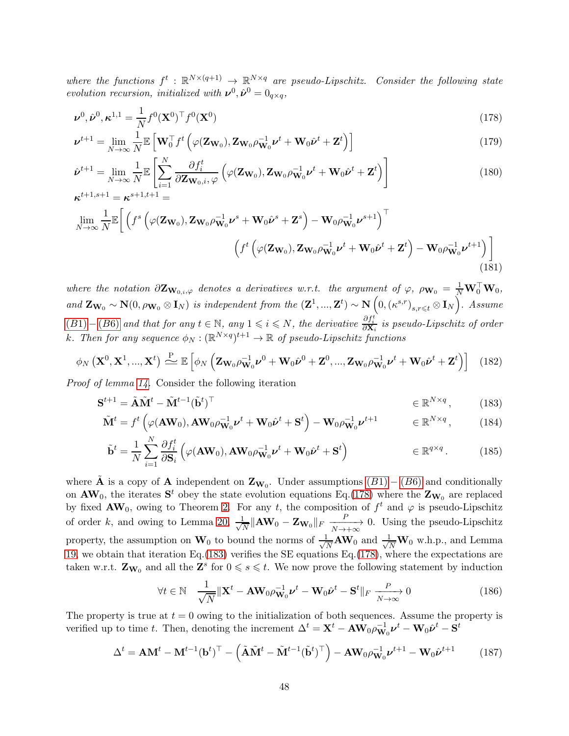where the functions  $f^t : \mathbb{R}^{N \times (q+1)} \to \mathbb{R}^{N \times q}$  are pseudo-Lipschitz. Consider the following state evolution recursion, initialized with  $v^0$ ,  $\hat{v}^0 = 0_{q \times q}$ ,

<span id="page-47-0"></span>
$$
\boldsymbol{\nu}^0, \hat{\boldsymbol{\nu}}^0, \boldsymbol{\kappa}^{1,1} = \frac{1}{N} f^0 (\mathbf{X}^0)^\top f^0 (\mathbf{X}^0)
$$
\n
$$
(178)
$$

$$
\boldsymbol{\nu}^{t+1} = \lim_{N \to \infty} \frac{1}{N} \mathbb{E} \left[ \mathbf{W}_0^{\top} f^t \left( \varphi(\mathbf{Z}_{\mathbf{W}_0}), \mathbf{Z}_{\mathbf{W}_0} \rho_{\mathbf{W}_0}^{-1} \boldsymbol{\nu}^t + \mathbf{W}_0 \hat{\boldsymbol{\nu}}^t + \mathbf{Z}^t \right) \right]
$$
(179)

$$
\hat{\boldsymbol{\nu}}^{t+1} = \lim_{N \to \infty} \frac{1}{N} \mathbb{E} \left[ \sum_{i=1}^{N} \frac{\partial f_i^t}{\partial \mathbf{Z} \mathbf{w}_{0,i}, \varphi} \left( \varphi(\mathbf{Z} \mathbf{w}_0), \mathbf{Z} \mathbf{w}_0 \rho \mathbf{w}_0 \mathbf{v}^t + \mathbf{W}_0 \hat{\boldsymbol{\nu}}^t + \mathbf{Z}^t \right) \right]
$$
\n
$$
\boldsymbol{\kappa}^{t+1, s+1} = \boldsymbol{\kappa}^{s+1, t+1} = \tag{180}
$$

$$
\lim_{N \to \infty} \frac{1}{N} \mathbb{E} \bigg[ \left( f^s \left( \varphi(\mathbf{Z}_{\mathbf{W}_0}), \mathbf{Z}_{\mathbf{W}_0} \rho_{\mathbf{W}_0}^{-1} \boldsymbol{\nu}^s + \mathbf{W}_0 \hat{\boldsymbol{\nu}}^s + \mathbf{Z}^s \right) - \mathbf{W}_0 \rho_{\mathbf{W}_0}^{-1} \boldsymbol{\nu}^{s+1} \right)^\top \n\left( f^t \left( \varphi(\mathbf{Z}_{\mathbf{W}_0}), \mathbf{Z}_{\mathbf{W}_0} \rho_{\mathbf{W}_0}^{-1} \boldsymbol{\nu}^t + \mathbf{W}_0 \hat{\boldsymbol{\nu}}^t + \mathbf{Z}^t \right) - \mathbf{W}_0 \rho_{\mathbf{W}_0}^{-1} \boldsymbol{\nu}^{t+1} \right) \bigg] \tag{181}
$$

where the notation  $\partial \mathbf{Z}_{\mathbf{W}_{0,i},\varphi}$  denotes a derivatives w.r.t. the argument of  $\varphi$ ,  $\rho_{\mathbf{W}_0} = \frac{1}{N} \mathbf{W}_0^{\top} \mathbf{W}_0$ , and  $\mathbf{Z}_{\mathbf{W}_0} \sim \mathbf{N}(0, \rho_{\mathbf{W}_0} \otimes \mathbf{I}_N)$  is independent from the  $(\mathbf{Z}^1, ..., \mathbf{Z}^t) \sim \mathbf{N}\left(0, (\kappa^{s,r})_{s,r \leqslant t} \otimes \mathbf{I}_N\right)$ . Assume  $(B1) - (B6)$  $(B1) - (B6)$  $(B1) - (B6)$  $(B1) - (B6)$  and that for any  $t \in \mathbb{N}$ , any  $1 \leqslant i \leqslant N$ , the derivative  $\frac{\partial f_i^t}{\partial \mathbf{X}_i}$  is pseudo-Lipschitz of order k. Then for any sequence  $\phi_N : (\mathbb{R}^{N \times q})^{t+1} \to \mathbb{R}$  of pseudo-Lipschitz functions

$$
\phi_N\left(\mathbf{X}^0,\mathbf{X}^1,...,\mathbf{X}^t\right) \stackrel{\mathbf{P}}{\Longrightarrow} \mathbb{E}\left[\phi_N\left(\mathbf{Z}_{\mathbf{W}_0}\rho_{\mathbf{W}_0}^{-1}\boldsymbol{\nu}^0 + \mathbf{W}_0\hat{\boldsymbol{\nu}}^0 + \mathbf{Z}^0,...,\mathbf{Z}_{\mathbf{W}_0}\rho_{\mathbf{W}_0}^{-1}\boldsymbol{\nu}^t + \mathbf{W}_0\hat{\boldsymbol{\nu}}^t + \mathbf{Z}^t\right)\right]
$$
(182)

Proof of lemma [14.](#page-46-0) Consider the following iteration

$$
\mathbf{S}^{t+1} = \tilde{\mathbf{A}} \tilde{\mathbf{M}}^t - \tilde{\mathbf{M}}^{t-1} (\tilde{\mathbf{b}}^t)^\top
$$
\n
$$
\in \mathbb{R}^{N \times q}, \qquad (183)
$$

$$
\tilde{\mathbf{M}}^t = f^t \left( \varphi(\mathbf{A} \mathbf{W}_0), \mathbf{A} \mathbf{W}_0 \rho_{\mathbf{W}_0}^{-1} \boldsymbol{\nu}^t + \mathbf{W}_0 \hat{\boldsymbol{\nu}}^t + \mathbf{S}^t \right) - \mathbf{W}_0 \rho_{\mathbf{W}_0}^{-1} \boldsymbol{\nu}^{t+1} \qquad \in \mathbb{R}^{N \times q}, \qquad (184)
$$

$$
\tilde{\mathbf{b}}^{t} = \frac{1}{N} \sum_{i=1}^{N} \frac{\partial f_{i}^{t}}{\partial \mathbf{S}_{i}} \left( \varphi(\mathbf{A} \mathbf{W}_{0}), \mathbf{A} \mathbf{W}_{0} \rho_{\mathbf{W}_{0}}^{-1} \boldsymbol{\nu}^{t} + \mathbf{W}_{0} \hat{\boldsymbol{\nu}}^{t} + \mathbf{S}^{t} \right) \in \mathbb{R}^{q \times q}.
$$
 (185)

where  $\tilde{A}$  is a copy of  $A$  independent on  $\mathbf{Z}_{\mathbf{W}_0}$ . Under assumptions  $(B1) - (B6)$  $(B1) - (B6)$  $(B1) - (B6)$  $(B1) - (B6)$  and conditionally on  $AW_0$ , the iterates  $S^t$  obey the state evolution equations Eq.[\(178\)](#page-47-0) where the  $Z_{W_0}$  are replaced by fixed  $AW_0$ , owing to Theorem [2.](#page-26-1) For any t, the composition of  $f^t$  and  $\varphi$  is pseudo-Lipschitz of order k, and owing to Lemma [20,](#page-56-0)  $\frac{1}{\sqrt{2}}$  $\frac{1}{N}\|\mathbf{A}\mathbf{W}_{0}-\mathbf{Z}_{\mathbf{W}_{0}}\|_{F} \xrightarrow[N\rightarrow+\infty]{P}$ 0. Using the pseudo-Lipschitz property, the assumption on  $\mathbf{W}_0$  to bound the norms of  $\frac{1}{\sqrt{2}}$  $\frac{1}{N}$ **AW**<sub>0</sub> and  $\frac{1}{\sqrt{N}}$ **W**<sub>0</sub> w.h.p., and Lemma [19,](#page-55-0) we obtain that iteration Eq.[\(183\)](#page-47-1) verifies the SE equations Eq.[\(178\)](#page-47-0), where the expectations are taken w.r.t.  $\mathbf{Z}_{\mathbf{W}_0}$  and all the  $\mathbf{Z}^s$  for  $0 \leqslant s \leqslant t$ . We now prove the following statement by induction

<span id="page-47-2"></span><span id="page-47-1"></span>
$$
\forall t \in \mathbb{N} \quad \frac{1}{\sqrt{N}} \|\mathbf{X}^t - \mathbf{A} \mathbf{W}_0 \rho \mathbf{W}_0 \mathbf{v}^t - \mathbf{W}_0 \hat{\mathbf{v}}^t - \mathbf{S}^t\|_F \xrightarrow[N \to \infty]{} 0 \tag{186}
$$

The property is true at  $t = 0$  owing to the initialization of both sequences. Assume the property is verified up to time t. Then, denoting the increment  $\Delta^t = \mathbf{X}^t - \mathbf{A}\mathbf{W}_0 \rho_{\mathbf{W}_0}^{-1} \boldsymbol{\nu}^t - \mathbf{W}_0 \hat{\boldsymbol{\nu}}^t - \mathbf{S}^t$ 

$$
\Delta^{t} = \mathbf{A}\mathbf{M}^{t} - \mathbf{M}^{t-1}(\mathbf{b}^{t})^{\top} - \left(\tilde{\mathbf{A}}\tilde{\mathbf{M}}^{t} - \tilde{\mathbf{M}}^{t-1}(\tilde{\mathbf{b}}^{t})^{\top}\right) - \mathbf{A}\mathbf{W}_{0}\rho_{\mathbf{W}_{0}}^{-1}\boldsymbol{\nu}^{t+1} - \mathbf{W}_{0}\hat{\boldsymbol{\nu}}^{t+1}
$$
(187)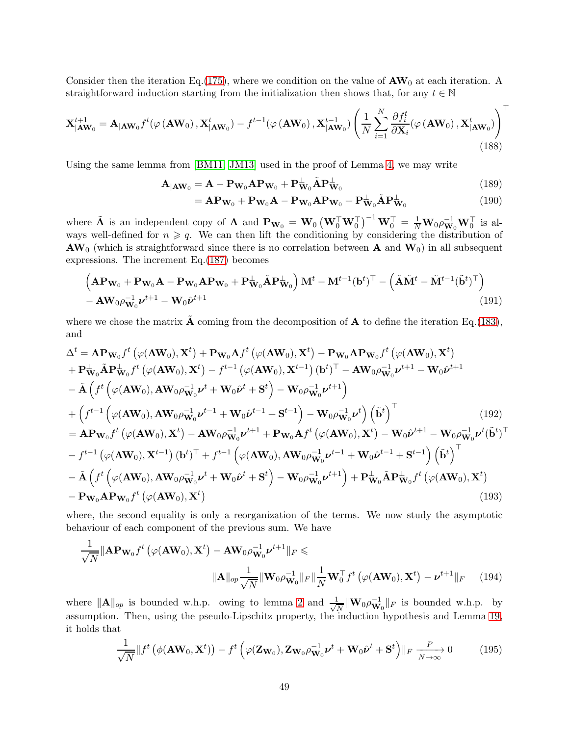Consider then the iteration Eq.[\(175\)](#page-46-2), where we condition on the value of  $AW_0$  at each iteration. A straightforward induction starting from the initialization then shows that, for any  $t \in \mathbb{N}$ 

$$
\mathbf{X}_{|\mathbf{A}\mathbf{W}_0}^{t+1} = \mathbf{A}_{|\mathbf{A}\mathbf{W}_0} f^t(\varphi(\mathbf{A}\mathbf{W}_0), \mathbf{X}_{|\mathbf{A}\mathbf{W}_0}^t) - f^{t-1}(\varphi(\mathbf{A}\mathbf{W}_0), \mathbf{X}_{|\mathbf{A}\mathbf{W}_0}^{t-1}) \left(\frac{1}{N} \sum_{i=1}^N \frac{\partial f_i^t}{\partial \mathbf{X}_i} (\varphi(\mathbf{A}\mathbf{W}_0), \mathbf{X}_{|\mathbf{A}\mathbf{W}_0}^t)\right)^t
$$
(188)

Using the same lemma from [\[BM11,](#page-20-1) [JM13\]](#page-21-5) used in the proof of Lemma [4,](#page-28-1) we may write

$$
\mathbf{A}_{|\mathbf{A}\mathbf{W}_0} = \mathbf{A} - \mathbf{P}_{\mathbf{W}_0} \mathbf{A} \mathbf{P}_{\mathbf{W}_0} + \mathbf{P}_{\mathbf{W}_0}^{\perp} \tilde{\mathbf{A}} \mathbf{P}_{\mathbf{W}_0}^{\perp}
$$
(189)

$$
= \mathbf{A} \mathbf{P}_{\mathbf{W}_0} + \mathbf{P}_{\mathbf{W}_0} \mathbf{A} - \mathbf{P}_{\mathbf{W}_0} \mathbf{A} \mathbf{P}_{\mathbf{W}_0} + \mathbf{P}_{\mathbf{W}_0}^{\perp} \tilde{\mathbf{A}} \mathbf{P}_{\mathbf{W}_0}^{\perp}
$$
(190)

where  $\tilde{\mathbf{A}}$  is an independent copy of  $\mathbf{A}$  and  $\mathbf{P}_{\mathbf{W}_0} = \mathbf{W}_0 \left( \mathbf{W}_0^\top \mathbf{W}_0^\top \right)^{-1} \mathbf{W}_0^\top = \frac{1}{N} \mathbf{W}_0 \rho_{\mathbf{W}_0}^{-1} \mathbf{W}_0^\top$  is always well-defined for  $n \geqslant q$ . We can then lift the conditioning by considering the distribution of  $AW_0$  (which is straightforward since there is no correlation between A and  $W_0$ ) in all subsequent expressions. The increment Eq.[\(187\)](#page-47-2) becomes

$$
\left(\mathbf{AP}_{\mathbf{W}_0} + \mathbf{P}_{\mathbf{W}_0}\mathbf{A} - \mathbf{P}_{\mathbf{W}_0}\mathbf{AP}_{\mathbf{W}_0} + \mathbf{P}_{\mathbf{W}_0}^{\perp} \tilde{\mathbf{A}} \mathbf{P}_{\mathbf{W}_0}^{\perp}\right) \mathbf{M}^t - \mathbf{M}^{t-1}(\mathbf{b}^t)^{\top} - \left(\tilde{\mathbf{A}}\tilde{\mathbf{M}}^t - \tilde{\mathbf{M}}^{t-1}(\tilde{\mathbf{b}}^t)^{\top}\right) - \mathbf{A}\mathbf{W}_0 \rho_{\mathbf{W}_0}^{-1} \nu^{t+1} - \mathbf{W}_0 \tilde{\nu}^{t+1}
$$
\n(191)

where we chose the matrix  $\mathbf{\tilde{A}}$  coming from the decomposition of  $\mathbf{A}$  to define the iteration Eq.[\(183\)](#page-47-1), and

$$
\Delta^{t} = \mathbf{AP}_{\mathbf{W}_{0}}f^{t}(\varphi(\mathbf{AW}_{0}), \mathbf{X}^{t}) + \mathbf{P}_{\mathbf{W}_{0}}\mathbf{A}f^{t}(\varphi(\mathbf{AW}_{0}), \mathbf{X}^{t}) - \mathbf{P}_{\mathbf{W}_{0}}\mathbf{AP}_{\mathbf{W}_{0}}f^{t}(\varphi(\mathbf{AW}_{0}), \mathbf{X}^{t}) \n+ \mathbf{P}_{\mathbf{W}_{0}}^{L}\tilde{\mathbf{A}}\mathbf{P}_{\mathbf{W}_{0}}^{L}f^{t}(\varphi(\mathbf{AW}_{0}), \mathbf{X}^{t}) - f^{t-1}(\varphi(\mathbf{AW}_{0}), \mathbf{X}^{t-1})(\mathbf{b}^{t})^{\top} - \mathbf{AW}_{0}\rho_{\mathbf{W}_{0}}^{-1}\nu^{t+1} - \mathbf{W}_{0}\hat{\nu}^{t+1} \n- \tilde{\mathbf{A}}\left(f^{t}(\varphi(\mathbf{AW}_{0}), \mathbf{AW}_{0}\rho_{\mathbf{W}_{0}}^{-1}\nu^{t} + \mathbf{W}_{0}\hat{\nu}^{t} + \mathbf{S}^{t}) - \mathbf{W}_{0}\rho_{\mathbf{W}_{0}}^{-1}\nu^{t+1}\right) \n+ \left(f^{t-1}(\varphi(\mathbf{AW}_{0}), \mathbf{AW}_{0}\rho_{\mathbf{W}_{0}}^{-1}\nu^{t-1} + \mathbf{W}_{0}\hat{\nu}^{t-1} + \mathbf{S}^{t-1}) - \mathbf{W}_{0}\rho_{\mathbf{W}_{0}}^{-1}\nu^{t}\right)\left(\tilde{\mathbf{b}}^{t}\right)^{\top} \qquad (192) \n= \mathbf{AP}_{\mathbf{W}_{0}}f^{t}(\varphi(\mathbf{AW}_{0}), \mathbf{X}^{t}) - \mathbf{AW}_{0}\rho_{\mathbf{W}_{0}}^{-1}\nu^{t+1} + \mathbf{P}_{\mathbf{W}_{0}}\mathbf{A}f^{t}(\varphi(\mathbf{AW}_{0}), \mathbf{X}^{t}) - \mathbf{W}_{0}\hat{\nu}^{t+1} - \mathbf{W}_{0}\rho_{\mathbf{W}_{0}}^{-1}\nu^{t}\left(\tilde{\mathbf{b}}^{t}\right)^{\top} \n- f^{t-1}\left(\varphi(\mathbf{AW}_{0}), \mathbf{X}^{t-1}\
$$

where, the second equality is only a reorganization of the terms. We now study the asymptotic behaviour of each component of the previous sum. We have

$$
\frac{1}{\sqrt{N}} \|\mathbf{AP}_{\mathbf{W}_0} f^t \left( \varphi(\mathbf{AW}_0), \mathbf{X}^t \right) - \mathbf{AW}_0 \rho_{\mathbf{W}_0}^{-1} \nu^{t+1} \|_F \le
$$
\n
$$
\|\mathbf{A}\|_{op} \frac{1}{\sqrt{N}} \|\mathbf{W}_0 \rho_{\mathbf{W}_0}^{-1}\|_F \|\frac{1}{N} \mathbf{W}_0^{\top} f^t \left( \varphi(\mathbf{AW}_0), \mathbf{X}^t \right) - \nu^{t+1} \|_F \tag{194}
$$

where  $||\mathbf{A}||_{op}$  is bounded w.h.p. owing to lemma [2](#page-53-1) and  $\frac{1}{\sqrt{l}}$  $\frac{1}{N}$   $\|\mathbf{W}_0 \rho_{\mathbf{W}_0}^{-1}\|_F$  is bounded w.h.p. by assumption. Then, using the pseudo-Lipschitz property, the induction hypothesis and Lemma [19,](#page-55-0) it holds that

<span id="page-48-1"></span><span id="page-48-0"></span>
$$
\frac{1}{\sqrt{N}}\|f^{t}\left(\phi(\mathbf{A}\mathbf{W}_{0},\mathbf{X}^{t})\right)-f^{t}\left(\varphi(\mathbf{Z}_{\mathbf{W}_{0}}),\mathbf{Z}_{\mathbf{W}_{0}}\rho_{\mathbf{W}_{0}}^{-1}\boldsymbol{\nu}^{t}+\mathbf{W}_{0}\hat{\boldsymbol{\nu}}^{t}+\mathbf{S}^{t}\right)\|_{F}\xrightarrow[N\to\infty]{}0\tag{195}
$$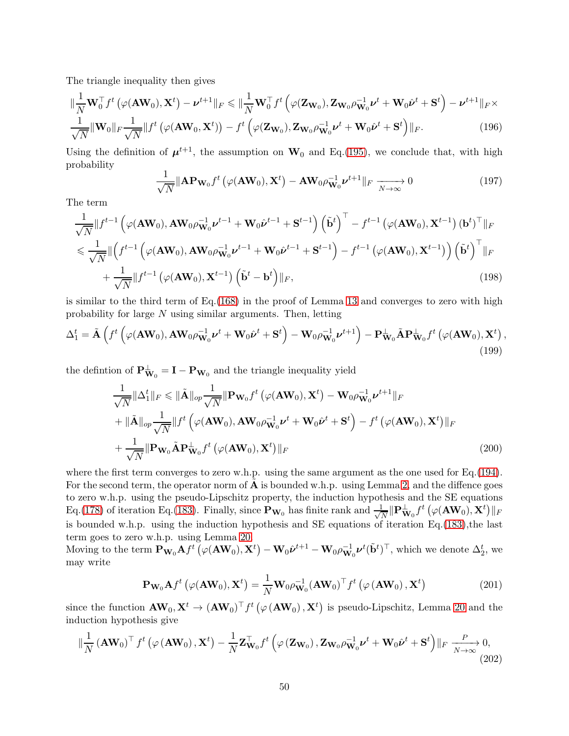The triangle inequality then gives

$$
\|\frac{1}{N}\mathbf{W}_{0}^{\top}f^{t}\left(\varphi(\mathbf{A}\mathbf{W}_{0}),\mathbf{X}^{t}\right)-\boldsymbol{\nu}^{t+1}\|_{F}\leqslant\|\frac{1}{N}\mathbf{W}_{0}^{\top}f^{t}\left(\varphi(\mathbf{Z}_{\mathbf{W}_{0}}),\mathbf{Z}_{\mathbf{W}_{0}}\rho_{\mathbf{W}_{0}}^{-1}\boldsymbol{\nu}^{t}+\mathbf{W}_{0}\hat{\boldsymbol{\nu}}^{t}+\mathbf{S}^{t}\right)-\boldsymbol{\nu}^{t+1}\|_{F}\times \frac{1}{\sqrt{N}}\|\mathbf{W}_{0}\|_{F}\frac{1}{\sqrt{N}}\|f^{t}\left(\varphi(\mathbf{A}\mathbf{W}_{0},\mathbf{X}^{t})\right)-f^{t}\left(\varphi(\mathbf{Z}_{\mathbf{W}_{0}}),\mathbf{Z}_{\mathbf{W}_{0}}\rho_{\mathbf{W}_{0}}^{-1}\boldsymbol{\nu}^{t}+\mathbf{W}_{0}\hat{\boldsymbol{\nu}}^{t}+\mathbf{S}^{t}\right)\|_{F}.
$$
\n(196)

Using the definition of  $\mu^{t+1}$ , the assumption on  $W_0$  and Eq.[\(195\)](#page-48-0), we conclude that, with high probability

$$
\frac{1}{\sqrt{N}} \|\mathbf{A} \mathbf{P} \mathbf{w}_0 f^t \left( \varphi(\mathbf{A} \mathbf{W}_0), \mathbf{X}^t \right) - \mathbf{A} \mathbf{W}_0 \rho \mathbf{W}_0^{-1} \boldsymbol{\nu}^{t+1} \|_F \xrightarrow[N \to \infty]{} 0 \tag{197}
$$

The term

$$
\frac{1}{\sqrt{N}}\|f^{t-1}\left(\varphi(\mathbf{A}\mathbf{W}_0), \mathbf{A}\mathbf{W}_0\rho_{\mathbf{W}_0}^{-1}\boldsymbol{\nu}^{t-1} + \mathbf{W}_0\hat{\boldsymbol{\nu}}^{t-1} + \mathbf{S}^{t-1}\right) \left(\tilde{\mathbf{b}}^t\right)^{\top} - f^{t-1}\left(\varphi(\mathbf{A}\mathbf{W}_0), \mathbf{X}^{t-1}\right) (\mathbf{b}^t)^{\top} \|_F
$$
\n
$$
\leq \frac{1}{\sqrt{N}}\|f^{t-1}\left(\varphi(\mathbf{A}\mathbf{W}_0), \mathbf{A}\mathbf{W}_0\rho_{\mathbf{W}_0}^{-1}\boldsymbol{\nu}^{t-1} + \mathbf{W}_0\hat{\boldsymbol{\nu}}^{t-1} + \mathbf{S}^{t-1}\right) - f^{t-1}\left(\varphi(\mathbf{A}\mathbf{W}_0), \mathbf{X}^{t-1}\right)\right) \left(\tilde{\mathbf{b}}^t\right)^{\top} \|_F
$$
\n
$$
+ \frac{1}{\sqrt{N}}\|f^{t-1}\left(\varphi(\mathbf{A}\mathbf{W}_0), \mathbf{X}^{t-1}\right) \left(\tilde{\mathbf{b}}^t - \mathbf{b}^t\right) \|_F, \tag{198}
$$

is similar to the third term of  $Eq.(168)$  $Eq.(168)$  in the proof of Lemma [13](#page-44-1) and converges to zero with high probability for large N using similar arguments. Then, letting

$$
\Delta_1^t = \tilde{\mathbf{A}} \left( f^t \left( \varphi(\mathbf{A} \mathbf{W}_0), \mathbf{A} \mathbf{W}_0 \rho_{\mathbf{W}_0}^{-1} \boldsymbol{\nu}^t + \mathbf{W}_0 \hat{\boldsymbol{\nu}}^t + \mathbf{S}^t \right) - \mathbf{W}_0 \rho_{\mathbf{W}_0}^{-1} \boldsymbol{\nu}^{t+1} \right) - \mathbf{P}_{\mathbf{W}_0}^{\perp} \tilde{\mathbf{A}} \mathbf{P}_{\mathbf{W}_0}^{\perp} f^t \left( \varphi(\mathbf{A} \mathbf{W}_0), \mathbf{X}^t \right), \tag{199}
$$

the defintion of  $\mathbf{P}_{\mathbf{W}_0}^{\perp} = \mathbf{I} - \mathbf{P}_{\mathbf{W}_0}$  and the triangle inequality yield

$$
\frac{1}{\sqrt{N}}\|\Delta_{1}^{t}\|_{F} \leq \|\tilde{\mathbf{A}}\|_{op} \frac{1}{\sqrt{N}}\|\mathbf{P}_{\mathbf{W}_{0}}f^{t}\left(\varphi(\mathbf{A}\mathbf{W}_{0}), \mathbf{X}^{t}\right) - \mathbf{W}_{0}\rho_{\mathbf{W}_{0}}^{-1}\boldsymbol{\nu}^{t+1}\|_{F} \n+ \|\tilde{\mathbf{A}}\|_{op} \frac{1}{\sqrt{N}}\|f^{t}\left(\varphi(\mathbf{A}\mathbf{W}_{0}), \mathbf{A}\mathbf{W}_{0}\rho_{\mathbf{W}_{0}}^{-1}\boldsymbol{\nu}^{t} + \mathbf{W}_{0}\hat{\boldsymbol{\nu}}^{t} + \mathbf{S}^{t}\right) - f^{t}\left(\varphi(\mathbf{A}\mathbf{W}_{0}), \mathbf{X}^{t}\right)\|_{F} \n+ \frac{1}{\sqrt{N}}\|\mathbf{P}_{\mathbf{W}_{0}}\tilde{\mathbf{A}}\mathbf{P}_{\mathbf{W}_{0}}^{L}f^{t}\left(\varphi(\mathbf{A}\mathbf{W}_{0}), \mathbf{X}^{t}\right)\|_{F}
$$
\n(200)

where the first term converges to zero w.h.p. using the same argument as the one used for Eq.[\(194\)](#page-48-1). For the second term, the operator norm of  $\hat{\mathbf{A}}$  is bounded w.h.p. using Lemma [2,](#page-53-1) and the diffence goes to zero w.h.p. using the pseudo-Lipschitz property, the induction hypothesis and the SE equations Eq.[\(178\)](#page-47-0) of iteration Eq.[\(183\)](#page-47-1). Finally, since  $\mathbf{P}_{\mathbf{W}_0}$  has finite rank and  $\frac{1}{\sqrt{2}}$  $\frac{\mathsf{I}}{N}\|\mathbf{P}_{\mathbf{W}_0}^{\perp}f^t\left(\varphi(\mathbf{A}\mathbf{W}_0),\mathbf{X}^t\right)\|_F$ is bounded w.h.p. using the induction hypothesis and SE equations of iteration Eq.[\(183\)](#page-47-1),the last term goes to zero w.h.p. using Lemma [20.](#page-56-0)

Moving to the term  $\mathbf{P}_{\mathbf{W}_0} \mathbf{A} f^t \left( \varphi(\mathbf{A} \mathbf{W}_0), \mathbf{X}^t \right) - \mathbf{W}_0 \hat{\boldsymbol{\nu}}^{t+1} - \mathbf{W}_0 \rho_{\mathbf{W}_0}^{-1} \boldsymbol{\nu}^t (\tilde{\mathbf{b}}^t)^\top$ , which we denote  $\Delta_2^t$ , we may write

<span id="page-49-0"></span>
$$
\mathbf{P}_{\mathbf{W}_0} \mathbf{A} f^t \left( \varphi(\mathbf{A} \mathbf{W}_0), \mathbf{X}^t \right) = \frac{1}{N} \mathbf{W}_0 \rho_{\mathbf{W}_0}^{-1} (\mathbf{A} \mathbf{W}_0)^\top f^t \left( \varphi \left( \mathbf{A} \mathbf{W}_0 \right), \mathbf{X}^t \right) \tag{201}
$$

since the function  $AW_0, X^t \to (AW_0)^\top f^t (\varphi(AW_0), X^t)$  is pseudo-Lipschitz, Lemma [20](#page-56-0) and the induction hypothesis give

<span id="page-49-1"></span>
$$
\|\frac{1}{N}(\mathbf{A}\mathbf{W}_0)^{\top} f^t \left(\varphi(\mathbf{A}\mathbf{W}_0), \mathbf{X}^t\right) - \frac{1}{N} \mathbf{Z}_{\mathbf{W}_0}^{\top} f^t \left(\varphi(\mathbf{Z}_{\mathbf{W}_0}), \mathbf{Z}_{\mathbf{W}_0} \rho_{\mathbf{W}_0}^{-1} \boldsymbol{\nu}^t + \mathbf{W}_0 \hat{\boldsymbol{\nu}}^t + \mathbf{S}^t\right) \|_F \xrightarrow[N \to \infty]{} 0,
$$
\n(202)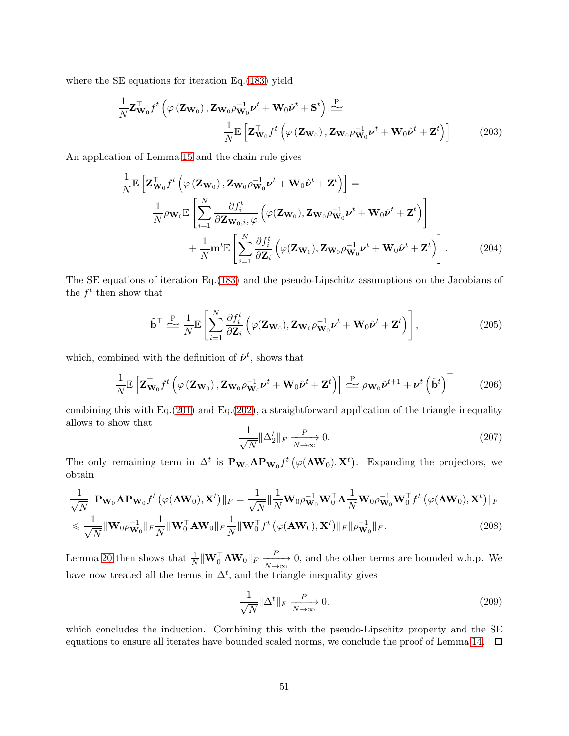where the SE equations for iteration Eq.[\(183\)](#page-47-1) yield

$$
\frac{1}{N} \mathbf{Z}_{\mathbf{W}_0}^{\top} f^t \left( \varphi \left( \mathbf{Z}_{\mathbf{W}_0} \right), \mathbf{Z}_{\mathbf{W}_0} \rho_{\mathbf{W}_0}^{-1} \boldsymbol{\nu}^t + \mathbf{W}_0 \hat{\boldsymbol{\nu}}^t + \mathbf{S}^t \right) \stackrel{\text{P}}{\Leftarrow} \n\frac{1}{N} \mathbb{E} \left[ \mathbf{Z}_{\mathbf{W}_0}^{\top} f^t \left( \varphi \left( \mathbf{Z}_{\mathbf{W}_0} \right), \mathbf{Z}_{\mathbf{W}_0} \rho_{\mathbf{W}_0}^{-1} \boldsymbol{\nu}^t + \mathbf{W}_0 \hat{\boldsymbol{\nu}}^t + \mathbf{Z}^t \right) \right]
$$
\n(203)

An application of Lemma [15](#page-54-1) and the chain rule gives

$$
\frac{1}{N} \mathbb{E} \left[ \mathbf{Z}_{\mathbf{W}_0}^{\top} f^t \left( \varphi \left( \mathbf{Z}_{\mathbf{W}_0} \right), \mathbf{Z}_{\mathbf{W}_0} \rho_{\mathbf{W}_0}^{-1} \boldsymbol{\nu}^t + \mathbf{W}_0 \hat{\boldsymbol{\nu}}^t + \mathbf{Z}^t \right) \right] =
$$
\n
$$
\frac{1}{N} \rho_{\mathbf{W}_0} \mathbb{E} \left[ \sum_{i=1}^N \frac{\partial f_i^t}{\partial \mathbf{Z}_{\mathbf{W}_0, i, \varphi}} \left( \varphi(\mathbf{Z}_{\mathbf{W}_0}), \mathbf{Z}_{\mathbf{W}_0} \rho_{\mathbf{W}_0}^{-1} \boldsymbol{\nu}^t + \mathbf{W}_0 \hat{\boldsymbol{\nu}}^t + \mathbf{Z}^t \right) \right]
$$
\n
$$
+ \frac{1}{N} \mathbf{m}^t \mathbb{E} \left[ \sum_{i=1}^N \frac{\partial f_i^t}{\partial \mathbf{Z}_i} \left( \varphi(\mathbf{Z}_{\mathbf{W}_0}), \mathbf{Z}_{\mathbf{W}_0} \rho_{\mathbf{W}_0}^{-1} \boldsymbol{\nu}^t + \mathbf{W}_0 \hat{\boldsymbol{\nu}}^t + \mathbf{Z}^t \right) \right].
$$
\n(204)

The SE equations of iteration Eq.[\(183\)](#page-47-1) and the pseudo-Lipschitz assumptions on the Jacobians of the  $f^t$  then show that

$$
\tilde{\mathbf{b}}^{\top} \stackrel{\mathbf{P}}{\triangleq} \frac{1}{N} \mathbb{E} \left[ \sum_{i=1}^{N} \frac{\partial f_i^t}{\partial \mathbf{Z}_i} \left( \varphi(\mathbf{Z}_{\mathbf{W}_0}), \mathbf{Z}_{\mathbf{W}_0} \rho_{\mathbf{W}_0}^{-1} \boldsymbol{\nu}^t + \mathbf{W}_0 \hat{\boldsymbol{\nu}}^t + \mathbf{Z}^t \right) \right],
$$
\n(205)

which, combined with the definition of  $\hat{\nu}^t$ , shows that

$$
\frac{1}{N} \mathbb{E}\left[\mathbf{Z}_{\mathbf{W}_0}^\top f^t\left(\varphi\left(\mathbf{Z}_{\mathbf{W}_0}\right), \mathbf{Z}_{\mathbf{W}_0} \rho_{\mathbf{W}_0}^{-1} \boldsymbol{\nu}^t + \mathbf{W}_0 \hat{\boldsymbol{\nu}}^t + \mathbf{Z}^t\right)\right] \stackrel{\text{P}}{\triangleq} \rho_{\mathbf{W}_0} \hat{\boldsymbol{\nu}}^{t+1} + \boldsymbol{\nu}^t \left(\tilde{\mathbf{b}}^t\right)^\top \tag{206}
$$

combining this with Eq.[\(201\)](#page-49-0) and Eq.[\(202\)](#page-49-1), a straightforward application of the triangle inequality allows to show that

$$
\frac{1}{\sqrt{N}} \|\Delta_2^t\|_F \xrightarrow[N \to \infty]{} 0. \tag{207}
$$

The only remaining term in  $\Delta^t$  is  $\mathbf{P}_{\mathbf{W}_0} \mathbf{A} \mathbf{P}_{\mathbf{W}_0} f^t (\varphi(\mathbf{A} \mathbf{W}_0), \mathbf{X}^t)$ . Expanding the projectors, we obtain

$$
\frac{1}{\sqrt{N}} \|\mathbf{P}_{\mathbf{W}_0} \mathbf{A} \mathbf{P}_{\mathbf{W}_0} f^t \left( \varphi(\mathbf{A} \mathbf{W}_0), \mathbf{X}^t \right) \|_F = \frac{1}{\sqrt{N}} \|\frac{1}{N} \mathbf{W}_0 \rho_{\mathbf{W}_0}^{-1} \mathbf{W}_0^\top \mathbf{A} \frac{1}{N} \mathbf{W}_0 \rho_{\mathbf{W}_0}^{-1} \mathbf{W}_0^\top f^t \left( \varphi(\mathbf{A} \mathbf{W}_0), \mathbf{X}^t \right) \|_F
$$
  

$$
\leq \frac{1}{\sqrt{N}} \|\mathbf{W}_0 \rho_{\mathbf{W}_0}^{-1}\|_F \frac{1}{N} \|\mathbf{W}_0^\top \mathbf{A} \mathbf{W}_0 \|_F \frac{1}{N} \|\mathbf{W}_0^\top f^t \left( \varphi(\mathbf{A} \mathbf{W}_0), \mathbf{X}^t \right) \|_F \|\rho_{\mathbf{W}_0}^{-1} \|_F. \tag{208}
$$

Lemma [20](#page-56-0) then shows that  $\frac{1}{N} \|\mathbf{W}_0^{\top} \mathbf{A} \mathbf{W}_0\|_F \xrightarrow[N \to \infty]{P}$ 0, and the other terms are bounded w.h.p. We have now treated all the terms in  $\Delta^t$ , and the triangle inequality gives

$$
\frac{1}{\sqrt{N}} \|\Delta^t\|_F \xrightarrow[N \to \infty]{P} 0. \tag{209}
$$

which concludes the induction. Combining this with the pseudo-Lipschitz property and the SE equations to ensure all iterates have bounded scaled norms, we conclude the proof of Lemma [14.](#page-46-0)  $\Box$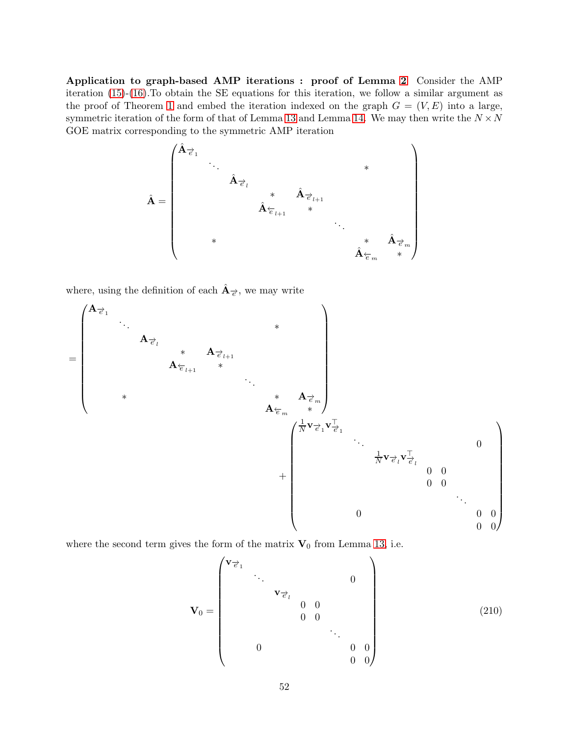Application to graph-based AMP iterations : proof of Lemma [2](#page-15-0) Consider the AMP iteration  $(15)-(16)$  $(15)-(16)$ . To obtain the SE equations for this iteration, we follow a similar argument as the proof of Theorem [1](#page-9-2) and embed the iteration indexed on the graph  $G = (V, E)$  into a large, symmetric iteration of the form of that of Lemma [13](#page-44-1) and Lemma [14.](#page-46-0) We may then write the  $N \times N$ GOE matrix corresponding to the symmetric AMP iteration



where, using the definition of each  $\hat{A}_{\vec{e}}$ , we may write



where the second term gives the form of the matrix  $V_0$  from Lemma [13,](#page-44-1) i.e.

V<sup>0</sup> = v−→<sup>e</sup> <sup>1</sup> . . . 0 v−→<sup>e</sup> <sup>l</sup> 0 0 0 0 . . . 0 0 0 0 0 (210)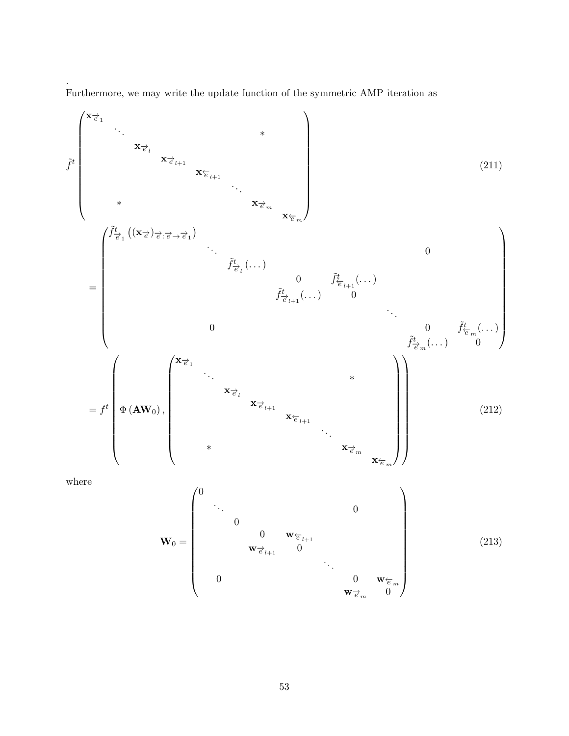Furthermore, we may write the update function of the symmetric AMP iteration as

.

<span id="page-52-0"></span>
$$
\tilde{f}^t \begin{pmatrix}\n \mathbf{x}_{\vec{e}_1} & \mathbf{x}_{\vec{e}_{l+1}} & \mathbf{x}_{\vec{e}_{l+1}} & \mathbf{x}_{\vec{e}_{m}} \\
 & \mathbf{x}_{\vec{e}_{l+1}} & \mathbf{x}_{\vec{e}_{m}} & \mathbf{x}_{\vec{e}_{m}}\n\end{pmatrix}\n\tag{211}
$$
\n
$$
= \begin{pmatrix}\n \tilde{f}^t_{\vec{e}_1}((\mathbf{x}_{\vec{e}})_{\vec{e}_2;\vec{e}\rightarrow\vec{e}_1}) & \cdots & \mathbf{x}_{\vec{e}_{m}} & \mathbf{x}_{\vec{e}_{m}} \\
 & \ddots & \ddots & \vdots & \vdots & \vdots \\
 & \ddots & \ddots & \ddots & \vdots \\
 & \ddots & \ddots & \ddots & \vdots \\
 & \ddots & \ddots & \ddots & \ddots \\
 & \ddots & \ddots & \ddots & \vdots \\
 & \ddots & \ddots & \ddots & \ddots \\
 & \ddots & \ddots & \ddots & \ddots \\
 & \ddots & \ddots & \ddots & \ddots \\
 & \ddots & \ddots & \ddots & \ddots \\
 & \ddots & \ddots & \ddots & \ddots \\
 & \ddots & \ddots & \ddots & \ddots \\
 & \ddot{\ddot{f}}_{\vec{e}_{m}}(\ldots) & \ddot{f}_{\vec{e}_{m}}(\ldots) & \ddot{f}_{\vec{e}_{m}}(\ldots)\n\end{pmatrix}\n\tag{212}
$$
\n
$$
= f^t \begin{pmatrix}\n \mathbf{x}_{\vec{e}_1} & \mathbf{x}_{\vec{e}_2} & \mathbf{x}_{\vec{e}_{m}} \\
 \mathbf{y}_{\vec{e}_2} & \mathbf{x}_{\vec{e}_{m}} & \mathbf{x}_{\vec{e}_{m}} \\
 \mathbf{x}_{\vec{e}_{m}} & \mathbf{x}_{\vec{e}_{m}} & \mathbf{x}_{\vec{e}_{m}}\n\end{pmatrix}
$$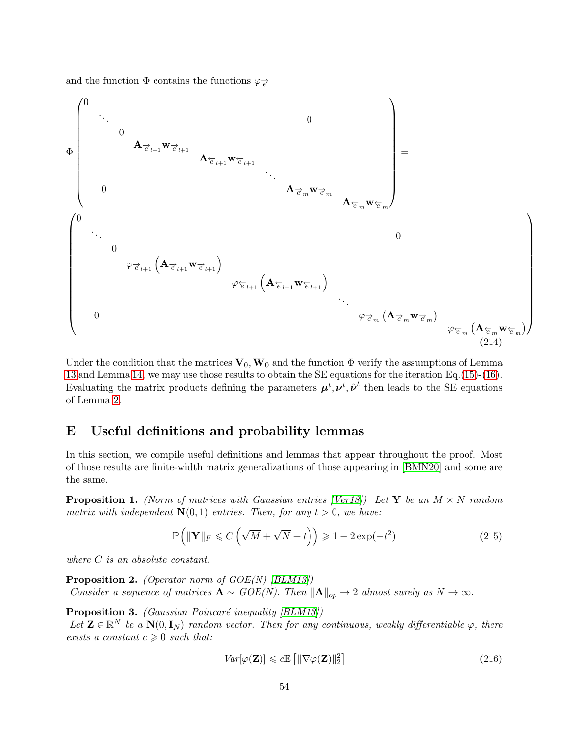and the function  $\Phi$  contains the functions  $\varphi_{\vec{e}}$ 



Under the condition that the matrices  $V_0, W_0$  and the function  $\Phi$  verify the assumptions of Lemma [13](#page-44-1) and Lemma [14,](#page-46-0) we may use those results to obtain the SE equations for the iteration Eq.[\(15\)](#page-14-0)-[\(16\)](#page-14-1). Evaluating the matrix products defining the parameters  $\mu^t, \nu^t, \hat{\nu}^t$  then leads to the SE equations of Lemma [2.](#page-15-0)

# <span id="page-53-0"></span>E Useful definitions and probability lemmas

In this section, we compile useful definitions and lemmas that appear throughout the proof. Most of those results are finite-width matrix generalizations of those appearing in [\[BMN20\]](#page-21-6) and some are the same.

<span id="page-53-2"></span>**Proposition 1.** (Norm of matrices with Gaussian entries [\[Ver18\]](#page-23-7)) Let Y be an  $M \times N$  random matrix with independent  $N(0, 1)$  entries. Then, for any  $t > 0$ , we have:

$$
\mathbb{P}\left(\|\mathbf{Y}\|_{F} \leqslant C\left(\sqrt{M} + \sqrt{N} + t\right)\right) \geqslant 1 - 2\exp(-t^{2})\tag{215}
$$

<span id="page-53-1"></span>where C is an absolute constant.

**Proposition 2.** (Operator norm of  $GOE(N)$  [\[BLM13\]](#page-20-5)) Consider a sequence of matrices  $\mathbf{A} \sim GOE(N)$ . Then  $\|\mathbf{A}\|_{op} \to 2$  almost surely as  $N \to \infty$ .

<span id="page-53-3"></span>**Proposition 3.** (Gaussian Poincaré inequality [\[BLM13\]](#page-20-5))

Let  $\mathbf{Z} \in \mathbb{R}^N$  be a  $\mathbf{N}(0, \mathbf{I}_N)$  random vector. Then for any continuous, weakly differentiable  $\varphi$ , there exists a constant  $c \geq 0$  such that:

$$
Var[\varphi(\mathbf{Z})] \leq c \mathbb{E}\left[\|\nabla \varphi(\mathbf{Z})\|_2^2\right]
$$
\n(216)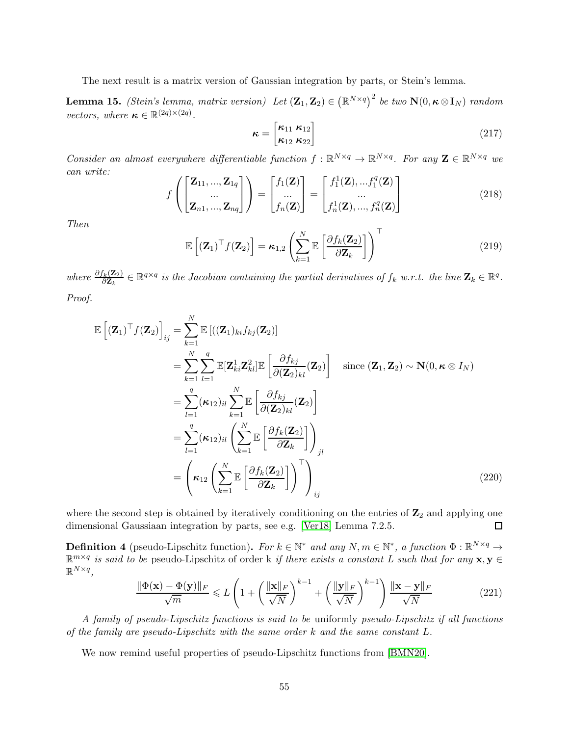<span id="page-54-1"></span>The next result is a matrix version of Gaussian integration by parts, or Stein's lemma.

**Lemma 15.** (Stein's lemma, matrix version) Let  $(\mathbf{Z}_1, \mathbf{Z}_2) \in (\mathbb{R}^{N \times q})^2$  be two  $\mathbf{N}(0, \kappa \otimes \mathbf{I}_N)$  random vectors, where  $\boldsymbol{\kappa} \in \mathbb{R}^{(2q)\times(2q)}$ .

$$
\boldsymbol{\kappa} = \begin{bmatrix} \kappa_{11} & \kappa_{12} \\ \kappa_{12} & \kappa_{22} \end{bmatrix} \tag{217}
$$

Consider an almost everywhere differentiable function  $f : \mathbb{R}^{N \times q} \to \mathbb{R}^{N \times q}$ . For any  $\mathbf{Z} \in \mathbb{R}^{N \times q}$  we can write:

$$
f\left(\begin{bmatrix} \mathbf{Z}_{11}, \dots, \mathbf{Z}_{1q} \\ \dots \\ \mathbf{Z}_{n1}, \dots, \mathbf{Z}_{nq} \end{bmatrix}\right) = \begin{bmatrix} f_1(\mathbf{Z}) \\ \dots \\ f_n(\mathbf{Z}) \end{bmatrix} = \begin{bmatrix} f_1^1(\mathbf{Z}), \dots, f_1^q(\mathbf{Z}) \\ \dots \\ f_n^1(\mathbf{Z}), \dots, f_n^q(\mathbf{Z}) \end{bmatrix}
$$
(218)

Then

$$
\mathbb{E}\left[ (\mathbf{Z}_1)^{\top} f(\mathbf{Z}_2) \right] = \kappa_{1,2} \left( \sum_{k=1}^{N} \mathbb{E}\left[ \frac{\partial f_k(\mathbf{Z}_2)}{\partial \mathbf{Z}_k} \right] \right)^{\top}
$$
(219)

where  $\frac{\partial f_k(\mathbf{Z}_2)}{\partial \mathbf{Z}_k} \in \mathbb{R}^{q \times q}$  is the Jacobian containing the partial derivatives of  $f_k$  w.r.t. the line  $\mathbf{Z}_k \in \mathbb{R}^q$ . Proof.

$$
\mathbb{E}\left[\left(\mathbf{Z}_{1}\right)^{\top}f(\mathbf{Z}_{2})\right]_{ij} = \sum_{k=1}^{N} \mathbb{E}\left[\left((\mathbf{Z}_{1})_{ki}f_{kj}(\mathbf{Z}_{2})\right)\right]
$$
\n
$$
= \sum_{k=1}^{N} \sum_{l=1}^{q} \mathbb{E}[\mathbf{Z}_{ki}^{1}\mathbf{Z}_{kl}^{2}]\mathbb{E}\left[\frac{\partial f_{kj}}{\partial(\mathbf{Z}_{2})_{kl}}(\mathbf{Z}_{2})\right] \quad \text{since } (\mathbf{Z}_{1}, \mathbf{Z}_{2}) \sim \mathbf{N}(0, \kappa \otimes I_{N})
$$
\n
$$
= \sum_{l=1}^{q} (\kappa_{12})_{il} \sum_{k=1}^{N} \mathbb{E}\left[\frac{\partial f_{kj}}{\partial(\mathbf{Z}_{2})_{kl}}(\mathbf{Z}_{2})\right]
$$
\n
$$
= \sum_{l=1}^{q} (\kappa_{12})_{il} \left(\sum_{k=1}^{N} \mathbb{E}\left[\frac{\partial f_{k}(\mathbf{Z}_{2})}{\partial \mathbf{Z}_{k}}\right]\right)_{jl}
$$
\n
$$
= \left(\kappa_{12} \left(\sum_{k=1}^{N} \mathbb{E}\left[\frac{\partial f_{k}(\mathbf{Z}_{2})}{\partial \mathbf{Z}_{k}}\right]\right)^{\top}\right)_{ij}
$$
\n(220)

where the second step is obtained by iteratively conditioning on the entries of  $\mathbb{Z}_2$  and applying one dimensional Gaussiaan integration by parts, see e.g. [\[Ver18\]](#page-23-7) Lemma 7.2.5.  $\Box$ 

<span id="page-54-0"></span>**Definition 4** (pseudo-Lipschitz function). For  $k \in \mathbb{N}^*$  and any  $N, m \in \mathbb{N}^*$ , a function  $\Phi : \mathbb{R}^{N \times q} \to$  $\mathbb{R}^{m \times q}$  is said to be pseudo-Lipschitz of order k if there exists a constant L such that for any  $\mathbf{x}, \mathbf{y} \in \mathbb{R}^{m \times q}$  $\mathbb{R}^{N\times q}$ ,

$$
\frac{\|\Phi(\mathbf{x}) - \Phi(\mathbf{y})\|_F}{\sqrt{m}} \le L\left(1 + \left(\frac{\|\mathbf{x}\|_F}{\sqrt{N}}\right)^{k-1} + \left(\frac{\|\mathbf{y}\|_F}{\sqrt{N}}\right)^{k-1}\right) \frac{\|\mathbf{x} - \mathbf{y}\|_F}{\sqrt{N}}\tag{221}
$$

A family of pseudo-Lipschitz functions is said to be uniformly pseudo-Lipschitz if all functions of the family are pseudo-Lipschitz with the same order  $k$  and the same constant  $L$ .

<span id="page-54-2"></span>We now remind useful properties of pseudo-Lipschitz functions from [\[BMN20\]](#page-21-6).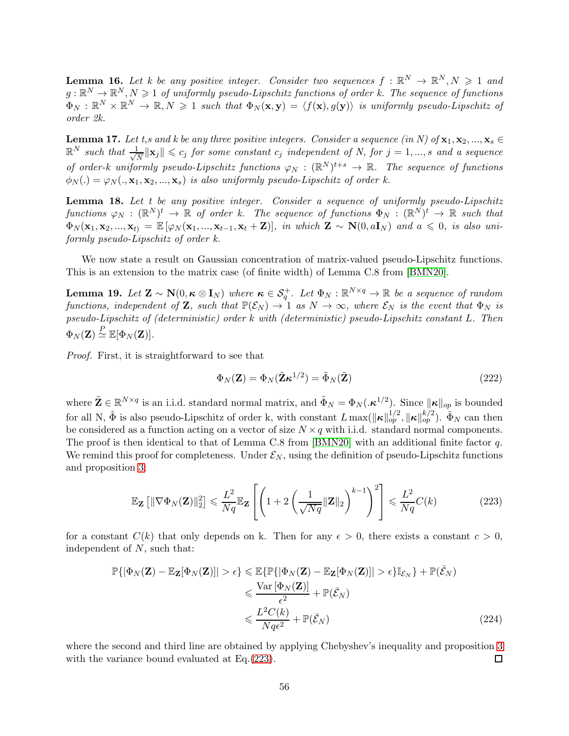**Lemma 16.** Let k be any positive integer. Consider two sequences  $f : \mathbb{R}^N \to \mathbb{R}^N, N \geq 1$  and  $g: \mathbb{R}^N \to \mathbb{R}^N, N \geq 1$  of uniformly pseudo-Lipschitz functions of order k. The sequence of functions  $\Phi_N: \mathbb{R}^N \times \mathbb{R}^N \to \mathbb{R}, N \geq 1$  such that  $\Phi_N(\mathbf{x}, \mathbf{y}) = \langle f(\mathbf{x}), g(\mathbf{y}) \rangle$  is uniformly pseudo-Lipschitz of order 2k.

**Lemma 17.** Let t,s and k be any three positive integers. Consider a sequence (in N) of  $\mathbf{x}_1, \mathbf{x}_2, ..., \mathbf{x}_s \in$  $\mathbb{R}^N$  such that  $\frac{1}{\sqrt{2}}$  $\frac{1}{N} \|\mathbf{x}_j\| \leqslant c_j$  for some constant  $c_j$  independent of N, for  $j = 1, ..., s$  and a sequence of order-k uniformly pseudo-Lipschitz functions  $\varphi_N : (\mathbb{R}^N)^{t+s} \to \mathbb{R}$ . The sequence of functions  $\phi_N(.) = \varphi_N(., \mathbf{x}_1, \mathbf{x}_2, ..., \mathbf{x}_s)$  is also uniformly pseudo-Lipschitz of order k.

Lemma 18. Let t be any positive integer. Consider a sequence of uniformly pseudo-Lipschitz  $functions \varphi_N : (\mathbb{R}^N)^t \to \mathbb{R}$  of order k. The sequence of functions  $\Phi_N : (\mathbb{R}^N)^t \to \mathbb{R}$  such that  $\Phi_N(\mathbf{x}_1, \mathbf{x}_2, ..., \mathbf{x}_t) = \mathbb{E} [\varphi_N(\mathbf{x}_1, ..., \mathbf{x}_{t-1}, \mathbf{x}_t + \mathbf{Z})],$  in which  $\mathbf{Z} \sim \mathbf{N}(0, a\mathbf{I}_N)$  and  $a \leq 0$ , is also uniformly pseudo-Lipschitz of order k.

<span id="page-55-0"></span>We now state a result on Gaussian concentration of matrix-valued pseudo-Lipschitz functions. This is an extension to the matrix case (of finite width) of Lemma C.8 from [\[BMN20\]](#page-21-6).

**Lemma 19.** Let  $\mathbf{Z} \sim \mathbf{N}(0, \kappa \otimes \mathbf{I}_N)$  where  $\kappa \in \mathcal{S}_q^+$ . Let  $\Phi_N : \mathbb{R}^{N \times q} \to \mathbb{R}$  be a sequence of random functions, independent of **Z**, such that  $\mathbb{P}(\mathcal{E}_N) \to \mathbb{1}$  as  $N \to \infty$ , where  $\mathcal{E}_N$  is the event that  $\Phi_N$  is pseudo-Lipschitz of (deterministic) order k with (deterministic) pseudo-Lipschitz constant L. Then  $\Phi_N(\mathbf{Z}) \stackrel{P}{\simeq} \mathbb{E}[\Phi_N(\mathbf{Z})].$ 

Proof. First, it is straightforward to see that

$$
\Phi_N(\mathbf{Z}) = \Phi_N(\tilde{\mathbf{Z}} \boldsymbol{\kappa}^{1/2}) = \tilde{\Phi}_N(\tilde{\mathbf{Z}})
$$
\n(222)

where  $\tilde{\mathbf{Z}} \in \mathbb{R}^{N \times q}$  is an i.i.d. standard normal matrix, and  $\tilde{\Phi}_N = \Phi_N(\mathbf{\mathcal{R}}^{1/2})$ . Since  $\|\mathbf{\kappa}\|_{op}$  is bounded for all N,  $\tilde{\Phi}$  is also pseudo-Lipschitz of order k, with constant  $L \max(\|\boldsymbol{\kappa}\|_{op}^{1/2}, \|\boldsymbol{\kappa}\|_{op}^{k/2})$ .  $\tilde{\Phi}_N$  can then be considered as a function acting on a vector of size  $N \times q$  with i.i.d. standard normal components. The proof is then identical to that of Lemma C.8 from [\[BMN20\]](#page-21-6) with an additional finite factor q. We remind this proof for completeness. Under  $\mathcal{E}_N$ , using the definition of pseudo-Lipschitz functions and proposition [3:](#page-53-3)

<span id="page-55-1"></span>
$$
\mathbb{E}_{\mathbf{Z}}\left[\|\nabla\Phi_{N}(\mathbf{Z})\|_{2}^{2}\right] \leqslant \frac{L^{2}}{Nq} \mathbb{E}_{\mathbf{Z}}\left[\left(1+2\left(\frac{1}{\sqrt{Nq}}\|\mathbf{Z}\|_{2}\right)^{k-1}\right)^{2}\right] \leqslant \frac{L^{2}}{Nq} C(k)
$$
\n(223)

for a constant  $C(k)$  that only depends on k. Then for any  $\epsilon > 0$ , there exists a constant  $c > 0$ , independent of N, such that:

$$
\mathbb{P}\{|\Phi_N(\mathbf{Z}) - \mathbb{E}_{\mathbf{Z}}[\Phi_N(\mathbf{Z})]| > \epsilon\} \leq \mathbb{E}\{\mathbb{P}\{|\Phi_N(\mathbf{Z}) - \mathbb{E}_{\mathbf{Z}}[\Phi_N(\mathbf{Z})]| > \epsilon\} \mathbb{I}_{\mathcal{E}_N}\} + \mathbb{P}(\bar{\mathcal{E}}_N)
$$
  

$$
\leq \frac{\text{Var}[\Phi_N(\mathbf{Z})]}{\epsilon^2} + \mathbb{P}(\bar{\mathcal{E}}_N)
$$
  

$$
\leq \frac{L^2 C(k)}{Nq\epsilon^2} + \mathbb{P}(\bar{\mathcal{E}}_N)
$$
(224)

where the second and third line are obtained by applying Chebyshev's inequality and proposition [3](#page-53-3) with the variance bound evaluated at Eq.[\(223\)](#page-55-1). 口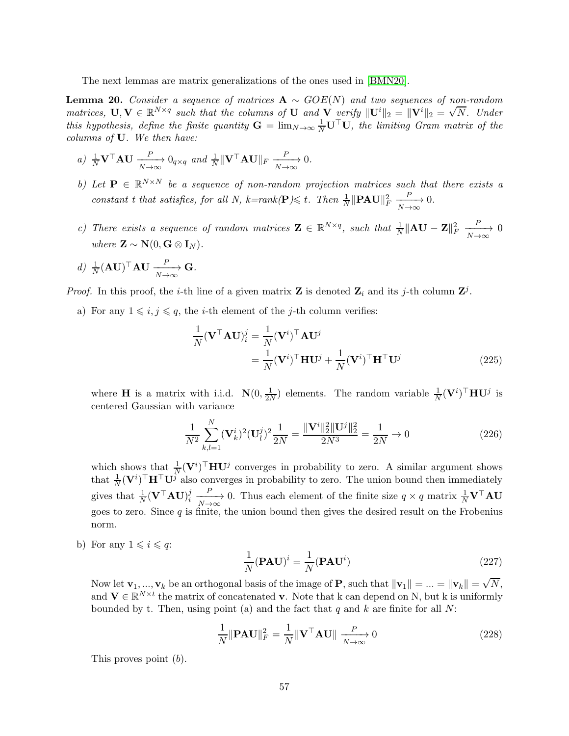<span id="page-56-0"></span>The next lemmas are matrix generalizations of the ones used in [\[BMN20\]](#page-21-6).

**Lemma 20.** Consider a sequence of matrices  $A \sim GOE(N)$  and two sequences of non-random matrices,  $\mathbf{U}, \mathbf{V} \in \mathbb{R}^{N \times q}$  such that the columns of  $\mathbf{U}$  and  $\mathbf{V}$  verify  $\|\mathbf{U}^i\|_2 = \|\mathbf{V}^i\|_2 = \sqrt{N}$ . Under this hypothesis, define the finite quantity  $G = \lim_{N \to \infty} \frac{1}{N} \mathbf{U}^\top \mathbf{U}$ , the limiting Gram matrix of the columns of U. We then have:

- a)  $\frac{1}{N} \mathbf{V}^\top \mathbf{A} \mathbf{U} \xrightarrow[N \to \infty]{P} 0_{q \times q}$  and  $\frac{1}{N} ||\mathbf{V}^\top \mathbf{A} \mathbf{U}||_F \xrightarrow[N \to \infty]{P}$ 0.
- b) Let  $\mathbf{P} \in \mathbb{R}^{N \times N}$  be a sequence of non-random projection matrices such that there exists a constant t that satisfies, for all N, k=rank( $\mathbf{P} \leq t$ . Then  $\frac{1}{N} \|\mathbf{PAU}\|_F^2$  $\xrightarrow[N \to \infty]{P}$ 0.
- c) There exists a sequence of random matrices  $\mathbf{Z} \in \mathbb{R}^{N \times q}$ , such that  $\frac{1}{N} \|\mathbf{A}\mathbf{U} \mathbf{Z}\|_F^2$  $\xrightarrow[N \to \infty]{P}$ 0 where  $\mathbf{Z} \sim \mathbf{N}(0, \mathbf{G} \otimes \mathbf{I}_N)$ .
- d)  $\frac{1}{N} (\mathbf{A} \mathbf{U})^{\top} \mathbf{A} \mathbf{U} \xrightarrow[N \to \infty]{P}$ G.

*Proof.* In this proof, the *i*-th line of a given matrix **Z** is denoted  $\mathbf{Z}_i$  and its *j*-th column  $\mathbf{Z}^j$ .

a) For any  $1 \leq i, j \leq q$ , the *i*-th element of the *j*-th column verifies:

$$
\frac{1}{N}(\mathbf{V}^{\top}\mathbf{A}\mathbf{U})_{i}^{j} = \frac{1}{N}(\mathbf{V}^{i})^{\top}\mathbf{A}\mathbf{U}^{j}
$$
\n
$$
= \frac{1}{N}(\mathbf{V}^{i})^{\top}\mathbf{H}\mathbf{U}^{j} + \frac{1}{N}(\mathbf{V}^{i})^{\top}\mathbf{H}^{\top}\mathbf{U}^{j}
$$
\n(225)

where **H** is a matrix with i.i.d.  $\mathbf{N}(0, \frac{1}{2n})$  $\frac{1}{2N}$ ) elements. The random variable  $\frac{1}{N}(\mathbf{V}^i)^\top \mathbf{H} \mathbf{U}^j$  is centered Gaussian with variance

$$
\frac{1}{N^2} \sum_{k,l=1}^{N} (\mathbf{V}_k^i)^2 (\mathbf{U}_l^j)^2 \frac{1}{2N} = \frac{\|\mathbf{V}^i\|_2^2 \|\mathbf{U}^j\|_2^2}{2N^3} = \frac{1}{2N} \to 0
$$
\n(226)

which shows that  $\frac{1}{N}(\mathbf{V}^i)^\top \mathbf{H} \mathbf{U}^j$  converges in probability to zero. A similar argument shows that  $\frac{1}{N}(\mathbf{V}^i)^\top \mathbf{H}^\top \mathbf{U}^j$  also converges in probability to zero. The union bound then immediately gives that  $\frac{1}{N}(\mathbf{V}^{\top}\mathbf{A}\mathbf{U})_{i}^{j}$ i  $\frac{P}{N\to\infty}$  0. Thus each element of the finite size  $q \times q$  matrix  $\frac{1}{N}V^{\top}AU$ goes to zero. Since  $q$  is finite, the union bound then gives the desired result on the Frobenius norm.

b) For any  $1 \leq i \leq q$ :

$$
\frac{1}{N}(\mathbf{PAU})^i = \frac{1}{N}(\mathbf{PAU}^i)
$$
\n(227)

Now let  $\mathbf{v}_1, ..., \mathbf{v}_k$  be an orthogonal basis of the image of **P**, such that  $\|\mathbf{v}_1\| = ... = \|\mathbf{v}_k\| = \sqrt{N}$ , and  $\mathbf{V} \in \mathbb{R}^{N \times t}$  the matrix of concatenated v. Note that k can depend on N, but k is uniformly bounded by t. Then, using point (a) and the fact that q and k are finite for all  $N$ :

$$
\frac{1}{N} \|\mathbf{PAU}\|_F^2 = \frac{1}{N} \|\mathbf{V}^\top \mathbf{AU}\| \xrightarrow[N \to \infty]{P} 0 \tag{228}
$$

This proves point (b).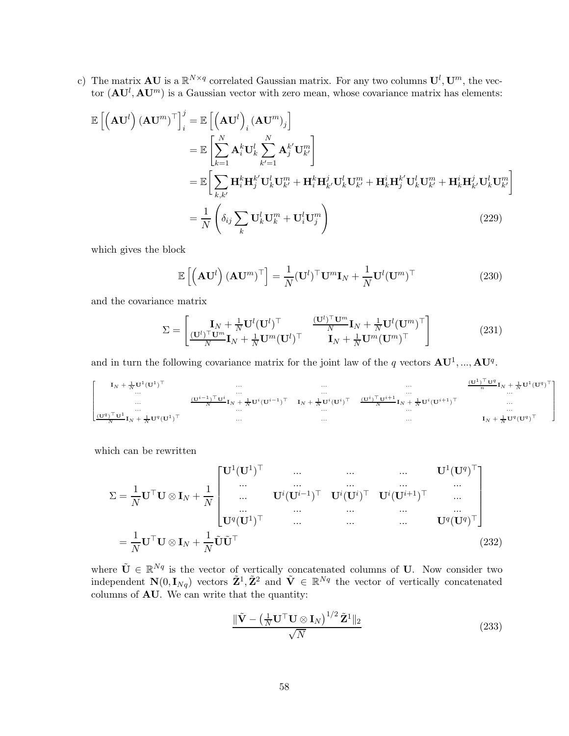c) The matrix **AU** is a  $\mathbb{R}^{N \times q}$  correlated Gaussian matrix. For any two columns  $\mathbf{U}^l, \mathbf{U}^m$ , the vector  $(AU^l, AU^m)$  is a Gaussian vector with zero mean, whose covariance matrix has elements:

$$
\mathbb{E}\left[\left(\mathbf{A}\mathbf{U}^{l}\right)\left(\mathbf{A}\mathbf{U}^{m}\right)^{\top}\right]_{i}^{j} = \mathbb{E}\left[\left(\mathbf{A}\mathbf{U}^{l}\right)_{i}\left(\mathbf{A}\mathbf{U}^{m}\right)_{j}\right]
$$
\n
$$
= \mathbb{E}\left[\sum_{k=1}^{N} \mathbf{A}_{i}^{k} \mathbf{U}_{k}^{l} \sum_{k'=1}^{N} \mathbf{A}_{j}^{k'} \mathbf{U}_{k'}^{m}\right]
$$
\n
$$
= \mathbb{E}\left[\sum_{k,k'} \mathbf{H}_{i}^{k} \mathbf{H}_{j}^{k'} \mathbf{U}_{k}^{l} \mathbf{U}_{k'}^{m} + \mathbf{H}_{i}^{k} \mathbf{H}_{k'}^{j} \mathbf{U}_{k}^{l} \mathbf{U}_{k'}^{m} + \mathbf{H}_{k}^{i} \mathbf{H}_{k'}^{k'} \mathbf{U}_{k}^{l} \mathbf{U}_{k'}^{m}\right]
$$
\n
$$
= \frac{1}{N} \left(\delta_{ij} \sum_{k} \mathbf{U}_{k}^{l} \mathbf{U}_{k}^{m} + \mathbf{U}_{i}^{l} \mathbf{U}_{j}^{m}\right)
$$
\n(229)

which gives the block

$$
\mathbb{E}\left[\left(\mathbf{A}\mathbf{U}^{l}\right)(\mathbf{A}\mathbf{U}^{m})^{\top}\right] = \frac{1}{N}(\mathbf{U}^{l})^{\top}\mathbf{U}^{m}\mathbf{I}_{N} + \frac{1}{N}\mathbf{U}^{l}(\mathbf{U}^{m})^{\top}
$$
(230)

and the covariance matrix

$$
\Sigma = \begin{bmatrix} \mathbf{I}_N + \frac{1}{N} \mathbf{U}^l (\mathbf{U}^l)^\top & \frac{(\mathbf{U}^l)^\top \mathbf{U}^m}{N} \mathbf{I}_N + \frac{1}{N} \mathbf{U}^l (\mathbf{U}^m)^\top \\ \frac{(\mathbf{U}^l)^\top \mathbf{U}^m}{N} \mathbf{I}_N + \frac{1}{N} \mathbf{U}^m (\mathbf{U}^l)^\top & \mathbf{I}_N + \frac{1}{N} \mathbf{U}^m (\mathbf{U}^m)^\top \end{bmatrix}
$$
(231)

and in turn the following covariance matrix for the joint law of the q vectors  $AU^1, ..., AU^q$ .

$$
\left[\begin{matrix} \mathbf{I}_N + \frac{1}{N} \mathbf{U}^1 (\mathbf{U}^1)^\top & \cdots & \cdots & \cdots & \cdots\\ \cdots & \cdots & \cdots & \cdots & \cdots & \cdots\\ \cdots & \cdots & \cdots & \cdots & \cdots & \cdots\\ \cdots & \cdots & \cdots & \cdots & \cdots & \cdots\\ \cdots & \cdots & \cdots & \cdots & \cdots & \cdots & \cdots\\ \cdots & \cdots & \cdots & \cdots & \cdots & \cdots & \cdots\\ \frac{(\mathbf{U}^q)^\top \mathbf{U}^1}{N} \mathbf{I}_N + \frac{1}{N} \mathbf{U}^q (\mathbf{U}^1)^\top & \cdots & \cdots & \cdots & \cdots & \cdots\\ \cdots & \cdots & \cdots & \cdots & \cdots & \cdots & \cdots & \cdots\\ \cdots & \cdots & \cdots & \cdots & \cdots & \cdots & \cdots & \cdots & \cdots\\ \end{matrix} \right] \mathbf{I}_N + \frac{1}{N} \mathbf{U}^q (\mathbf{U}^1)^\top
$$

which can be rewritten

$$
\Sigma = \frac{1}{N} \mathbf{U}^{\top} \mathbf{U} \otimes \mathbf{I}_{N} + \frac{1}{N} \begin{bmatrix} \mathbf{U}^{1}(\mathbf{U}^{1})^{\top} & \cdots & \cdots & \cdots & \mathbf{U}^{1}(\mathbf{U}^{q})^{\top} \\ \cdots & \cdots & \cdots & \cdots & \cdots \\ \cdots & \cdots & \cdots & \cdots & \cdots \\ \cdots & \cdots & \cdots & \cdots & \cdots \\ \mathbf{U}^{q}(\mathbf{U}^{1})^{\top} & \cdots & \cdots & \cdots & \mathbf{U}^{q}(\mathbf{U}^{q})^{\top} \end{bmatrix}
$$

$$
= \frac{1}{N} \mathbf{U}^{\top} \mathbf{U} \otimes \mathbf{I}_{N} + \frac{1}{N} \tilde{\mathbf{U}} \tilde{\mathbf{U}}^{\top}
$$
(232)

where  $\tilde{\mathbf{U}} \in \mathbb{R}^{Nq}$  is the vector of vertically concatenated columns of U. Now consider two independent  $\mathbf{N}(0, \mathbf{I}_{Nq})$  vectors  $\tilde{\mathbf{Z}}^1, \tilde{\mathbf{Z}}^2$  and  $\tilde{\mathbf{V}} \in \mathbb{R}^{Nq}$  the vector of vertically concatenated columns of AU. We can write that the quantity:

$$
\frac{\|\tilde{\mathbf{V}} - \left(\frac{1}{N} \mathbf{U}^\top \mathbf{U} \otimes \mathbf{I}_N\right)^{1/2} \tilde{\mathbf{Z}}^1\|_2}{\sqrt{N}}\tag{233}
$$